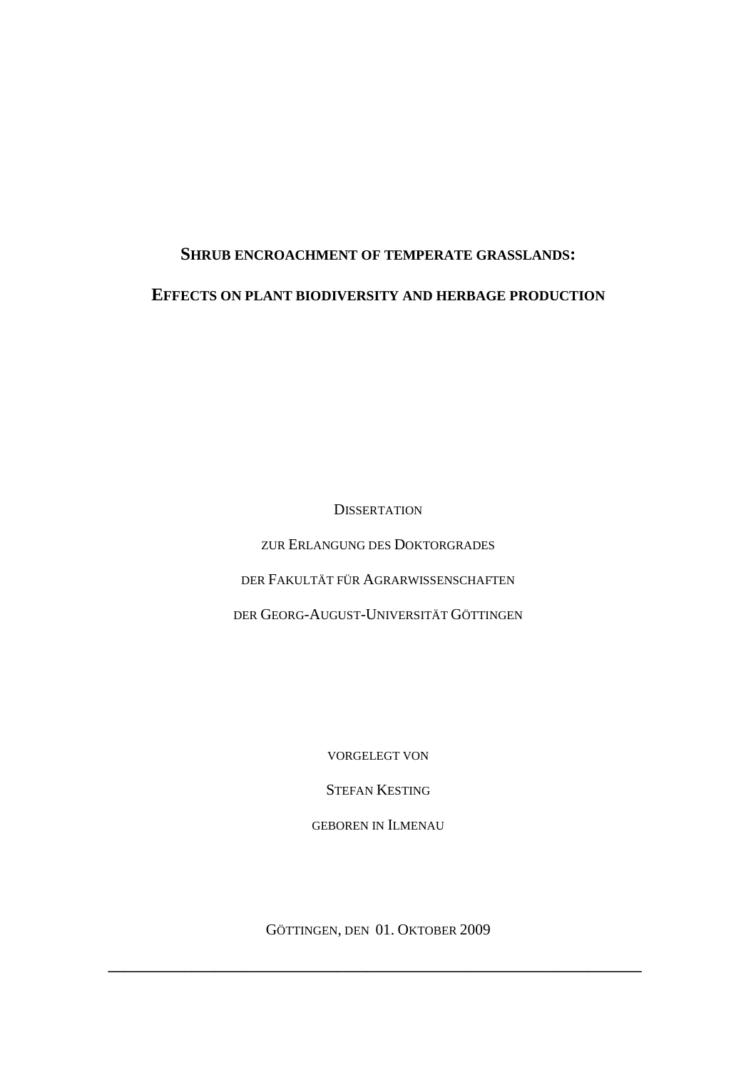# **SHRUB ENCROACHMENT OF TEMPERATE GRASSLANDS:**

# **EFFECTS ON PLANT BIODIVERSITY AND HERBAGE PRODUCTION**

**DISSERTATION** 

ZUR ERLANGUNG DES DOKTORGRADES

DER FAKULTÄT FÜR AGRARWISSENSCHAFTEN

DER GEORG-AUGUST-UNIVERSITÄT GÖTTINGEN

VORGELEGT VON

STEFAN KESTING

GEBOREN IN ILMENAU

GÖTTINGEN, DEN 01. OKTOBER 2009

**\_\_\_\_\_\_\_\_\_\_\_\_\_\_\_\_\_\_\_\_\_\_\_\_\_\_\_\_\_\_\_\_\_\_\_\_\_\_\_\_\_\_\_\_\_\_\_\_\_\_\_\_\_\_\_\_\_\_\_\_\_\_\_\_\_\_\_\_\_\_**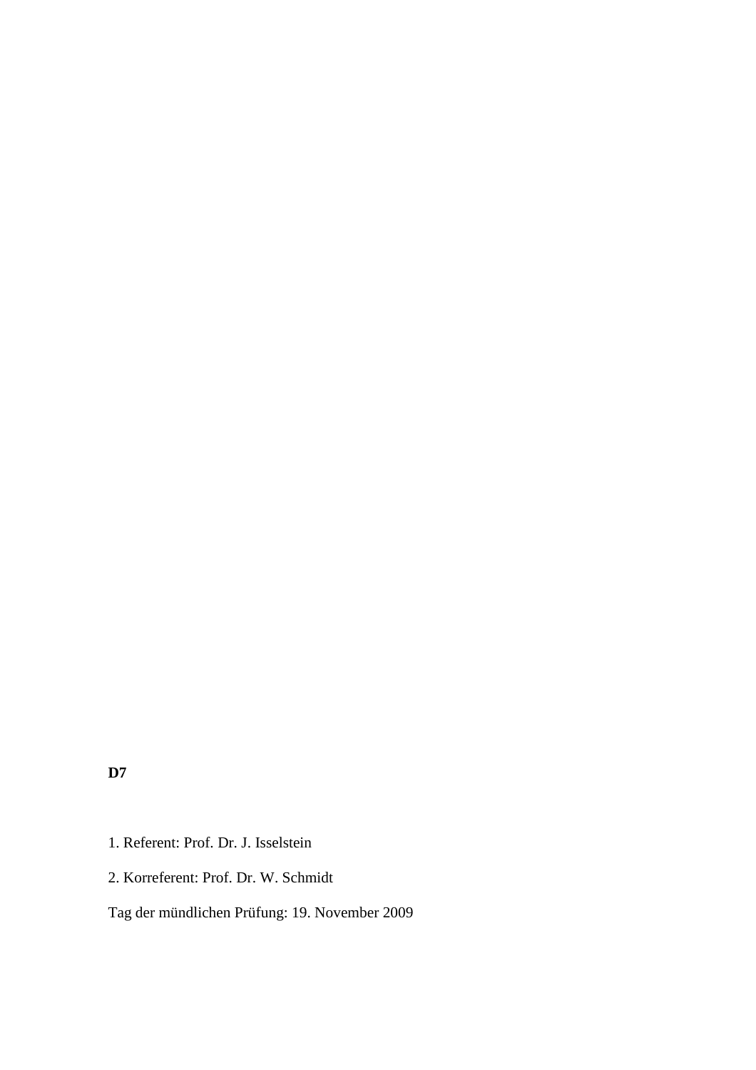# **D7**

- 1. Referent: Prof. Dr. J. Isselstein
- 2. Korreferent: Prof. Dr. W. Schmidt

Tag der mündlichen Prüfung: 19. November 2009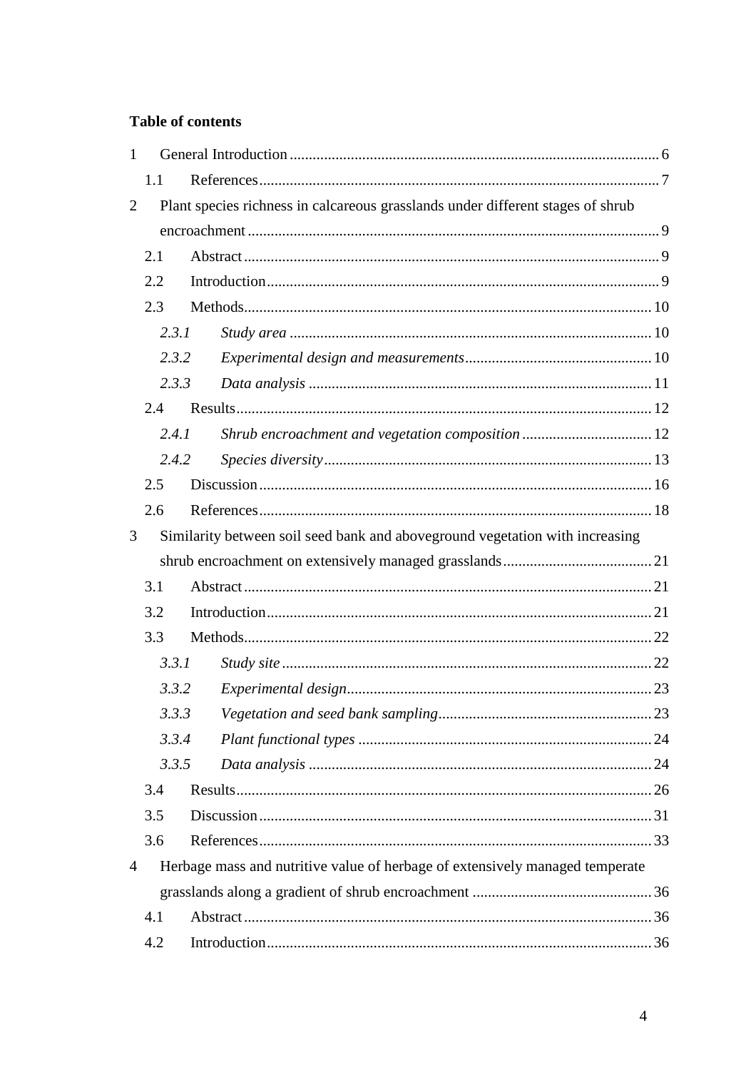# **Table of contents**

| 1              |       |                                                                                 |  |
|----------------|-------|---------------------------------------------------------------------------------|--|
|                | 1.1   |                                                                                 |  |
| $\overline{2}$ |       | Plant species richness in calcareous grasslands under different stages of shrub |  |
|                |       |                                                                                 |  |
|                | 2.1   |                                                                                 |  |
|                | 2.2   |                                                                                 |  |
|                | 2.3   |                                                                                 |  |
|                | 2.3.1 |                                                                                 |  |
|                | 2.3.2 |                                                                                 |  |
|                | 2.3.3 |                                                                                 |  |
|                | 2.4   |                                                                                 |  |
|                | 2.4.1 | Shrub encroachment and vegetation composition  12                               |  |
|                | 2.4.2 |                                                                                 |  |
|                | 2.5   |                                                                                 |  |
|                | 2.6   |                                                                                 |  |
| 3              |       | Similarity between soil seed bank and aboveground vegetation with increasing    |  |
|                |       |                                                                                 |  |
|                | 3.1   |                                                                                 |  |
|                | 3.2   |                                                                                 |  |
|                | 3.3   |                                                                                 |  |
|                | 3.3.1 |                                                                                 |  |
|                | 3.3.2 |                                                                                 |  |
|                |       | 3.3.3                                                                           |  |
|                | 3.3.4 |                                                                                 |  |
|                | 3.3.5 |                                                                                 |  |
|                | 3.4   |                                                                                 |  |
|                | 3.5   |                                                                                 |  |
|                | 3.6   |                                                                                 |  |
| $\overline{4}$ |       | Herbage mass and nutritive value of herbage of extensively managed temperate    |  |
|                |       |                                                                                 |  |
|                | 4.1   |                                                                                 |  |
|                | 4.2   |                                                                                 |  |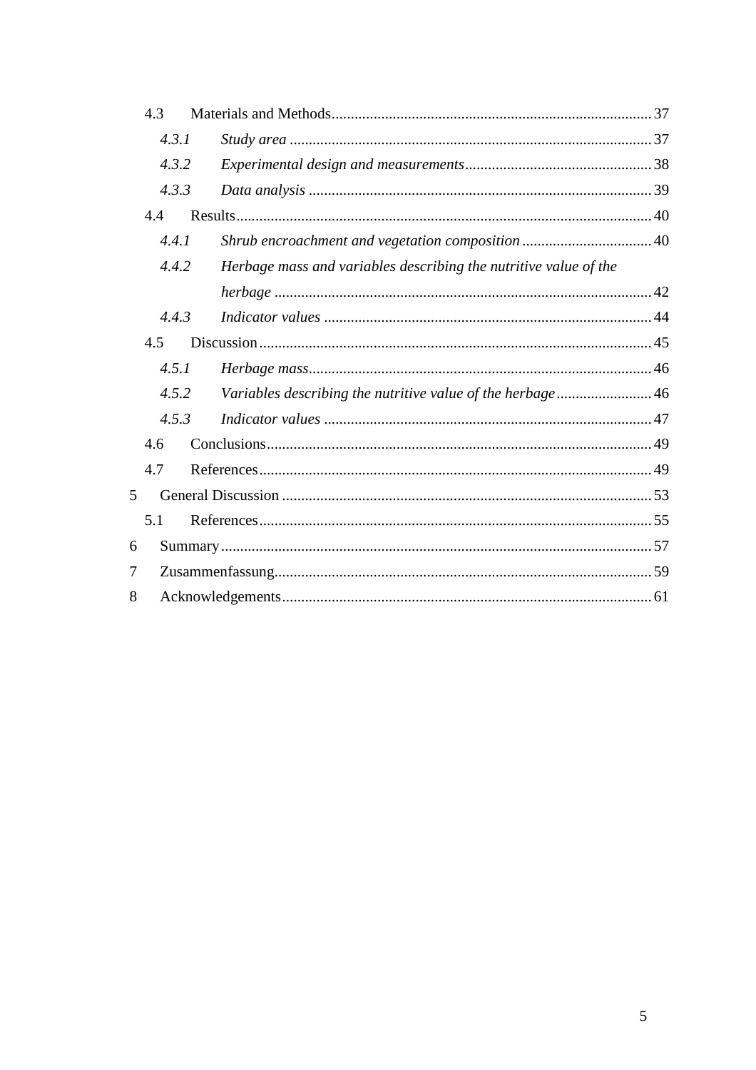| 4.3   |                                                                  |  |
|-------|------------------------------------------------------------------|--|
| 4.3.1 |                                                                  |  |
| 4.3.2 |                                                                  |  |
| 4.3.3 |                                                                  |  |
| 4.4   |                                                                  |  |
| 4.4.1 |                                                                  |  |
| 4.4.2 | Herbage mass and variables describing the nutritive value of the |  |
|       |                                                                  |  |
| 4.4.3 |                                                                  |  |
| 4.5   |                                                                  |  |
| 4.5.1 |                                                                  |  |
| 4.5.2 | Variables describing the nutritive value of the herbage 46       |  |
| 4.5.3 |                                                                  |  |
| 4.6   |                                                                  |  |
| 4.7   |                                                                  |  |
| 5     |                                                                  |  |
| 5.1   |                                                                  |  |
| 6     |                                                                  |  |
| 7     |                                                                  |  |
| 8     |                                                                  |  |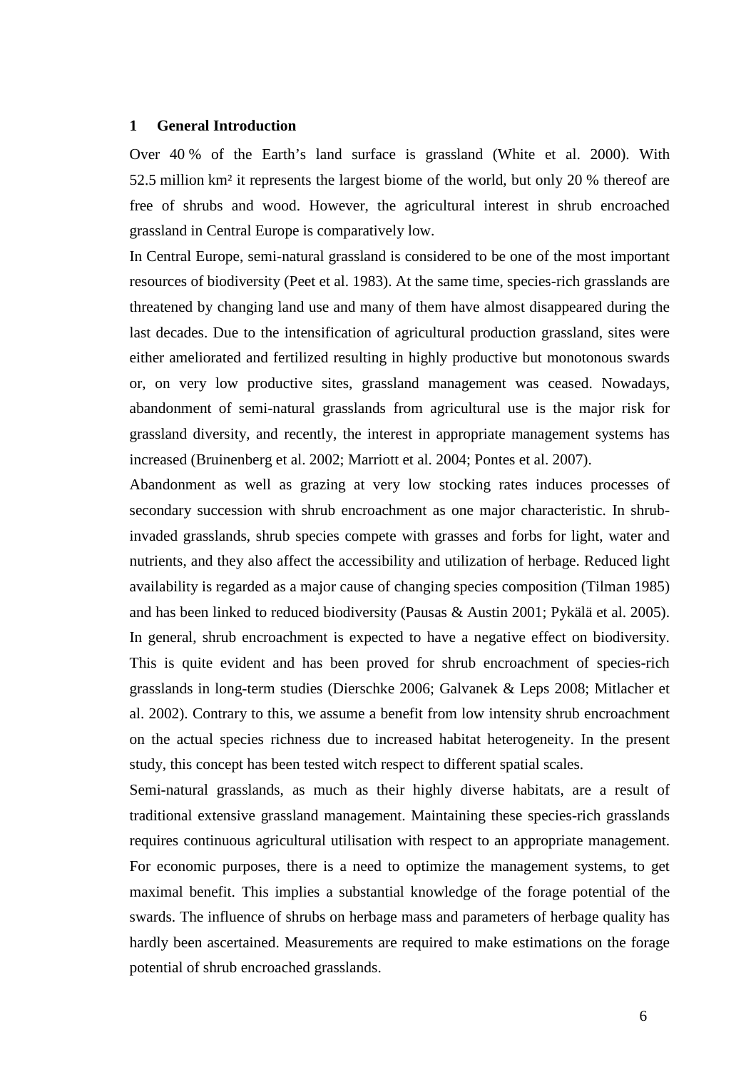#### **1 General Introduction**

Over 40 % of the Earth's land surface is grassland (White et al. 2000). With 52.5 million km² it represents the largest biome of the world, but only 20 % thereof are free of shrubs and wood. However, the agricultural interest in shrub encroached grassland in Central Europe is comparatively low.

In Central Europe, semi-natural grassland is considered to be one of the most important resources of biodiversity (Peet et al. 1983). At the same time, species-rich grasslands are threatened by changing land use and many of them have almost disappeared during the last decades. Due to the intensification of agricultural production grassland, sites were either ameliorated and fertilized resulting in highly productive but monotonous swards or, on very low productive sites, grassland management was ceased. Nowadays, abandonment of semi-natural grasslands from agricultural use is the major risk for grassland diversity, and recently, the interest in appropriate management systems has increased (Bruinenberg et al. 2002; Marriott et al. 2004; Pontes et al. 2007).

Abandonment as well as grazing at very low stocking rates induces processes of secondary succession with shrub encroachment as one major characteristic. In shrubinvaded grasslands, shrub species compete with grasses and forbs for light, water and nutrients, and they also affect the accessibility and utilization of herbage. Reduced light availability is regarded as a major cause of changing species composition (Tilman 1985) and has been linked to reduced biodiversity (Pausas & Austin 2001; Pykälä et al. 2005). In general, shrub encroachment is expected to have a negative effect on biodiversity. This is quite evident and has been proved for shrub encroachment of species-rich grasslands in long-term studies (Dierschke 2006; Galvanek & Leps 2008; Mitlacher et al. 2002). Contrary to this, we assume a benefit from low intensity shrub encroachment on the actual species richness due to increased habitat heterogeneity. In the present study, this concept has been tested witch respect to different spatial scales.

Semi-natural grasslands, as much as their highly diverse habitats, are a result of traditional extensive grassland management. Maintaining these species-rich grasslands requires continuous agricultural utilisation with respect to an appropriate management. For economic purposes, there is a need to optimize the management systems, to get maximal benefit. This implies a substantial knowledge of the forage potential of the swards. The influence of shrubs on herbage mass and parameters of herbage quality has hardly been ascertained. Measurements are required to make estimations on the forage potential of shrub encroached grasslands.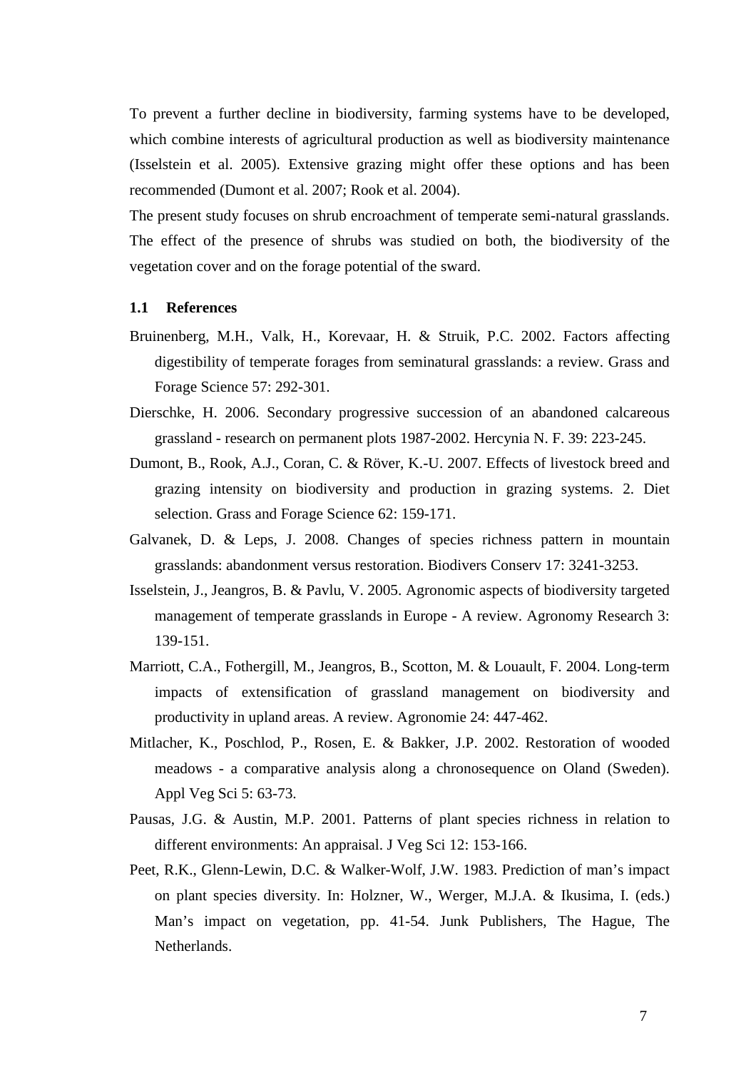To prevent a further decline in biodiversity, farming systems have to be developed, which combine interests of agricultural production as well as biodiversity maintenance (Isselstein et al. 2005). Extensive grazing might offer these options and has been recommended (Dumont et al. 2007; Rook et al. 2004).

The present study focuses on shrub encroachment of temperate semi-natural grasslands. The effect of the presence of shrubs was studied on both, the biodiversity of the vegetation cover and on the forage potential of the sward.

#### **1.1 References**

- Bruinenberg, M.H., Valk, H., Korevaar, H. & Struik, P.C. 2002. Factors affecting digestibility of temperate forages from seminatural grasslands: a review. Grass and Forage Science 57: 292-301.
- Dierschke, H. 2006. Secondary progressive succession of an abandoned calcareous grassland - research on permanent plots 1987-2002. Hercynia N. F. 39: 223-245.
- Dumont, B., Rook, A.J., Coran, C. & Röver, K.-U. 2007. Effects of livestock breed and grazing intensity on biodiversity and production in grazing systems. 2. Diet selection. Grass and Forage Science 62: 159-171.
- Galvanek, D. & Leps, J. 2008. Changes of species richness pattern in mountain grasslands: abandonment versus restoration. Biodivers Conserv 17: 3241-3253.
- Isselstein, J., Jeangros, B. & Pavlu, V. 2005. Agronomic aspects of biodiversity targeted management of temperate grasslands in Europe - A review. Agronomy Research 3: 139-151.
- Marriott, C.A., Fothergill, M., Jeangros, B., Scotton, M. & Louault, F. 2004. Long-term impacts of extensification of grassland management on biodiversity and productivity in upland areas. A review. Agronomie 24: 447-462.
- Mitlacher, K., Poschlod, P., Rosen, E. & Bakker, J.P. 2002. Restoration of wooded meadows - a comparative analysis along a chronosequence on Oland (Sweden). Appl Veg Sci 5: 63-73.
- Pausas, J.G. & Austin, M.P. 2001. Patterns of plant species richness in relation to different environments: An appraisal. J Veg Sci 12: 153-166.
- Peet, R.K., Glenn-Lewin, D.C. & Walker-Wolf, J.W. 1983. Prediction of man's impact on plant species diversity. In: Holzner, W., Werger, M.J.A. & Ikusima, I. (eds.) Man's impact on vegetation, pp. 41-54. Junk Publishers, The Hague, The Netherlands.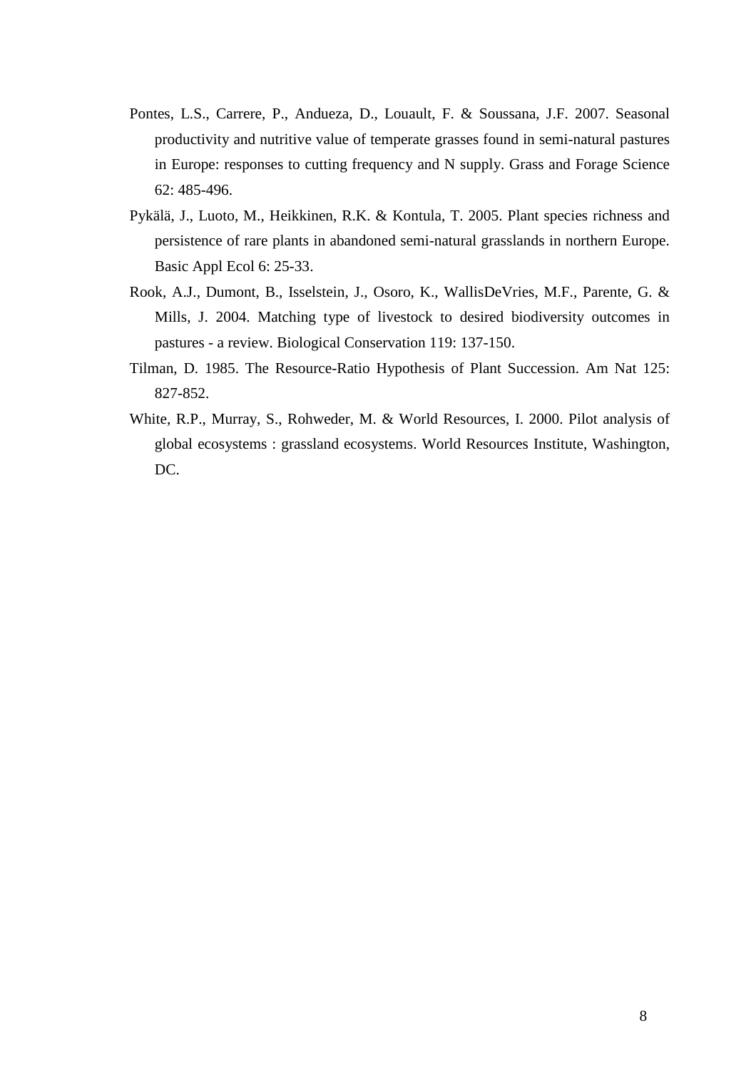- Pontes, L.S., Carrere, P., Andueza, D., Louault, F. & Soussana, J.F. 2007. Seasonal productivity and nutritive value of temperate grasses found in semi-natural pastures in Europe: responses to cutting frequency and N supply. Grass and Forage Science 62: 485-496.
- Pykälä, J., Luoto, M., Heikkinen, R.K. & Kontula, T. 2005. Plant species richness and persistence of rare plants in abandoned semi-natural grasslands in northern Europe. Basic Appl Ecol 6: 25-33.
- Rook, A.J., Dumont, B., Isselstein, J., Osoro, K., WallisDeVries, M.F., Parente, G. & Mills, J. 2004. Matching type of livestock to desired biodiversity outcomes in pastures - a review. Biological Conservation 119: 137-150.
- Tilman, D. 1985. The Resource-Ratio Hypothesis of Plant Succession. Am Nat 125: 827-852.
- White, R.P., Murray, S., Rohweder, M. & World Resources, I. 2000. Pilot analysis of global ecosystems : grassland ecosystems. World Resources Institute, Washington, D<sub>C</sub>.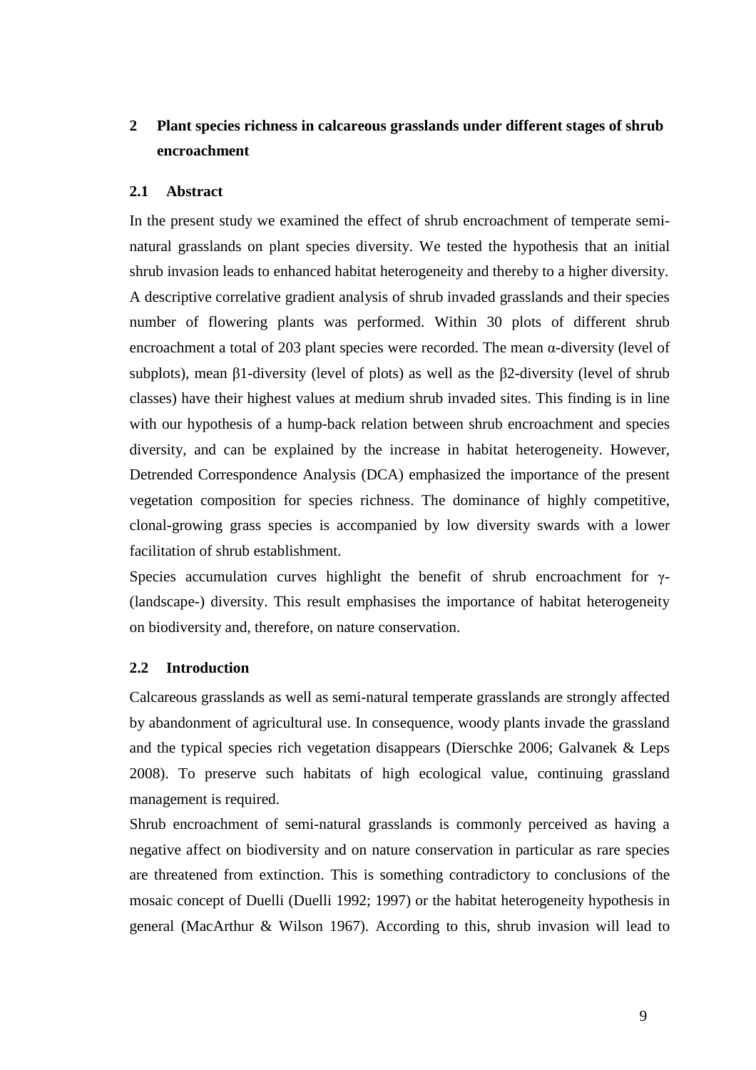# **2 Plant species richness in calcareous grasslands under different stages of shrub encroachment**

## **2.1 Abstract**

In the present study we examined the effect of shrub encroachment of temperate seminatural grasslands on plant species diversity. We tested the hypothesis that an initial shrub invasion leads to enhanced habitat heterogeneity and thereby to a higher diversity. A descriptive correlative gradient analysis of shrub invaded grasslands and their species number of flowering plants was performed. Within 30 plots of different shrub encroachment a total of 203 plant species were recorded. The mean α-diversity (level of subplots), mean β1-diversity (level of plots) as well as the β2-diversity (level of shrub classes) have their highest values at medium shrub invaded sites. This finding is in line with our hypothesis of a hump-back relation between shrub encroachment and species diversity, and can be explained by the increase in habitat heterogeneity. However, Detrended Correspondence Analysis (DCA) emphasized the importance of the present vegetation composition for species richness. The dominance of highly competitive, clonal-growing grass species is accompanied by low diversity swards with a lower facilitation of shrub establishment.

Species accumulation curves highlight the benefit of shrub encroachment for γ- (landscape-) diversity. This result emphasises the importance of habitat heterogeneity on biodiversity and, therefore, on nature conservation.

#### **2.2 Introduction**

Calcareous grasslands as well as semi-natural temperate grasslands are strongly affected by abandonment of agricultural use. In consequence, woody plants invade the grassland and the typical species rich vegetation disappears (Dierschke 2006; Galvanek & Leps 2008). To preserve such habitats of high ecological value, continuing grassland management is required.

Shrub encroachment of semi-natural grasslands is commonly perceived as having a negative affect on biodiversity and on nature conservation in particular as rare species are threatened from extinction. This is something contradictory to conclusions of the mosaic concept of Duelli (Duelli 1992; 1997) or the habitat heterogeneity hypothesis in general (MacArthur & Wilson 1967). According to this, shrub invasion will lead to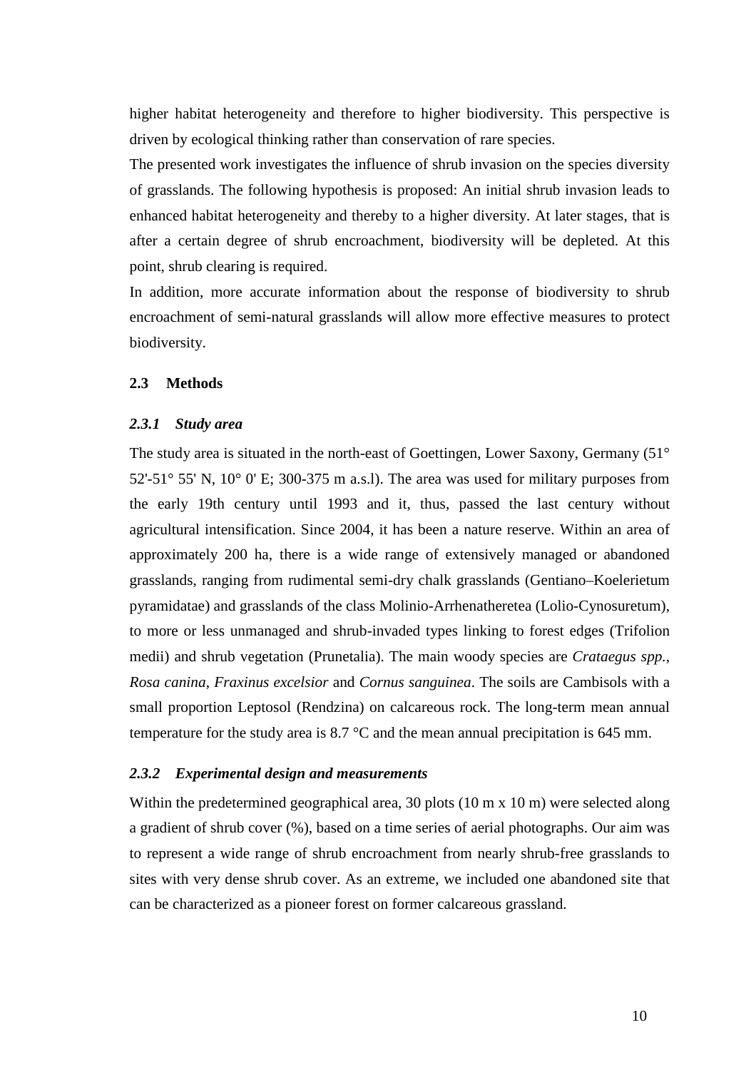higher habitat heterogeneity and therefore to higher biodiversity. This perspective is driven by ecological thinking rather than conservation of rare species.

The presented work investigates the influence of shrub invasion on the species diversity of grasslands. The following hypothesis is proposed: An initial shrub invasion leads to enhanced habitat heterogeneity and thereby to a higher diversity. At later stages, that is after a certain degree of shrub encroachment, biodiversity will be depleted. At this point, shrub clearing is required.

In addition, more accurate information about the response of biodiversity to shrub encroachment of semi-natural grasslands will allow more effective measures to protect biodiversity.

# **2.3 Methods**

# *2.3.1 Study area*

The study area is situated in the north-east of Goettingen, Lower Saxony, Germany (51° 52'-51 $\degree$  55' N, 10 $\degree$  0' E; 300-375 m a.s.l). The area was used for military purposes from the early 19th century until 1993 and it, thus, passed the last century without agricultural intensification. Since 2004, it has been a nature reserve. Within an area of approximately 200 ha, there is a wide range of extensively managed or abandoned grasslands, ranging from rudimental semi-dry chalk grasslands (Gentiano–Koelerietum pyramidatae) and grasslands of the class Molinio-Arrhenatheretea (Lolio-Cynosuretum), to more or less unmanaged and shrub-invaded types linking to forest edges (Trifolion medii) and shrub vegetation (Prunetalia). The main woody species are *Crataegus spp.*, *Rosa canina*, *Fraxinus excelsior* and *Cornus sanguinea*. The soils are Cambisols with a small proportion Leptosol (Rendzina) on calcareous rock. The long-term mean annual temperature for the study area is 8.7 °C and the mean annual precipitation is 645 mm.

# *2.3.2 Experimental design and measurements*

Within the predetermined geographical area, 30 plots (10 m x 10 m) were selected along a gradient of shrub cover (%), based on a time series of aerial photographs. Our aim was to represent a wide range of shrub encroachment from nearly shrub-free grasslands to sites with very dense shrub cover. As an extreme, we included one abandoned site that can be characterized as a pioneer forest on former calcareous grassland.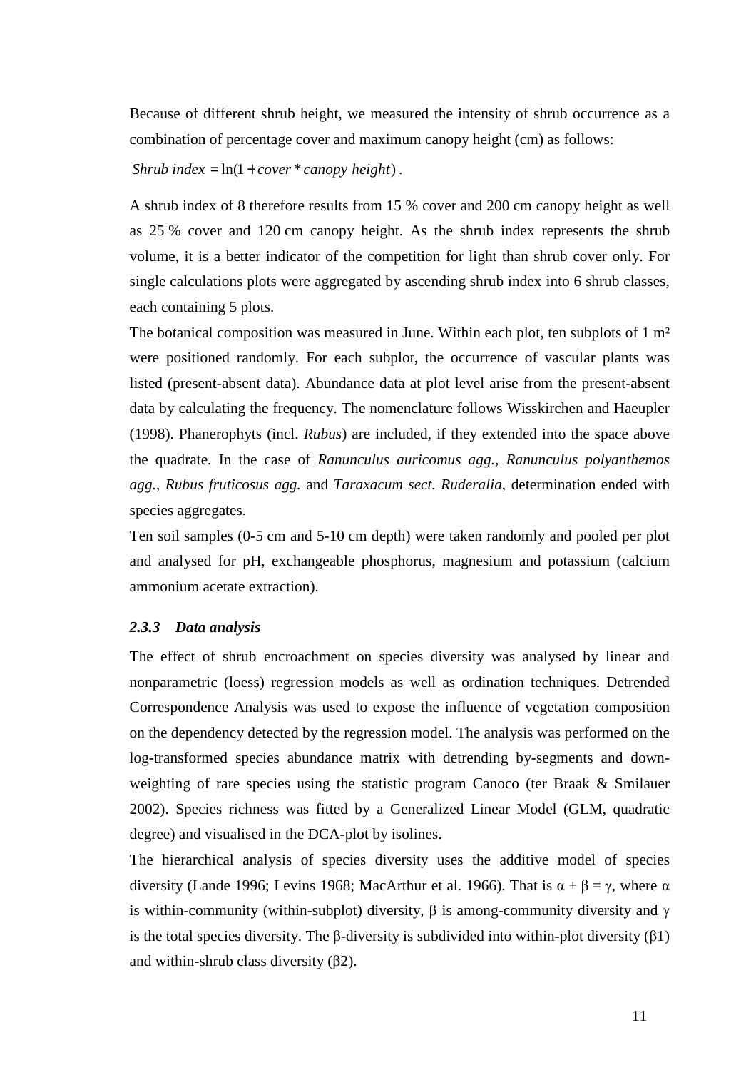Because of different shrub height, we measured the intensity of shrub occurrence as a combination of percentage cover and maximum canopy height (cm) as follows:

*Shrub*  $index = ln(1 + cover * canopy height)$ .

A shrub index of 8 therefore results from 15 % cover and 200 cm canopy height as well as 25 % cover and 120 cm canopy height. As the shrub index represents the shrub volume, it is a better indicator of the competition for light than shrub cover only. For single calculations plots were aggregated by ascending shrub index into 6 shrub classes, each containing 5 plots.

The botanical composition was measured in June. Within each plot, ten subplots of 1 m<sup>2</sup> were positioned randomly. For each subplot, the occurrence of vascular plants was listed (present-absent data). Abundance data at plot level arise from the present-absent data by calculating the frequency. The nomenclature follows Wisskirchen and Haeupler (1998). Phanerophyts (incl. *Rubus*) are included, if they extended into the space above the quadrate. In the case of *Ranunculus auricomus agg.*, *Ranunculus polyanthemos agg.*, *Rubus fruticosus agg.* and *Taraxacum sect. Ruderalia*, determination ended with species aggregates.

Ten soil samples (0-5 cm and 5-10 cm depth) were taken randomly and pooled per plot and analysed for pH, exchangeable phosphorus, magnesium and potassium (calcium ammonium acetate extraction).

# *2.3.3 Data analysis*

The effect of shrub encroachment on species diversity was analysed by linear and nonparametric (loess) regression models as well as ordination techniques. Detrended Correspondence Analysis was used to expose the influence of vegetation composition on the dependency detected by the regression model. The analysis was performed on the log-transformed species abundance matrix with detrending by-segments and downweighting of rare species using the statistic program Canoco (ter Braak & Smilauer 2002). Species richness was fitted by a Generalized Linear Model (GLM, quadratic degree) and visualised in the DCA-plot by isolines.

The hierarchical analysis of species diversity uses the additive model of species diversity (Lande 1996; Levins 1968; MacArthur et al. 1966). That is  $\alpha + \beta = \gamma$ , where α is within-community (within-subplot) diversity,  $\beta$  is among-community diversity and  $\gamma$ is the total species diversity. The β-diversity is subdivided into within-plot diversity  $(\beta 1)$ and within-shrub class diversity (β2).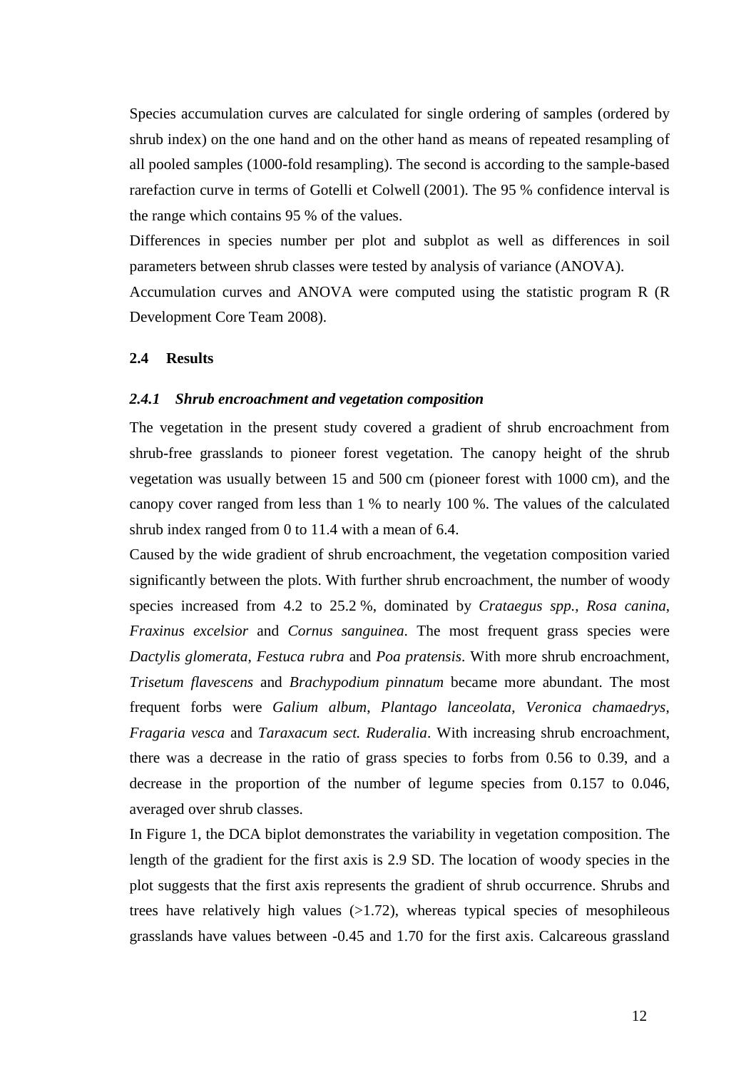Species accumulation curves are calculated for single ordering of samples (ordered by shrub index) on the one hand and on the other hand as means of repeated resampling of all pooled samples (1000-fold resampling). The second is according to the sample-based rarefaction curve in terms of Gotelli et Colwell (2001). The 95 % confidence interval is the range which contains 95 % of the values.

Differences in species number per plot and subplot as well as differences in soil parameters between shrub classes were tested by analysis of variance (ANOVA).

Accumulation curves and ANOVA were computed using the statistic program R (R Development Core Team 2008).

# **2.4 Results**

#### *2.4.1 Shrub encroachment and vegetation composition*

The vegetation in the present study covered a gradient of shrub encroachment from shrub-free grasslands to pioneer forest vegetation. The canopy height of the shrub vegetation was usually between 15 and 500 cm (pioneer forest with 1000 cm), and the canopy cover ranged from less than 1 % to nearly 100 %. The values of the calculated shrub index ranged from 0 to 11.4 with a mean of 6.4.

Caused by the wide gradient of shrub encroachment, the vegetation composition varied significantly between the plots. With further shrub encroachment, the number of woody species increased from 4.2 to 25.2 %, dominated by *Crataegus spp.*, *Rosa canina*, *Fraxinus excelsior* and *Cornus sanguinea*. The most frequent grass species were *Dactylis glomerata*, *Festuca rubra* and *Poa pratensis*. With more shrub encroachment, *Trisetum flavescens* and *Brachypodium pinnatum* became more abundant. The most frequent forbs were *Galium album*, *Plantago lanceolata*, *Veronica chamaedrys*, *Fragaria vesca* and *Taraxacum sect. Ruderalia*. With increasing shrub encroachment, there was a decrease in the ratio of grass species to forbs from 0.56 to 0.39, and a decrease in the proportion of the number of legume species from 0.157 to 0.046, averaged over shrub classes.

In Figure 1, the DCA biplot demonstrates the variability in vegetation composition. The length of the gradient for the first axis is 2.9 SD. The location of woody species in the plot suggests that the first axis represents the gradient of shrub occurrence. Shrubs and trees have relatively high values  $(>1.72)$ , whereas typical species of mesophileous grasslands have values between -0.45 and 1.70 for the first axis. Calcareous grassland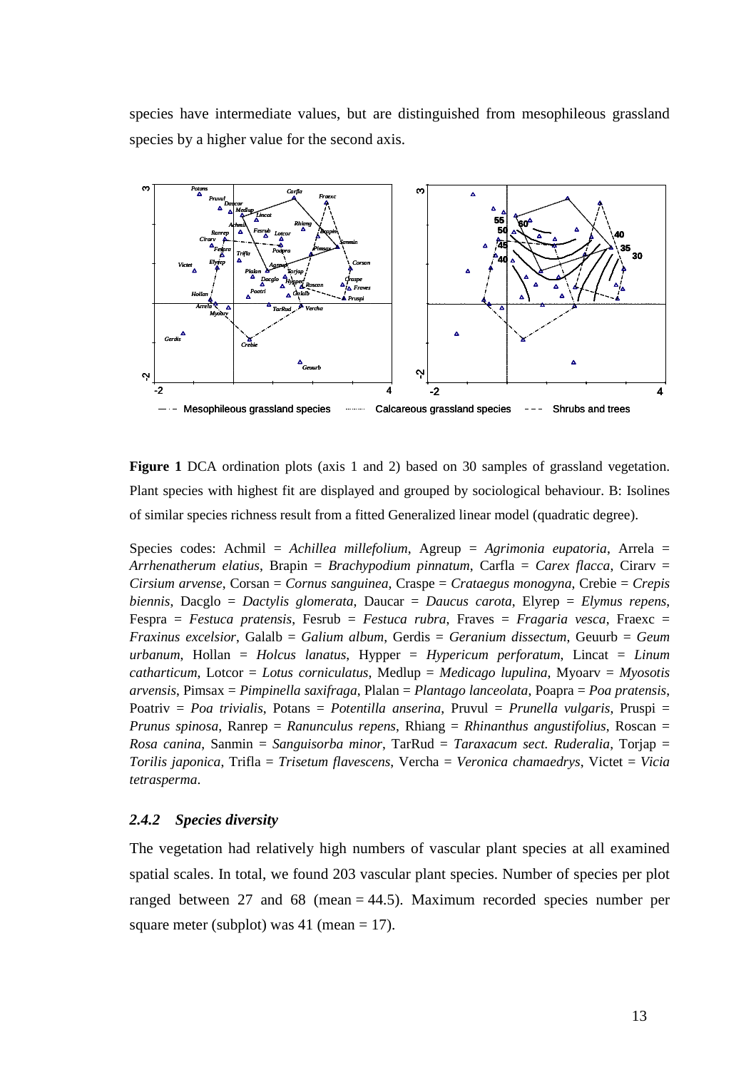species have intermediate values, but are distinguished from mesophileous grassland species by a higher value for the second axis.



**Figure 1** DCA ordination plots (axis 1 and 2) based on 30 samples of grassland vegetation. Plant species with highest fit are displayed and grouped by sociological behaviour. B: Isolines of similar species richness result from a fitted Generalized linear model (quadratic degree).

Species codes: Achmil = *Achillea millefolium*, Agreup = *Agrimonia eupatoria*, Arrela = *Arrhenatherum elatius*, Brapin = *Brachypodium pinnatum*, Carfla = *Carex flacca*, Cirarv = *Cirsium arvense*, Corsan = *Cornus sanguinea*, Craspe = *Crataegus monogyna*, Crebie = *Crepis biennis*, Dacglo = *Dactylis glomerata*, Daucar = *Daucus carota*, Elyrep = *Elymus repens*, Fespra = *Festuca pratensis*, Fesrub = *Festuca rubra*, Fraves = *Fragaria vesca*, Fraexc = *Fraxinus excelsior*, Galalb = *Galium album*, Gerdis = *Geranium dissectum*, Geuurb = *Geum urbanum*, Hollan = *Holcus lanatus*, Hypper = *Hypericum perforatum*, Lincat = *Linum catharticum*, Lotcor = *Lotus corniculatus*, Medlup = *Medicago lupulina*, Myoarv = *Myosotis arvensis*, Pimsax = *Pimpinella saxifraga*, Plalan = *Plantago lanceolata*, Poapra = *Poa pratensis*, Poatriv = *Poa trivialis*, Potans = *Potentilla anserina*, Pruvul = *Prunella vulgaris*, Pruspi = *Prunus spinosa*, Ranrep = *Ranunculus repens*, Rhiang = *Rhinanthus angustifolius*, Roscan = *Rosa canina*, Sanmin = *Sanguisorba minor*, TarRud = *Taraxacum sect. Ruderalia*, Torjap = *Torilis japonica*, Trifla = *Trisetum flavescens*, Vercha = *Veronica chamaedrys*, Victet = *Vicia tetrasperma*.

#### *2.4.2 Species diversity*

The vegetation had relatively high numbers of vascular plant species at all examined spatial scales. In total, we found 203 vascular plant species. Number of species per plot ranged between 27 and 68 (mean  $=$  44.5). Maximum recorded species number per square meter (subplot) was 41 (mean  $= 17$ ).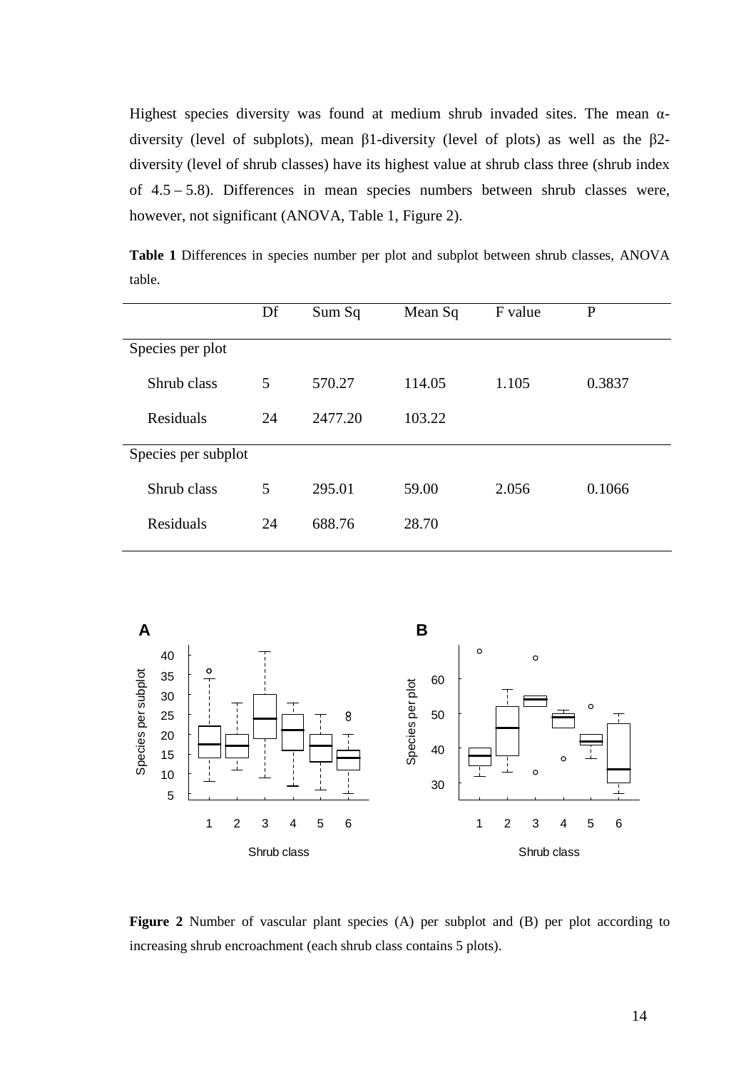Highest species diversity was found at medium shrub invaded sites. The mean  $\alpha$ diversity (level of subplots), mean β1-diversity (level of plots) as well as the β2 diversity (level of shrub classes) have its highest value at shrub class three (shrub index of 4.5 – 5.8). Differences in mean species numbers between shrub classes were, however, not significant (ANOVA, Table 1, Figure 2).

**Table 1** Differences in species number per plot and subplot between shrub classes, ANOVA table.

|                     | Df | Sum Sq  | Mean Sq | F value | $\mathbf{P}$ |
|---------------------|----|---------|---------|---------|--------------|
| Species per plot    |    |         |         |         |              |
| Shrub class         | 5  | 570.27  | 114.05  | 1.105   | 0.3837       |
| Residuals           | 24 | 2477.20 | 103.22  |         |              |
| Species per subplot |    |         |         |         |              |
| Shrub class         | 5  | 295.01  | 59.00   | 2.056   | 0.1066       |
| Residuals           | 24 | 688.76  | 28.70   |         |              |



**Figure 2** Number of vascular plant species (A) per subplot and (B) per plot according to increasing shrub encroachment (each shrub class contains 5 plots).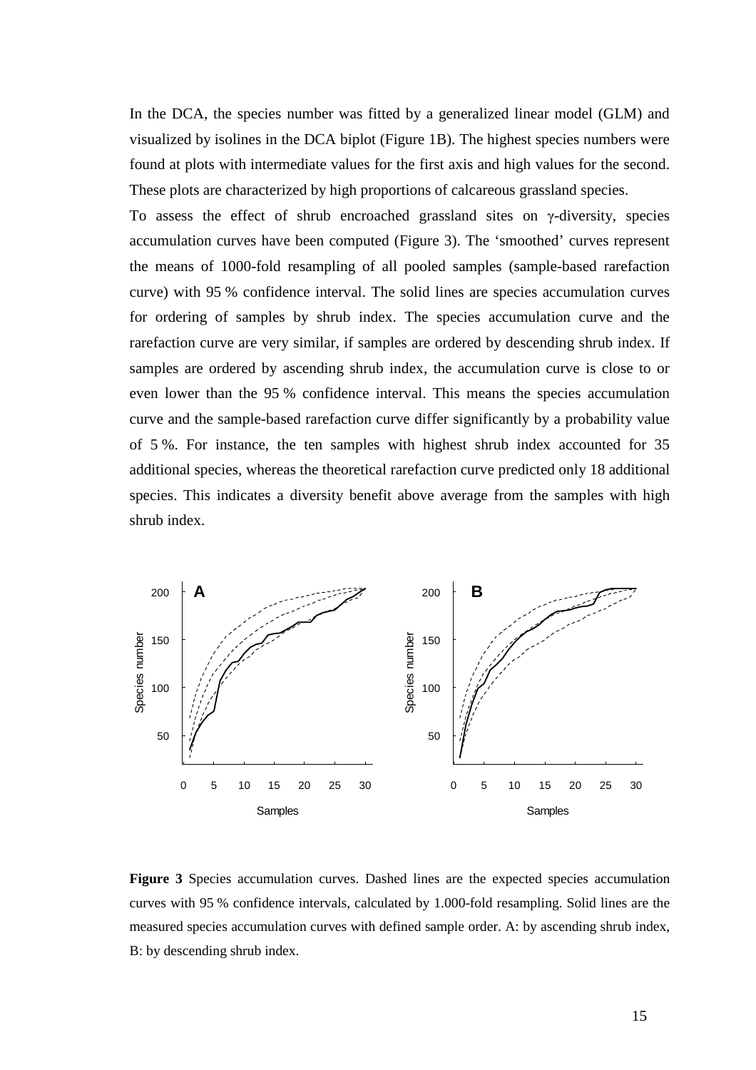In the DCA, the species number was fitted by a generalized linear model (GLM) and visualized by isolines in the DCA biplot (Figure 1B). The highest species numbers were found at plots with intermediate values for the first axis and high values for the second. These plots are characterized by high proportions of calcareous grassland species.

To assess the effect of shrub encroached grassland sites on  $\gamma$ -diversity, species accumulation curves have been computed (Figure 3). The 'smoothed' curves represent the means of 1000-fold resampling of all pooled samples (sample-based rarefaction curve) with 95 % confidence interval. The solid lines are species accumulation curves for ordering of samples by shrub index. The species accumulation curve and the rarefaction curve are very similar, if samples are ordered by descending shrub index. If samples are ordered by ascending shrub index, the accumulation curve is close to or even lower than the 95 % confidence interval. This means the species accumulation curve and the sample-based rarefaction curve differ significantly by a probability value of 5 %. For instance, the ten samples with highest shrub index accounted for 35 additional species, whereas the theoretical rarefaction curve predicted only 18 additional species. This indicates a diversity benefit above average from the samples with high shrub index.



**Figure 3** Species accumulation curves. Dashed lines are the expected species accumulation curves with 95 % confidence intervals, calculated by 1.000-fold resampling. Solid lines are the measured species accumulation curves with defined sample order. A: by ascending shrub index, B: by descending shrub index.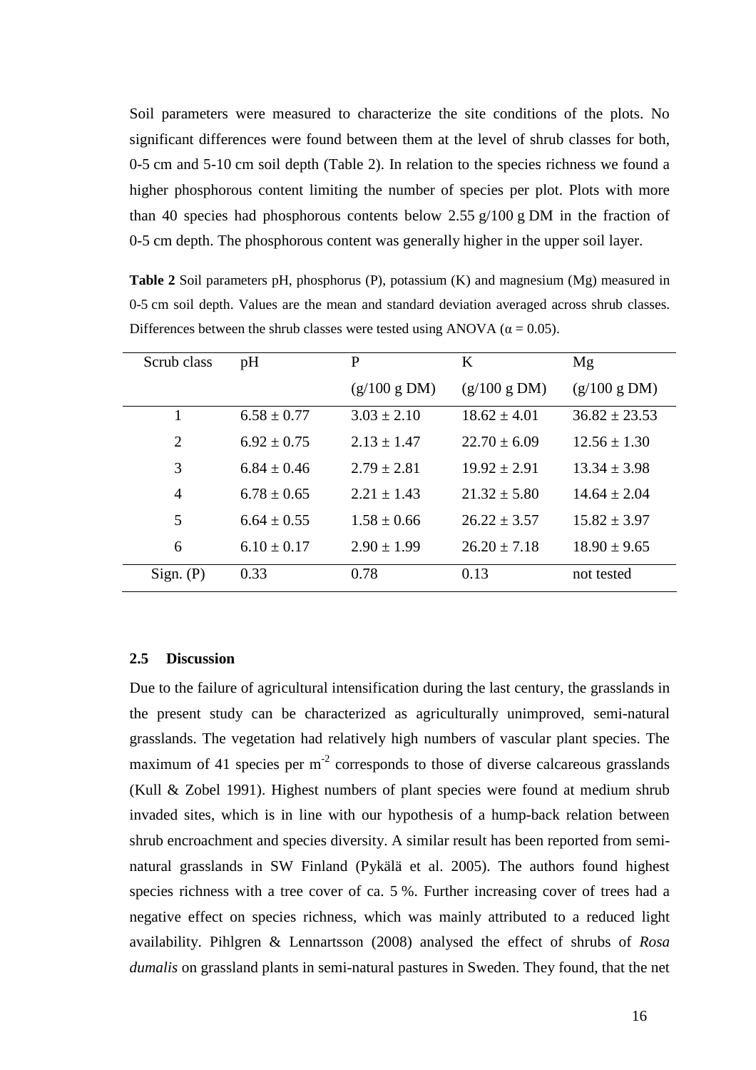Soil parameters were measured to characterize the site conditions of the plots. No significant differences were found between them at the level of shrub classes for both, 0-5 cm and 5-10 cm soil depth (Table 2). In relation to the species richness we found a higher phosphorous content limiting the number of species per plot. Plots with more than 40 species had phosphorous contents below 2.55  $g/100 g$  DM in the fraction of 0-5 cm depth. The phosphorous content was generally higher in the upper soil layer.

**Table 2** Soil parameters pH, phosphorus (P), potassium (K) and magnesium (Mg) measured in 0-5 cm soil depth. Values are the mean and standard deviation averaged across shrub classes. Differences between the shrub classes were tested using ANOVA ( $\alpha$  = 0.05).

| Scrub class    | pH              | P               | K                | Mg                |
|----------------|-----------------|-----------------|------------------|-------------------|
|                |                 | (g/100 g DM)    | (g/100 g DM)     | (g/100 g DM)      |
| 1              | $6.58 \pm 0.77$ | $3.03 \pm 2.10$ | $18.62 \pm 4.01$ | $36.82 \pm 23.53$ |
| $\overline{2}$ | $6.92 \pm 0.75$ | $2.13 + 1.47$   | $22.70 \pm 6.09$ | $12.56 \pm 1.30$  |
| 3              | $6.84 + 0.46$   | $2.79 \pm 2.81$ | $19.92 \pm 2.91$ | $13.34 \pm 3.98$  |
| $\overline{4}$ | $6.78 \pm 0.65$ | $2.21 + 1.43$   | $21.32 \pm 5.80$ | $14.64 + 2.04$    |
| 5              | $6.64 + 0.55$   | $1.58 \pm 0.66$ | $26.22 \pm 3.57$ | $15.82 \pm 3.97$  |
| 6              | $6.10 \pm 0.17$ | $2.90 \pm 1.99$ | $26.20 \pm 7.18$ | $18.90 \pm 9.65$  |
| Sign. (P)      | 0.33            | 0.78            | 0.13             | not tested        |

#### **2.5 Discussion**

Due to the failure of agricultural intensification during the last century, the grasslands in the present study can be characterized as agriculturally unimproved, semi-natural grasslands. The vegetation had relatively high numbers of vascular plant species. The maximum of 41 species per  $m<sup>2</sup>$  corresponds to those of diverse calcareous grasslands (Kull & Zobel 1991). Highest numbers of plant species were found at medium shrub invaded sites, which is in line with our hypothesis of a hump-back relation between shrub encroachment and species diversity. A similar result has been reported from seminatural grasslands in SW Finland (Pykälä et al. 2005). The authors found highest species richness with a tree cover of ca. 5 %. Further increasing cover of trees had a negative effect on species richness, which was mainly attributed to a reduced light availability. Pihlgren & Lennartsson (2008) analysed the effect of shrubs of *Rosa dumalis* on grassland plants in semi-natural pastures in Sweden. They found, that the net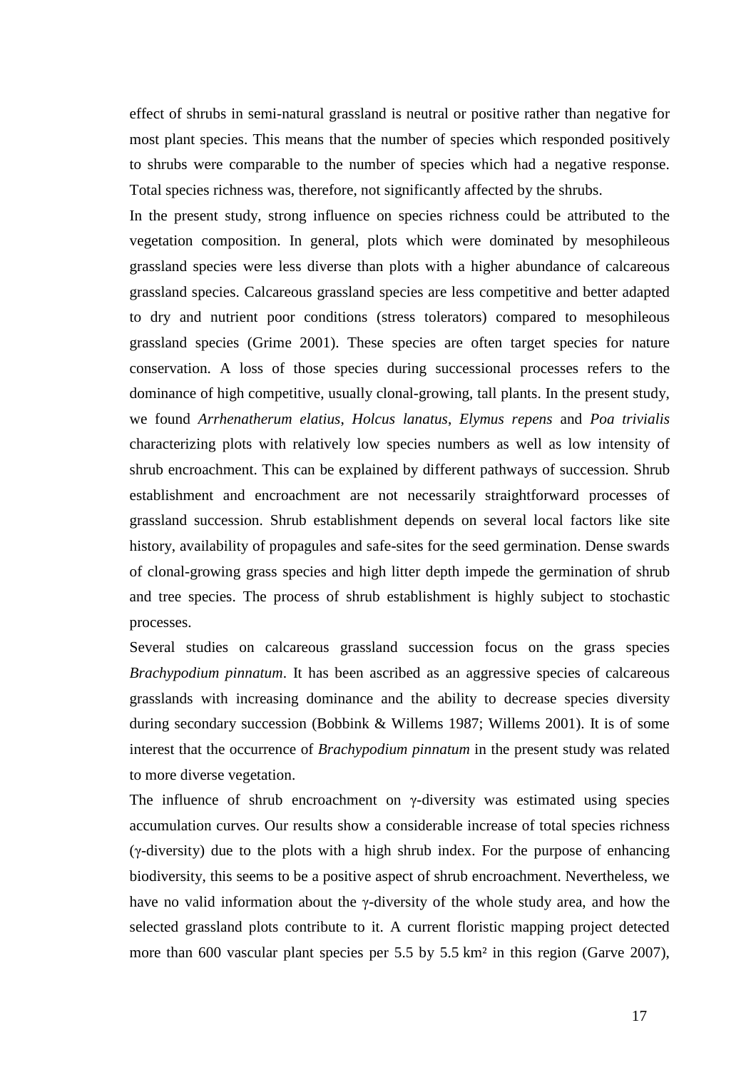effect of shrubs in semi-natural grassland is neutral or positive rather than negative for most plant species. This means that the number of species which responded positively to shrubs were comparable to the number of species which had a negative response. Total species richness was, therefore, not significantly affected by the shrubs.

In the present study, strong influence on species richness could be attributed to the vegetation composition. In general, plots which were dominated by mesophileous grassland species were less diverse than plots with a higher abundance of calcareous grassland species. Calcareous grassland species are less competitive and better adapted to dry and nutrient poor conditions (stress tolerators) compared to mesophileous grassland species (Grime 2001). These species are often target species for nature conservation. A loss of those species during successional processes refers to the dominance of high competitive, usually clonal-growing, tall plants. In the present study, we found *Arrhenatherum elatius*, *Holcus lanatus*, *Elymus repens* and *Poa trivialis* characterizing plots with relatively low species numbers as well as low intensity of shrub encroachment. This can be explained by different pathways of succession. Shrub establishment and encroachment are not necessarily straightforward processes of grassland succession. Shrub establishment depends on several local factors like site history, availability of propagules and safe-sites for the seed germination. Dense swards of clonal-growing grass species and high litter depth impede the germination of shrub and tree species. The process of shrub establishment is highly subject to stochastic processes.

Several studies on calcareous grassland succession focus on the grass species *Brachypodium pinnatum*. It has been ascribed as an aggressive species of calcareous grasslands with increasing dominance and the ability to decrease species diversity during secondary succession (Bobbink & Willems 1987; Willems 2001). It is of some interest that the occurrence of *Brachypodium pinnatum* in the present study was related to more diverse vegetation.

The influence of shrub encroachment on  $\gamma$ -diversity was estimated using species accumulation curves. Our results show a considerable increase of total species richness (γ-diversity) due to the plots with a high shrub index. For the purpose of enhancing biodiversity, this seems to be a positive aspect of shrub encroachment. Nevertheless, we have no valid information about the γ-diversity of the whole study area, and how the selected grassland plots contribute to it. A current floristic mapping project detected more than 600 vascular plant species per 5.5 by 5.5 km² in this region (Garve 2007),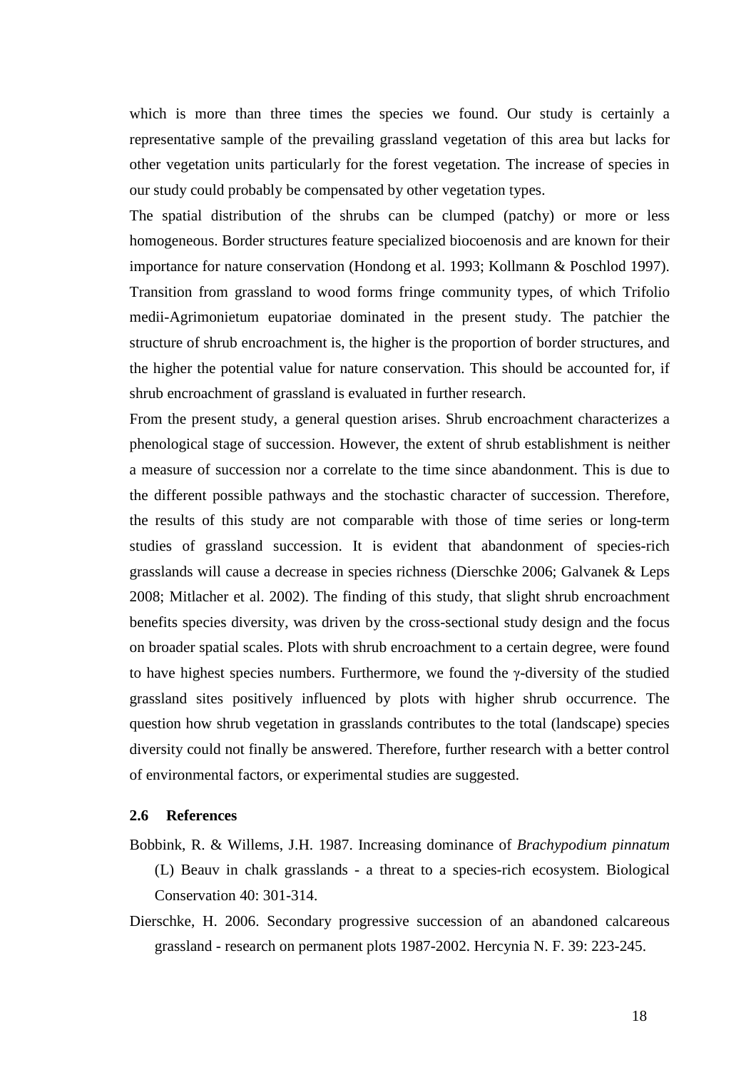which is more than three times the species we found. Our study is certainly a representative sample of the prevailing grassland vegetation of this area but lacks for other vegetation units particularly for the forest vegetation. The increase of species in our study could probably be compensated by other vegetation types.

The spatial distribution of the shrubs can be clumped (patchy) or more or less homogeneous. Border structures feature specialized biocoenosis and are known for their importance for nature conservation (Hondong et al. 1993; Kollmann & Poschlod 1997). Transition from grassland to wood forms fringe community types, of which Trifolio medii-Agrimonietum eupatoriae dominated in the present study. The patchier the structure of shrub encroachment is, the higher is the proportion of border structures, and the higher the potential value for nature conservation. This should be accounted for, if shrub encroachment of grassland is evaluated in further research.

From the present study, a general question arises. Shrub encroachment characterizes a phenological stage of succession. However, the extent of shrub establishment is neither a measure of succession nor a correlate to the time since abandonment. This is due to the different possible pathways and the stochastic character of succession. Therefore, the results of this study are not comparable with those of time series or long-term studies of grassland succession. It is evident that abandonment of species-rich grasslands will cause a decrease in species richness (Dierschke 2006; Galvanek & Leps 2008; Mitlacher et al. 2002). The finding of this study, that slight shrub encroachment benefits species diversity, was driven by the cross-sectional study design and the focus on broader spatial scales. Plots with shrub encroachment to a certain degree, were found to have highest species numbers. Furthermore, we found the γ-diversity of the studied grassland sites positively influenced by plots with higher shrub occurrence. The question how shrub vegetation in grasslands contributes to the total (landscape) species diversity could not finally be answered. Therefore, further research with a better control of environmental factors, or experimental studies are suggested.

# **2.6 References**

- Bobbink, R. & Willems, J.H. 1987. Increasing dominance of *Brachypodium pinnatum*  (L) Beauv in chalk grasslands - a threat to a species-rich ecosystem. Biological Conservation 40: 301-314.
- Dierschke, H. 2006. Secondary progressive succession of an abandoned calcareous grassland - research on permanent plots 1987-2002. Hercynia N. F. 39: 223-245.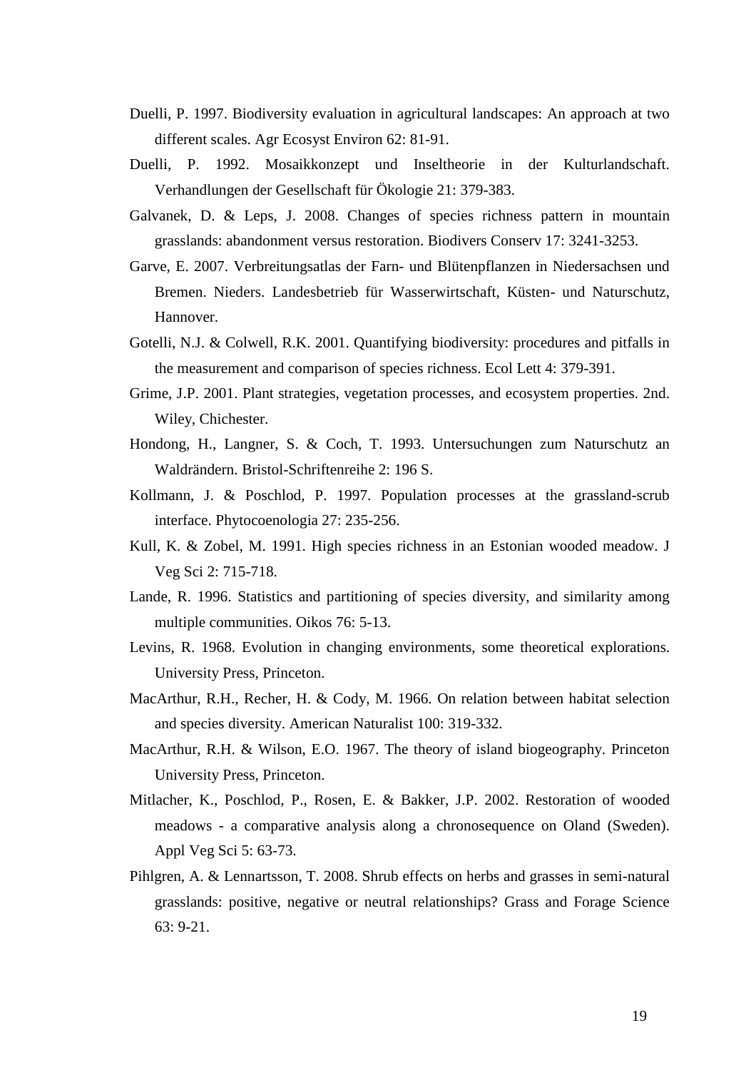- Duelli, P. 1997. Biodiversity evaluation in agricultural landscapes: An approach at two different scales. Agr Ecosyst Environ 62: 81-91.
- Duelli, P. 1992. Mosaikkonzept und Inseltheorie in der Kulturlandschaft. Verhandlungen der Gesellschaft für Ökologie 21: 379-383.
- Galvanek, D. & Leps, J. 2008. Changes of species richness pattern in mountain grasslands: abandonment versus restoration. Biodivers Conserv 17: 3241-3253.
- Garve, E. 2007. Verbreitungsatlas der Farn- und Blütenpflanzen in Niedersachsen und Bremen. Nieders. Landesbetrieb für Wasserwirtschaft, Küsten- und Naturschutz, Hannover.
- Gotelli, N.J. & Colwell, R.K. 2001. Quantifying biodiversity: procedures and pitfalls in the measurement and comparison of species richness. Ecol Lett 4: 379-391.
- Grime, J.P. 2001. Plant strategies, vegetation processes, and ecosystem properties. 2nd. Wiley, Chichester.
- Hondong, H., Langner, S. & Coch, T. 1993. Untersuchungen zum Naturschutz an Waldrändern. Bristol-Schriftenreihe 2: 196 S.
- Kollmann, J. & Poschlod, P. 1997. Population processes at the grassland-scrub interface. Phytocoenologia 27: 235-256.
- Kull, K. & Zobel, M. 1991. High species richness in an Estonian wooded meadow. J Veg Sci 2: 715-718.
- Lande, R. 1996. Statistics and partitioning of species diversity, and similarity among multiple communities. Oikos 76: 5-13.
- Levins, R. 1968. Evolution in changing environments, some theoretical explorations. University Press, Princeton.
- MacArthur, R.H., Recher, H. & Cody, M. 1966. On relation between habitat selection and species diversity. American Naturalist 100: 319-332.
- MacArthur, R.H. & Wilson, E.O. 1967. The theory of island biogeography. Princeton University Press, Princeton.
- Mitlacher, K., Poschlod, P., Rosen, E. & Bakker, J.P. 2002. Restoration of wooded meadows - a comparative analysis along a chronosequence on Oland (Sweden). Appl Veg Sci 5: 63-73.
- Pihlgren, A. & Lennartsson, T. 2008. Shrub effects on herbs and grasses in semi-natural grasslands: positive, negative or neutral relationships? Grass and Forage Science 63: 9-21.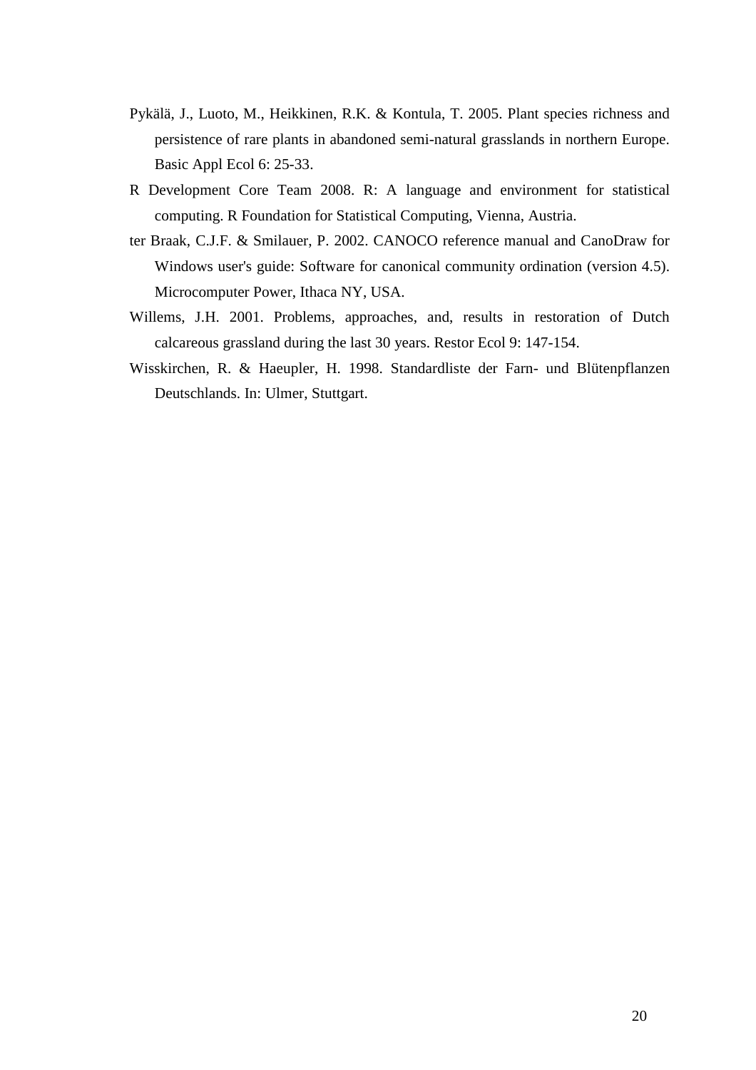- Pykälä, J., Luoto, M., Heikkinen, R.K. & Kontula, T. 2005. Plant species richness and persistence of rare plants in abandoned semi-natural grasslands in northern Europe. Basic Appl Ecol 6: 25-33.
- R Development Core Team 2008. R: A language and environment for statistical computing. R Foundation for Statistical Computing, Vienna, Austria.
- ter Braak, C.J.F. & Smilauer, P. 2002. CANOCO reference manual and CanoDraw for Windows user's guide: Software for canonical community ordination (version 4.5). Microcomputer Power, Ithaca NY, USA.
- Willems, J.H. 2001. Problems, approaches, and, results in restoration of Dutch calcareous grassland during the last 30 years. Restor Ecol 9: 147-154.
- Wisskirchen, R. & Haeupler, H. 1998. Standardliste der Farn- und Blütenpflanzen Deutschlands. In: Ulmer, Stuttgart.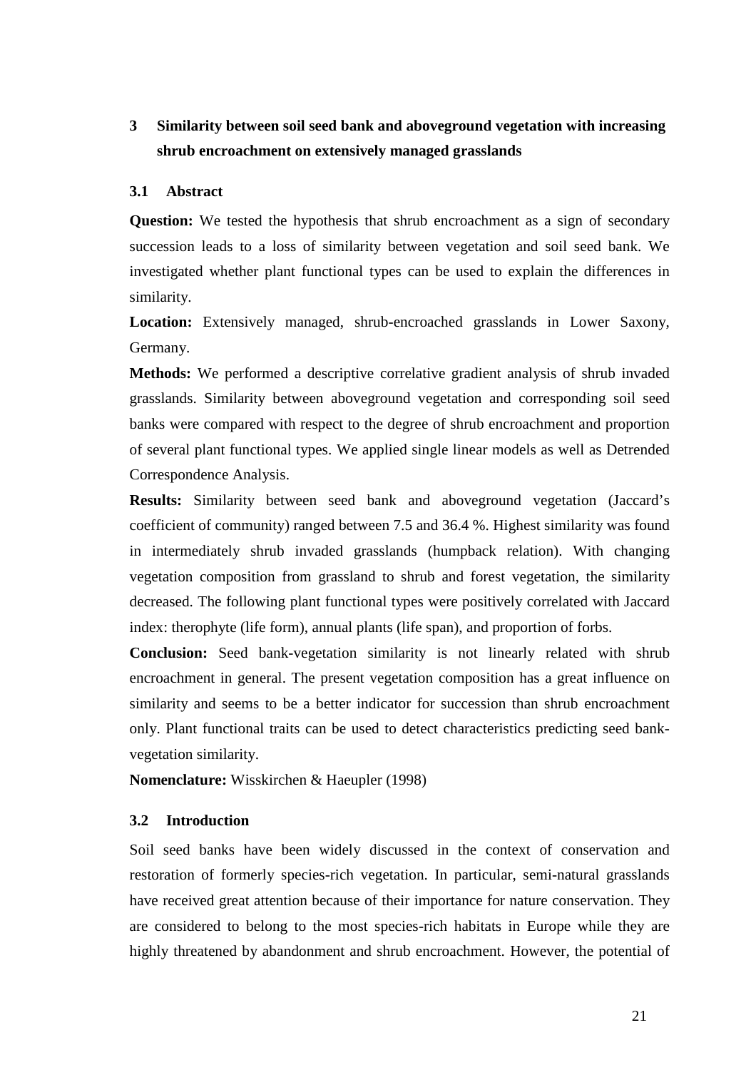# **3 Similarity between soil seed bank and aboveground vegetation with increasing shrub encroachment on extensively managed grasslands**

# **3.1 Abstract**

**Question:** We tested the hypothesis that shrub encroachment as a sign of secondary succession leads to a loss of similarity between vegetation and soil seed bank. We investigated whether plant functional types can be used to explain the differences in similarity.

**Location:** Extensively managed, shrub-encroached grasslands in Lower Saxony, Germany.

**Methods:** We performed a descriptive correlative gradient analysis of shrub invaded grasslands. Similarity between aboveground vegetation and corresponding soil seed banks were compared with respect to the degree of shrub encroachment and proportion of several plant functional types. We applied single linear models as well as Detrended Correspondence Analysis.

**Results:** Similarity between seed bank and aboveground vegetation (Jaccard's coefficient of community) ranged between 7.5 and 36.4 %. Highest similarity was found in intermediately shrub invaded grasslands (humpback relation). With changing vegetation composition from grassland to shrub and forest vegetation, the similarity decreased. The following plant functional types were positively correlated with Jaccard index: therophyte (life form), annual plants (life span), and proportion of forbs.

**Conclusion:** Seed bank-vegetation similarity is not linearly related with shrub encroachment in general. The present vegetation composition has a great influence on similarity and seems to be a better indicator for succession than shrub encroachment only. Plant functional traits can be used to detect characteristics predicting seed bankvegetation similarity.

**Nomenclature:** Wisskirchen & Haeupler (1998)

# **3.2 Introduction**

Soil seed banks have been widely discussed in the context of conservation and restoration of formerly species-rich vegetation. In particular, semi-natural grasslands have received great attention because of their importance for nature conservation. They are considered to belong to the most species-rich habitats in Europe while they are highly threatened by abandonment and shrub encroachment. However, the potential of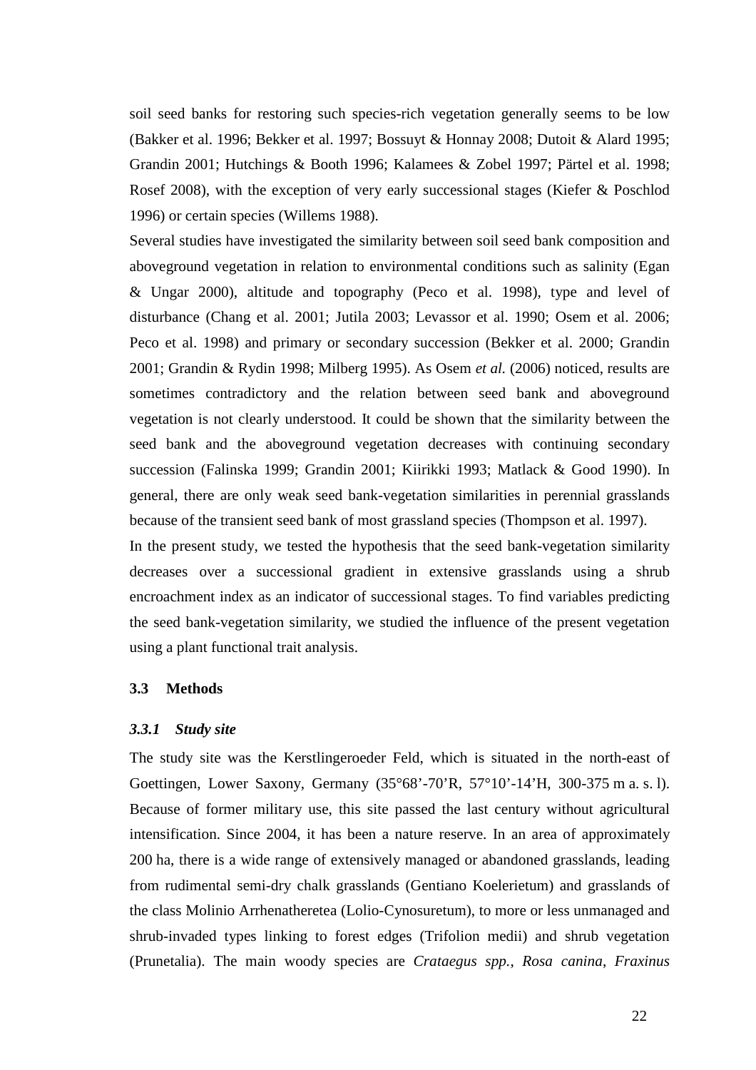soil seed banks for restoring such species-rich vegetation generally seems to be low (Bakker et al. 1996; Bekker et al. 1997; Bossuyt & Honnay 2008; Dutoit & Alard 1995; Grandin 2001; Hutchings & Booth 1996; Kalamees & Zobel 1997; Pärtel et al. 1998; Rosef 2008), with the exception of very early successional stages (Kiefer & Poschlod 1996) or certain species (Willems 1988).

Several studies have investigated the similarity between soil seed bank composition and aboveground vegetation in relation to environmental conditions such as salinity (Egan & Ungar 2000), altitude and topography (Peco et al. 1998), type and level of disturbance (Chang et al. 2001; Jutila 2003; Levassor et al. 1990; Osem et al. 2006; Peco et al. 1998) and primary or secondary succession (Bekker et al. 2000; Grandin 2001; Grandin & Rydin 1998; Milberg 1995). As Osem *et al.* (2006) noticed, results are sometimes contradictory and the relation between seed bank and aboveground vegetation is not clearly understood. It could be shown that the similarity between the seed bank and the aboveground vegetation decreases with continuing secondary succession (Falinska 1999; Grandin 2001; Kiirikki 1993; Matlack & Good 1990). In general, there are only weak seed bank-vegetation similarities in perennial grasslands because of the transient seed bank of most grassland species (Thompson et al. 1997).

In the present study, we tested the hypothesis that the seed bank-vegetation similarity decreases over a successional gradient in extensive grasslands using a shrub encroachment index as an indicator of successional stages. To find variables predicting the seed bank-vegetation similarity, we studied the influence of the present vegetation using a plant functional trait analysis.

# **3.3 Methods**

#### *3.3.1 Study site*

The study site was the Kerstlingeroeder Feld, which is situated in the north-east of Goettingen, Lower Saxony, Germany (35°68'-70'R, 57°10'-14'H, 300-375 m a. s. l). Because of former military use, this site passed the last century without agricultural intensification. Since 2004, it has been a nature reserve. In an area of approximately 200 ha, there is a wide range of extensively managed or abandoned grasslands, leading from rudimental semi-dry chalk grasslands (Gentiano Koelerietum) and grasslands of the class Molinio Arrhenatheretea (Lolio-Cynosuretum), to more or less unmanaged and shrub-invaded types linking to forest edges (Trifolion medii) and shrub vegetation (Prunetalia). The main woody species are *Crataegus spp.*, *Rosa canina*, *Fraxinus*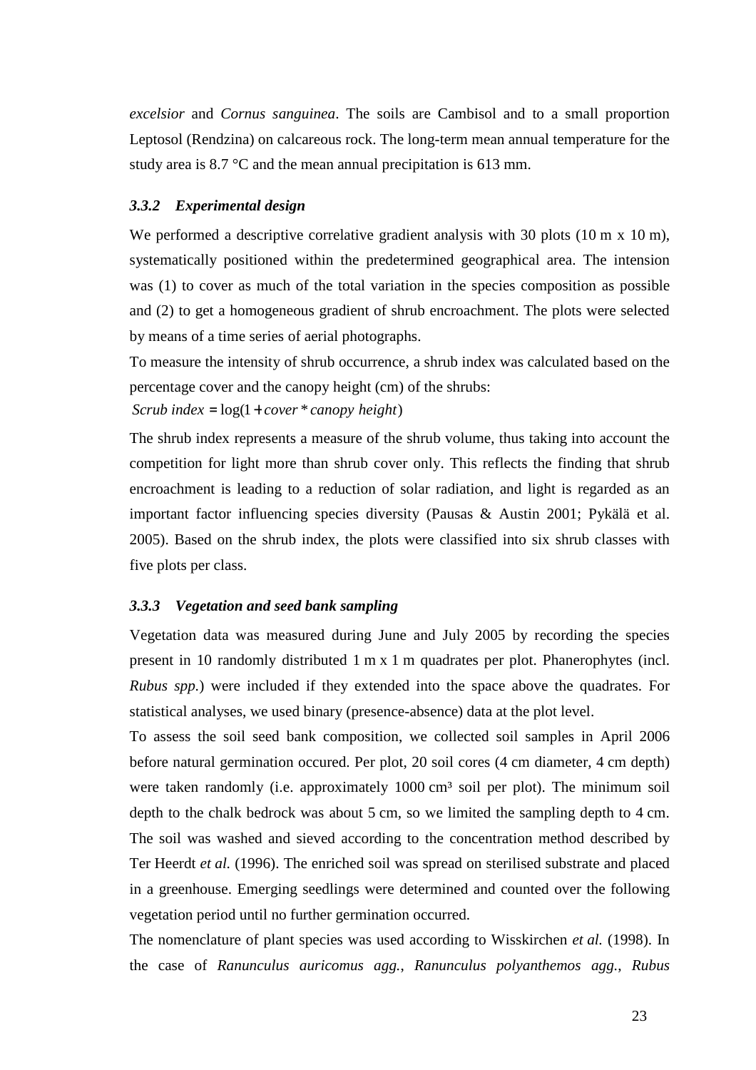*excelsior* and *Cornus sanguinea*. The soils are Cambisol and to a small proportion Leptosol (Rendzina) on calcareous rock. The long-term mean annual temperature for the study area is 8.7 °C and the mean annual precipitation is 613 mm.

### *3.3.2 Experimental design*

We performed a descriptive correlative gradient analysis with 30 plots (10 m x 10 m), systematically positioned within the predetermined geographical area. The intension was (1) to cover as much of the total variation in the species composition as possible and (2) to get a homogeneous gradient of shrub encroachment. The plots were selected by means of a time series of aerial photographs.

To measure the intensity of shrub occurrence, a shrub index was calculated based on the percentage cover and the canopy height (cm) of the shrubs: *Scrub index* =  $log(1 + cover * canopy height)$ 

The shrub index represents a measure of the shrub volume, thus taking into account the competition for light more than shrub cover only. This reflects the finding that shrub encroachment is leading to a reduction of solar radiation, and light is regarded as an important factor influencing species diversity (Pausas & Austin 2001; Pykälä et al. 2005). Based on the shrub index, the plots were classified into six shrub classes with five plots per class.

## *3.3.3 Vegetation and seed bank sampling*

Vegetation data was measured during June and July 2005 by recording the species present in 10 randomly distributed 1 m x 1 m quadrates per plot. Phanerophytes (incl. *Rubus spp.*) were included if they extended into the space above the quadrates. For statistical analyses, we used binary (presence-absence) data at the plot level.

To assess the soil seed bank composition, we collected soil samples in April 2006 before natural germination occured. Per plot, 20 soil cores (4 cm diameter, 4 cm depth) were taken randomly (i.e. approximately  $1000 \text{ cm}^3$  soil per plot). The minimum soil depth to the chalk bedrock was about 5 cm, so we limited the sampling depth to 4 cm. The soil was washed and sieved according to the concentration method described by Ter Heerdt *et al.* (1996). The enriched soil was spread on sterilised substrate and placed in a greenhouse. Emerging seedlings were determined and counted over the following vegetation period until no further germination occurred.

The nomenclature of plant species was used according to Wisskirchen *et al.* (1998). In the case of *Ranunculus auricomus agg.*, *Ranunculus polyanthemos agg.*, *Rubus*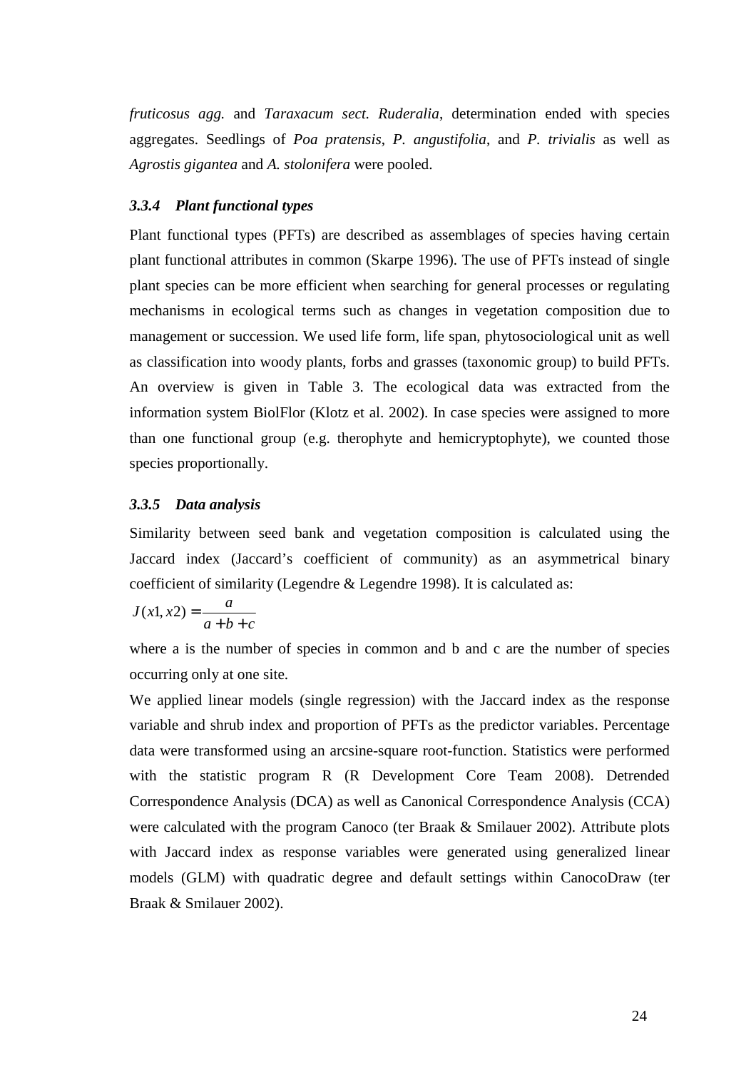*fruticosus agg.* and *Taraxacum sect. Ruderalia*, determination ended with species aggregates. Seedlings of *Poa pratensis*, *P. angustifolia*, and *P. trivialis* as well as *Agrostis gigantea* and *A. stolonifera* were pooled.

## *3.3.4 Plant functional types*

Plant functional types (PFTs) are described as assemblages of species having certain plant functional attributes in common (Skarpe 1996). The use of PFTs instead of single plant species can be more efficient when searching for general processes or regulating mechanisms in ecological terms such as changes in vegetation composition due to management or succession. We used life form, life span, phytosociological unit as well as classification into woody plants, forbs and grasses (taxonomic group) to build PFTs. An overview is given in Table 3. The ecological data was extracted from the information system BiolFlor (Klotz et al. 2002). In case species were assigned to more than one functional group (e.g. therophyte and hemicryptophyte), we counted those species proportionally.

## *3.3.5 Data analysis*

Similarity between seed bank and vegetation composition is calculated using the Jaccard index (Jaccard's coefficient of community) as an asymmetrical binary coefficient of similarity (Legendre & Legendre 1998). It is calculated as:

$$
J(x1, x2) = \frac{a}{a+b+c}
$$

where a is the number of species in common and b and c are the number of species occurring only at one site.

We applied linear models (single regression) with the Jaccard index as the response variable and shrub index and proportion of PFTs as the predictor variables. Percentage data were transformed using an arcsine-square root-function. Statistics were performed with the statistic program R (R Development Core Team 2008). Detrended Correspondence Analysis (DCA) as well as Canonical Correspondence Analysis (CCA) were calculated with the program Canoco (ter Braak & Smilauer 2002). Attribute plots with Jaccard index as response variables were generated using generalized linear models (GLM) with quadratic degree and default settings within CanocoDraw (ter Braak & Smilauer 2002).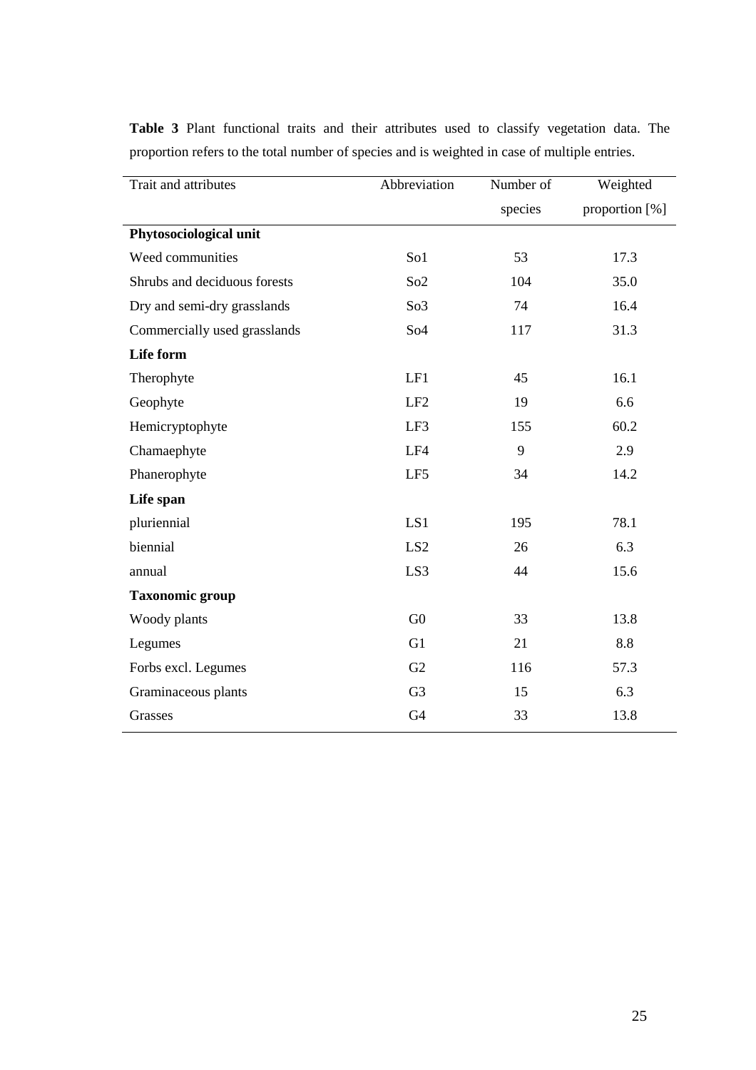| Trait and attributes         | Abbreviation    | Number of | Weighted       |
|------------------------------|-----------------|-----------|----------------|
|                              |                 | species   | proportion [%] |
| Phytosociological unit       |                 |           |                |
| Weed communities             | So1             | 53        | 17.3           |
| Shrubs and deciduous forests | So <sub>2</sub> | 104       | 35.0           |
| Dry and semi-dry grasslands  | So <sub>3</sub> | 74        | 16.4           |
| Commercially used grasslands | So <sub>4</sub> | 117       | 31.3           |
| Life form                    |                 |           |                |
| Therophyte                   | LF1             | 45        | 16.1           |
| Geophyte                     | LF <sub>2</sub> | 19        | 6.6            |
| Hemicryptophyte              | LF3             | 155       | 60.2           |
| Chamaephyte                  | LF4             | 9         | 2.9            |
| Phanerophyte                 | LF5             | 34        | 14.2           |
| Life span                    |                 |           |                |
| pluriennial                  | LS1             | 195       | 78.1           |
| biennial                     | LS <sub>2</sub> | 26        | 6.3            |
| annual                       | LS3             | 44        | 15.6           |
| <b>Taxonomic group</b>       |                 |           |                |
| Woody plants                 | G <sub>0</sub>  | 33        | 13.8           |
| Legumes                      | G1              | 21        | 8.8            |
| Forbs excl. Legumes          | G2              | 116       | 57.3           |
| Graminaceous plants          | G <sub>3</sub>  | 15        | 6.3            |
| Grasses                      | G <sub>4</sub>  | 33        | 13.8           |

**Table 3** Plant functional traits and their attributes used to classify vegetation data. The proportion refers to the total number of species and is weighted in case of multiple entries.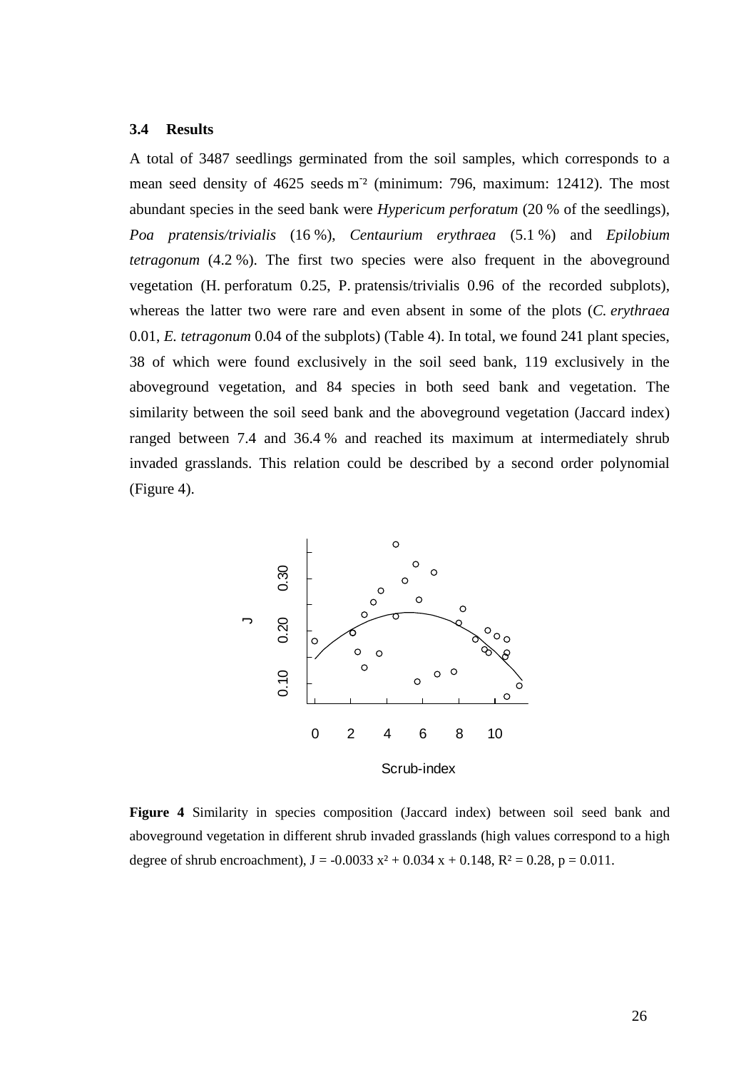#### **3.4 Results**

A total of 3487 seedlings germinated from the soil samples, which corresponds to a mean seed density of 4625 seeds m<sup>-2</sup> (minimum: 796, maximum: 12412). The most abundant species in the seed bank were *Hypericum perforatum* (20 % of the seedlings), *Poa pratensis/trivialis* (16 %), *Centaurium erythraea* (5.1 %) and *Epilobium tetragonum* (4.2 %). The first two species were also frequent in the aboveground vegetation (H. perforatum 0.25, P. pratensis/trivialis 0.96 of the recorded subplots), whereas the latter two were rare and even absent in some of the plots (*C. erythraea* 0.01, *E. tetragonum* 0.04 of the subplots) (Table 4). In total, we found 241 plant species, 38 of which were found exclusively in the soil seed bank, 119 exclusively in the aboveground vegetation, and 84 species in both seed bank and vegetation. The similarity between the soil seed bank and the aboveground vegetation (Jaccard index) ranged between 7.4 and 36.4 % and reached its maximum at intermediately shrub invaded grasslands. This relation could be described by a second order polynomial (Figure 4).



**Figure 4** Similarity in species composition (Jaccard index) between soil seed bank and aboveground vegetation in different shrub invaded grasslands (high values correspond to a high degree of shrub encroachment),  $J = -0.0033 x^2 + 0.034 x + 0.148$ ,  $R^2 = 0.28$ ,  $p = 0.011$ .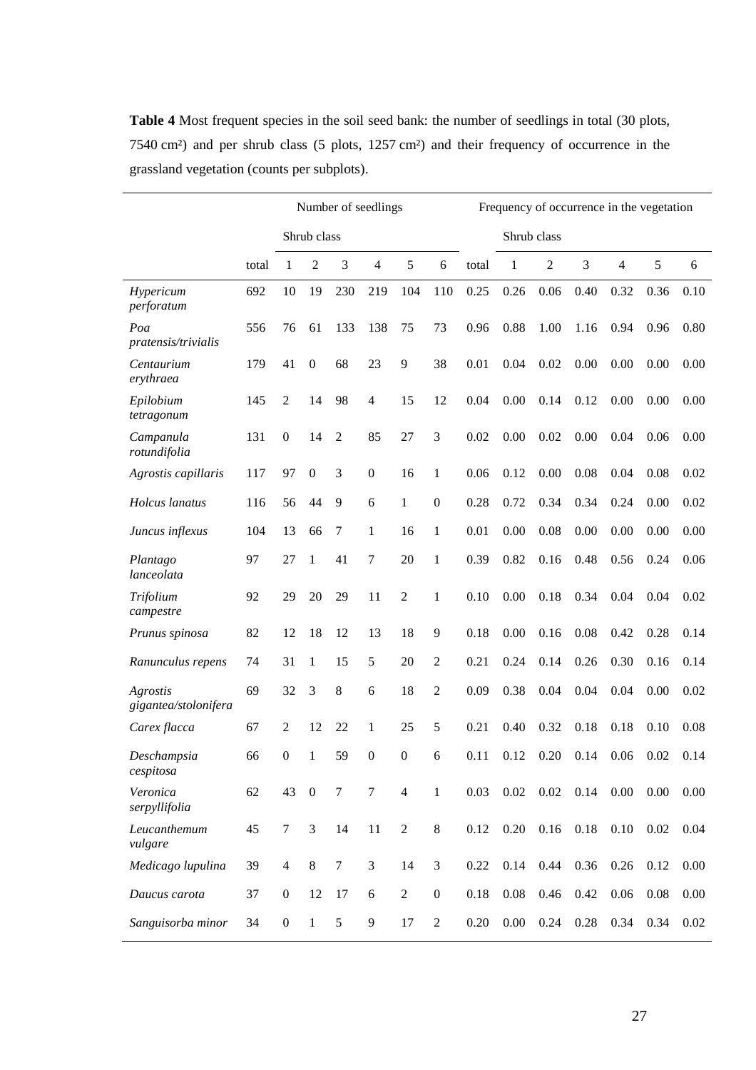|                                  |       | Number of seedlings |                  |                |                          | Frequency of occurrence in the vegetation |                  |       |             |              |      |                |      |      |
|----------------------------------|-------|---------------------|------------------|----------------|--------------------------|-------------------------------------------|------------------|-------|-------------|--------------|------|----------------|------|------|
|                                  |       |                     | Shrub class      |                |                          |                                           |                  |       | Shrub class |              |      |                |      |      |
|                                  | total | 1                   | $\overline{2}$   | 3              | $\overline{\mathcal{L}}$ | 5                                         | 6                | total | 1           | $\mathbf{2}$ | 3    | $\overline{4}$ | 5    | 6    |
| Hypericum<br>perforatum          | 692   | 10                  | 19               | 230            | 219                      | 104                                       | 110              | 0.25  | 0.26        | 0.06         | 0.40 | 0.32           | 0.36 | 0.10 |
| Poa<br>pratensis/trivialis       | 556   | 76                  | 61               | 133            | 138                      | 75                                        | 73               | 0.96  | 0.88        | 1.00         | 1.16 | 0.94           | 0.96 | 0.80 |
| Centaurium<br>erythraea          | 179   | 41                  | $\boldsymbol{0}$ | 68             | 23                       | 9                                         | 38               | 0.01  | 0.04        | 0.02         | 0.00 | 0.00           | 0.00 | 0.00 |
| Epilobium<br>tetragonum          | 145   | $\overline{2}$      | 14               | 98             | $\overline{4}$           | 15                                        | 12               | 0.04  | 0.00        | 0.14         | 0.12 | 0.00           | 0.00 | 0.00 |
| Campanula<br>rotundifolia        | 131   | $\boldsymbol{0}$    | 14               | $\overline{2}$ | 85                       | 27                                        | 3                | 0.02  | 0.00        | 0.02         | 0.00 | 0.04           | 0.06 | 0.00 |
| Agrostis capillaris              | 117   | 97                  | $\boldsymbol{0}$ | 3              | $\boldsymbol{0}$         | 16                                        | $\mathbf{1}$     | 0.06  | 0.12        | 0.00         | 0.08 | 0.04           | 0.08 | 0.02 |
| Holcus lanatus                   | 116   | 56                  | 44               | 9              | 6                        | $\mathbf{1}$                              | $\boldsymbol{0}$ | 0.28  | 0.72        | 0.34         | 0.34 | 0.24           | 0.00 | 0.02 |
| Juncus inflexus                  | 104   | 13                  | 66               | 7              | $\mathbf{1}$             | 16                                        | $\mathbf{1}$     | 0.01  | 0.00        | 0.08         | 0.00 | 0.00           | 0.00 | 0.00 |
| Plantago<br>lanceolata           | 97    | 27                  | 1                | 41             | 7                        | 20                                        | $\mathbf{1}$     | 0.39  | 0.82        | 0.16         | 0.48 | 0.56           | 0.24 | 0.06 |
| Trifolium<br>campestre           | 92    | 29                  | 20               | 29             | 11                       | $\mathfrak{2}$                            | $\mathbf{1}$     | 0.10  | 0.00        | 0.18         | 0.34 | 0.04           | 0.04 | 0.02 |
| Prunus spinosa                   | 82    | 12                  | 18               | 12             | 13                       | 18                                        | 9                | 0.18  | 0.00        | 0.16         | 0.08 | 0.42           | 0.28 | 0.14 |
| Ranunculus repens                | 74    | 31                  | 1                | 15             | 5                        | 20                                        | $\mathfrak{2}$   | 0.21  | 0.24        | 0.14         | 0.26 | 0.30           | 0.16 | 0.14 |
| Agrostis<br>gigantea/stolonifera | 69    | 32                  | 3                | 8              | 6                        | 18                                        | $\mathfrak 2$    | 0.09  | 0.38        | 0.04         | 0.04 | 0.04           | 0.00 | 0.02 |
| Carex flacca                     | 67    | $\overline{2}$      | 12               | 22             | $\mathbf{1}$             | 25                                        | 5                | 0.21  | 0.40        | 0.32         | 0.18 | 0.18           | 0.10 | 0.08 |
| Deschampsia<br>cespitosa         | 66    | $\boldsymbol{0}$    | 1                | 59             | $\mathbf{0}$             | $\boldsymbol{0}$                          | 6                | 0.11  | 0.12        | 0.20         | 0.14 | 0.06           | 0.02 | 0.14 |
| Veronica<br>serpyllifolia        | 62    | 43                  | $\boldsymbol{0}$ | 7              | 7                        | $\overline{4}$                            | $\mathbf{1}$     | 0.03  | $0.02\,$    | $0.02\,$     | 0.14 | 0.00           | 0.00 | 0.00 |
| Leucanthemum<br>vulgare          | 45    | $\tau$              | $\mathfrak{Z}$   | 14             | 11                       | $\overline{c}$                            | $8\,$            | 0.12  | 0.20        | 0.16         | 0.18 | 0.10           | 0.02 | 0.04 |
| Medicago lupulina                | 39    | $\overline{4}$      | $\,8\,$          | $\tau$         | 3                        | 14                                        | $\mathfrak{Z}$   | 0.22  | 0.14        | 0.44         | 0.36 | 0.26           | 0.12 | 0.00 |
| Daucus carota                    | 37    | $\boldsymbol{0}$    | 12               | 17             | 6                        | $\overline{c}$                            | $\boldsymbol{0}$ | 0.18  | $0.08\,$    | 0.46         | 0.42 | 0.06           | 0.08 | 0.00 |
| Sanguisorba minor                | 34    | $\boldsymbol{0}$    | $\mathbf{1}$     | 5              | 9                        | 17                                        | $\boldsymbol{2}$ | 0.20  | 0.00        | 0.24         | 0.28 | 0.34           | 0.34 | 0.02 |

**Table 4** Most frequent species in the soil seed bank: the number of seedlings in total (30 plots, 7540 cm²) and per shrub class (5 plots, 1257 cm²) and their frequency of occurrence in the grassland vegetation (counts per subplots).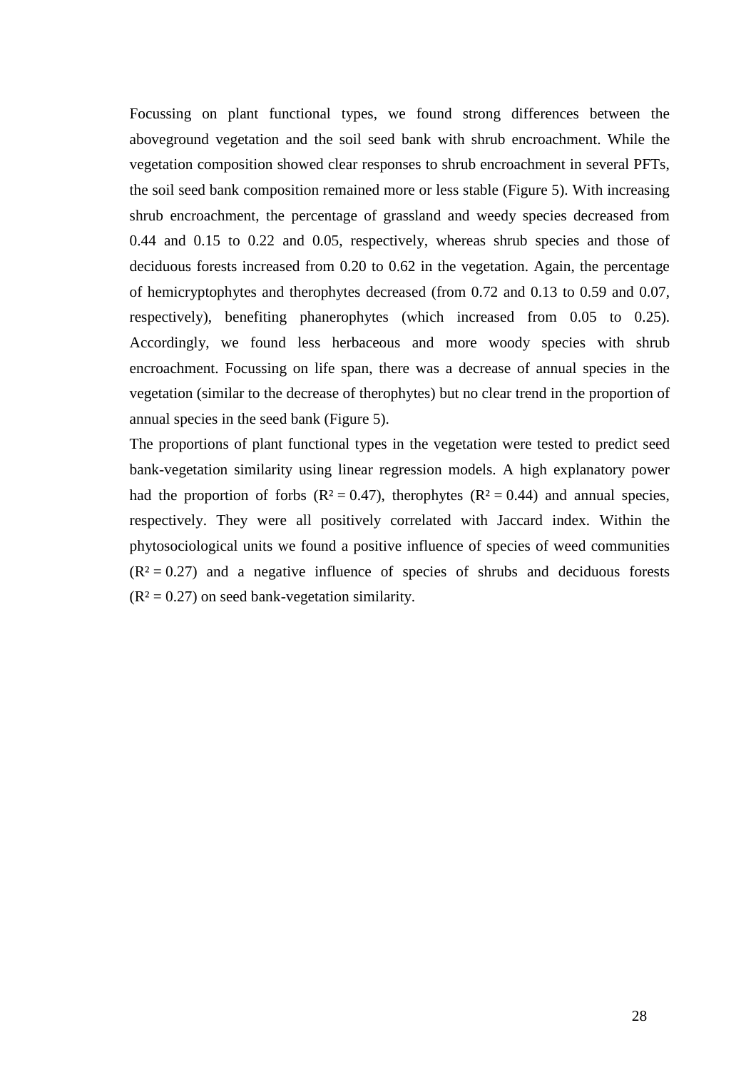Focussing on plant functional types, we found strong differences between the aboveground vegetation and the soil seed bank with shrub encroachment. While the vegetation composition showed clear responses to shrub encroachment in several PFTs, the soil seed bank composition remained more or less stable (Figure 5). With increasing shrub encroachment, the percentage of grassland and weedy species decreased from 0.44 and 0.15 to 0.22 and 0.05, respectively, whereas shrub species and those of deciduous forests increased from 0.20 to 0.62 in the vegetation. Again, the percentage of hemicryptophytes and therophytes decreased (from 0.72 and 0.13 to 0.59 and 0.07, respectively), benefiting phanerophytes (which increased from 0.05 to 0.25). Accordingly, we found less herbaceous and more woody species with shrub encroachment. Focussing on life span, there was a decrease of annual species in the vegetation (similar to the decrease of therophytes) but no clear trend in the proportion of annual species in the seed bank (Figure 5).

The proportions of plant functional types in the vegetation were tested to predict seed bank-vegetation similarity using linear regression models. A high explanatory power had the proportion of forbs  $(R^2 = 0.47)$ , therophytes  $(R^2 = 0.44)$  and annual species, respectively. They were all positively correlated with Jaccard index. Within the phytosociological units we found a positive influence of species of weed communities  $(R<sup>2</sup> = 0.27)$  and a negative influence of species of shrubs and deciduous forests  $(R<sup>2</sup> = 0.27)$  on seed bank-vegetation similarity.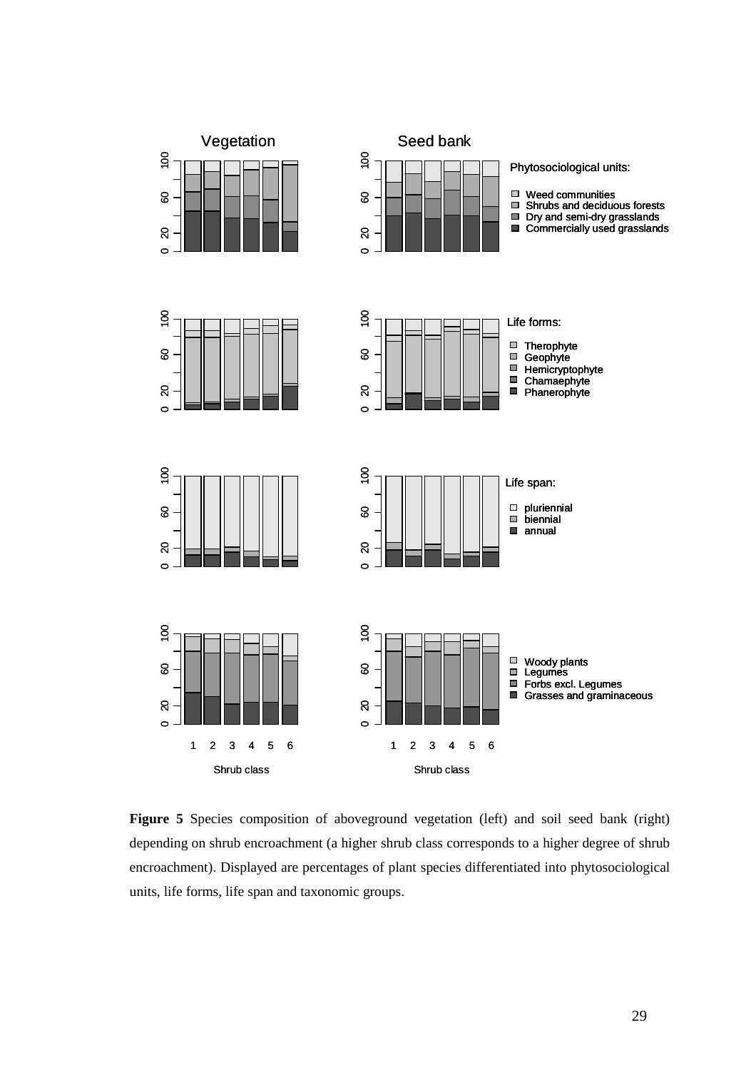

**Figure 5** Species composition of aboveground vegetation (left) and soil seed bank (right) depending on shrub encroachment (a higher shrub class corresponds to a higher degree of shrub encroachment). Displayed are percentages of plant species differentiated into phytosociological units, life forms, life span and taxonomic groups.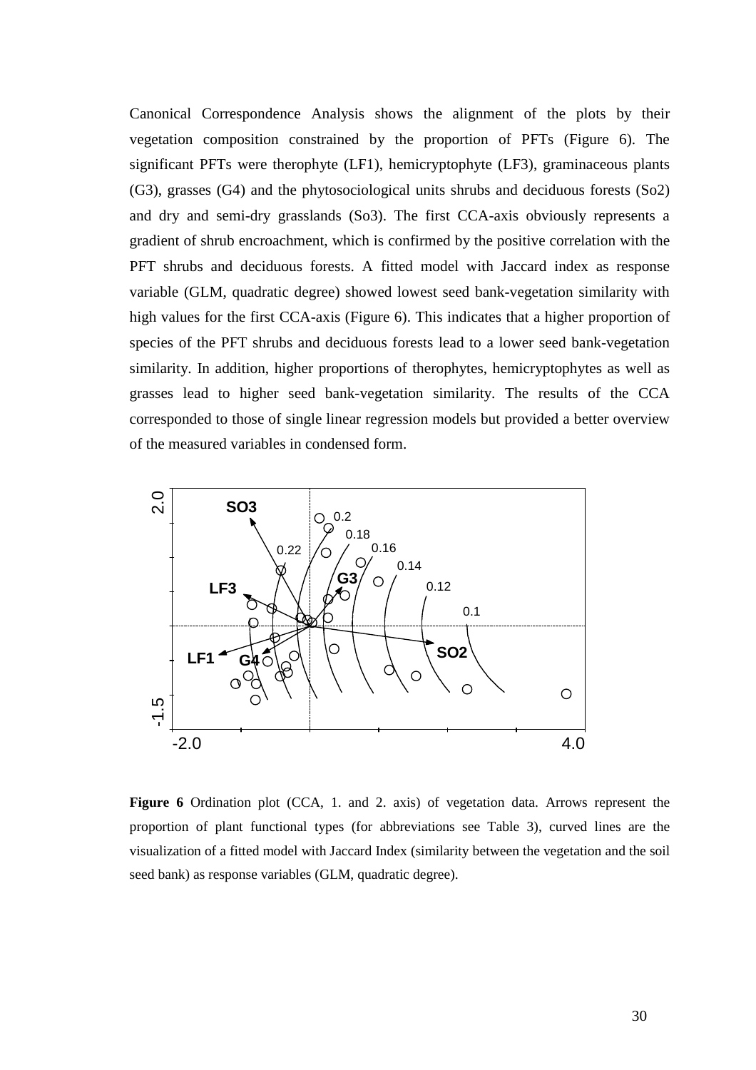Canonical Correspondence Analysis shows the alignment of the plots by their vegetation composition constrained by the proportion of PFTs (Figure 6). The significant PFTs were therophyte (LF1), hemicryptophyte (LF3), graminaceous plants (G3), grasses (G4) and the phytosociological units shrubs and deciduous forests (So2) and dry and semi-dry grasslands (So3). The first CCA-axis obviously represents a gradient of shrub encroachment, which is confirmed by the positive correlation with the PFT shrubs and deciduous forests. A fitted model with Jaccard index as response variable (GLM, quadratic degree) showed lowest seed bank-vegetation similarity with high values for the first CCA-axis (Figure 6). This indicates that a higher proportion of species of the PFT shrubs and deciduous forests lead to a lower seed bank-vegetation similarity. In addition, higher proportions of therophytes, hemicryptophytes as well as grasses lead to higher seed bank-vegetation similarity. The results of the CCA corresponded to those of single linear regression models but provided a better overview of the measured variables in condensed form.



**Figure 6** Ordination plot (CCA, 1. and 2. axis) of vegetation data. Arrows represent the proportion of plant functional types (for abbreviations see Table 3), curved lines are the visualization of a fitted model with Jaccard Index (similarity between the vegetation and the soil seed bank) as response variables (GLM, quadratic degree).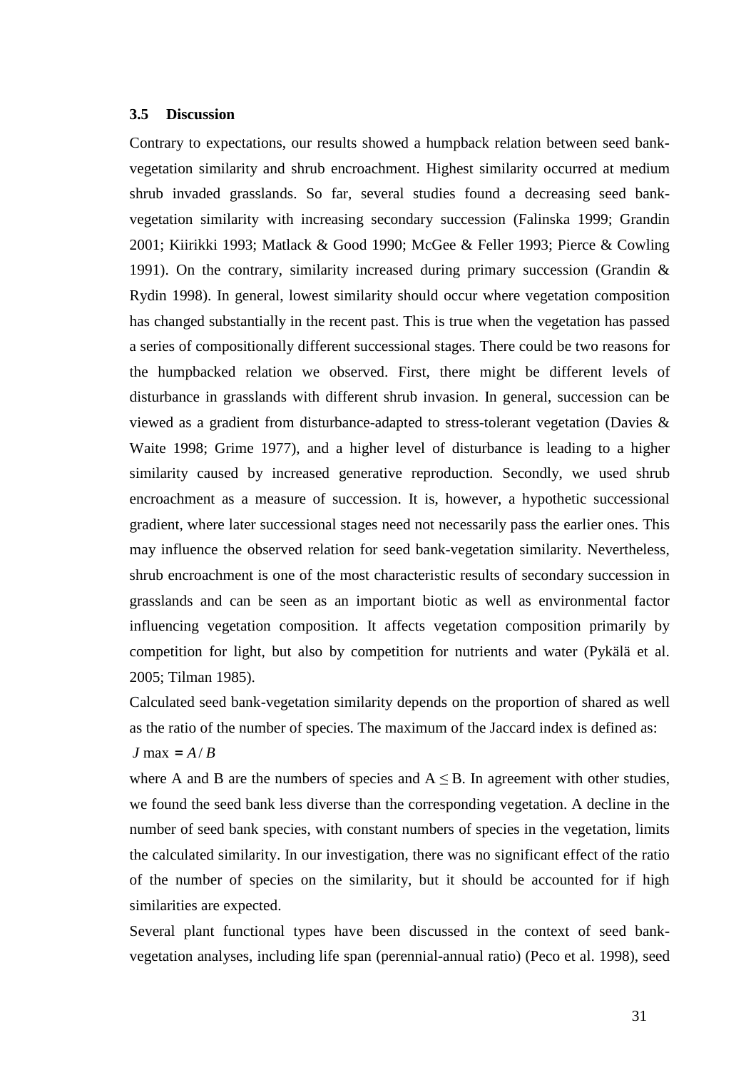### **3.5 Discussion**

Contrary to expectations, our results showed a humpback relation between seed bankvegetation similarity and shrub encroachment. Highest similarity occurred at medium shrub invaded grasslands. So far, several studies found a decreasing seed bankvegetation similarity with increasing secondary succession (Falinska 1999; Grandin 2001; Kiirikki 1993; Matlack & Good 1990; McGee & Feller 1993; Pierce & Cowling 1991). On the contrary, similarity increased during primary succession (Grandin & Rydin 1998). In general, lowest similarity should occur where vegetation composition has changed substantially in the recent past. This is true when the vegetation has passed a series of compositionally different successional stages. There could be two reasons for the humpbacked relation we observed. First, there might be different levels of disturbance in grasslands with different shrub invasion. In general, succession can be viewed as a gradient from disturbance-adapted to stress-tolerant vegetation (Davies & Waite 1998; Grime 1977), and a higher level of disturbance is leading to a higher similarity caused by increased generative reproduction. Secondly, we used shrub encroachment as a measure of succession. It is, however, a hypothetic successional gradient, where later successional stages need not necessarily pass the earlier ones. This may influence the observed relation for seed bank-vegetation similarity. Nevertheless, shrub encroachment is one of the most characteristic results of secondary succession in grasslands and can be seen as an important biotic as well as environmental factor influencing vegetation composition. It affects vegetation composition primarily by competition for light, but also by competition for nutrients and water (Pykälä et al. 2005; Tilman 1985).

Calculated seed bank-vegetation similarity depends on the proportion of shared as well as the ratio of the number of species. The maximum of the Jaccard index is defined as:

 $J$  max =  $A/B$ 

where A and B are the numbers of species and  $A \leq B$ . In agreement with other studies, we found the seed bank less diverse than the corresponding vegetation. A decline in the number of seed bank species, with constant numbers of species in the vegetation, limits the calculated similarity. In our investigation, there was no significant effect of the ratio of the number of species on the similarity, but it should be accounted for if high similarities are expected.

Several plant functional types have been discussed in the context of seed bankvegetation analyses, including life span (perennial-annual ratio) (Peco et al. 1998), seed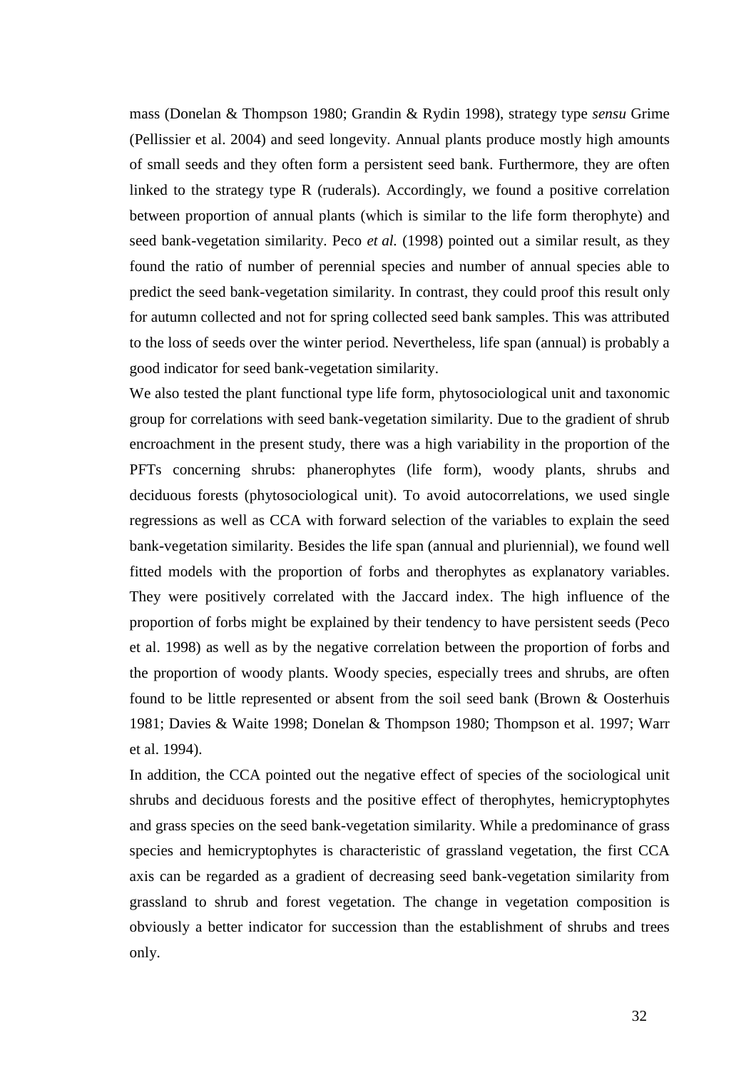mass (Donelan & Thompson 1980; Grandin & Rydin 1998), strategy type *sensu* Grime (Pellissier et al. 2004) and seed longevity. Annual plants produce mostly high amounts of small seeds and they often form a persistent seed bank. Furthermore, they are often linked to the strategy type R (ruderals). Accordingly, we found a positive correlation between proportion of annual plants (which is similar to the life form therophyte) and seed bank-vegetation similarity. Peco *et al.* (1998) pointed out a similar result, as they found the ratio of number of perennial species and number of annual species able to predict the seed bank-vegetation similarity. In contrast, they could proof this result only for autumn collected and not for spring collected seed bank samples. This was attributed to the loss of seeds over the winter period. Nevertheless, life span (annual) is probably a good indicator for seed bank-vegetation similarity.

We also tested the plant functional type life form, phytosociological unit and taxonomic group for correlations with seed bank-vegetation similarity. Due to the gradient of shrub encroachment in the present study, there was a high variability in the proportion of the PFTs concerning shrubs: phanerophytes (life form), woody plants, shrubs and deciduous forests (phytosociological unit). To avoid autocorrelations, we used single regressions as well as CCA with forward selection of the variables to explain the seed bank-vegetation similarity. Besides the life span (annual and pluriennial), we found well fitted models with the proportion of forbs and therophytes as explanatory variables. They were positively correlated with the Jaccard index. The high influence of the proportion of forbs might be explained by their tendency to have persistent seeds (Peco et al. 1998) as well as by the negative correlation between the proportion of forbs and the proportion of woody plants. Woody species, especially trees and shrubs, are often found to be little represented or absent from the soil seed bank (Brown & Oosterhuis 1981; Davies & Waite 1998; Donelan & Thompson 1980; Thompson et al. 1997; Warr et al. 1994).

In addition, the CCA pointed out the negative effect of species of the sociological unit shrubs and deciduous forests and the positive effect of therophytes, hemicryptophytes and grass species on the seed bank-vegetation similarity. While a predominance of grass species and hemicryptophytes is characteristic of grassland vegetation, the first CCA axis can be regarded as a gradient of decreasing seed bank-vegetation similarity from grassland to shrub and forest vegetation. The change in vegetation composition is obviously a better indicator for succession than the establishment of shrubs and trees only.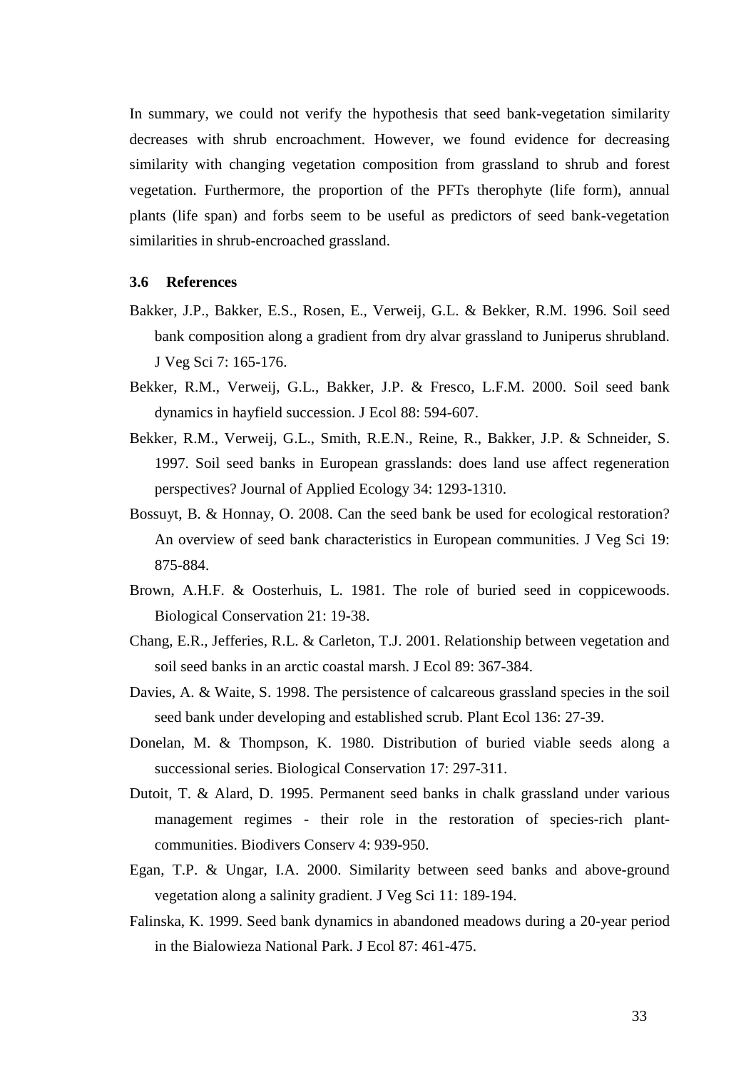In summary, we could not verify the hypothesis that seed bank-vegetation similarity decreases with shrub encroachment. However, we found evidence for decreasing similarity with changing vegetation composition from grassland to shrub and forest vegetation. Furthermore, the proportion of the PFTs therophyte (life form), annual plants (life span) and forbs seem to be useful as predictors of seed bank-vegetation similarities in shrub-encroached grassland.

#### **3.6 References**

- Bakker, J.P., Bakker, E.S., Rosen, E., Verweij, G.L. & Bekker, R.M. 1996. Soil seed bank composition along a gradient from dry alvar grassland to Juniperus shrubland. J Veg Sci 7: 165-176.
- Bekker, R.M., Verweij, G.L., Bakker, J.P. & Fresco, L.F.M. 2000. Soil seed bank dynamics in hayfield succession. J Ecol 88: 594-607.
- Bekker, R.M., Verweij, G.L., Smith, R.E.N., Reine, R., Bakker, J.P. & Schneider, S. 1997. Soil seed banks in European grasslands: does land use affect regeneration perspectives? Journal of Applied Ecology 34: 1293-1310.
- Bossuyt, B. & Honnay, O. 2008. Can the seed bank be used for ecological restoration? An overview of seed bank characteristics in European communities. J Veg Sci 19: 875-884.
- Brown, A.H.F. & Oosterhuis, L. 1981. The role of buried seed in coppicewoods. Biological Conservation 21: 19-38.
- Chang, E.R., Jefferies, R.L. & Carleton, T.J. 2001. Relationship between vegetation and soil seed banks in an arctic coastal marsh. J Ecol 89: 367-384.
- Davies, A. & Waite, S. 1998. The persistence of calcareous grassland species in the soil seed bank under developing and established scrub. Plant Ecol 136: 27-39.
- Donelan, M. & Thompson, K. 1980. Distribution of buried viable seeds along a successional series. Biological Conservation 17: 297-311.
- Dutoit, T. & Alard, D. 1995. Permanent seed banks in chalk grassland under various management regimes - their role in the restoration of species-rich plantcommunities. Biodivers Conserv 4: 939-950.
- Egan, T.P. & Ungar, I.A. 2000. Similarity between seed banks and above-ground vegetation along a salinity gradient. J Veg Sci 11: 189-194.
- Falinska, K. 1999. Seed bank dynamics in abandoned meadows during a 20-year period in the Bialowieza National Park. J Ecol 87: 461-475.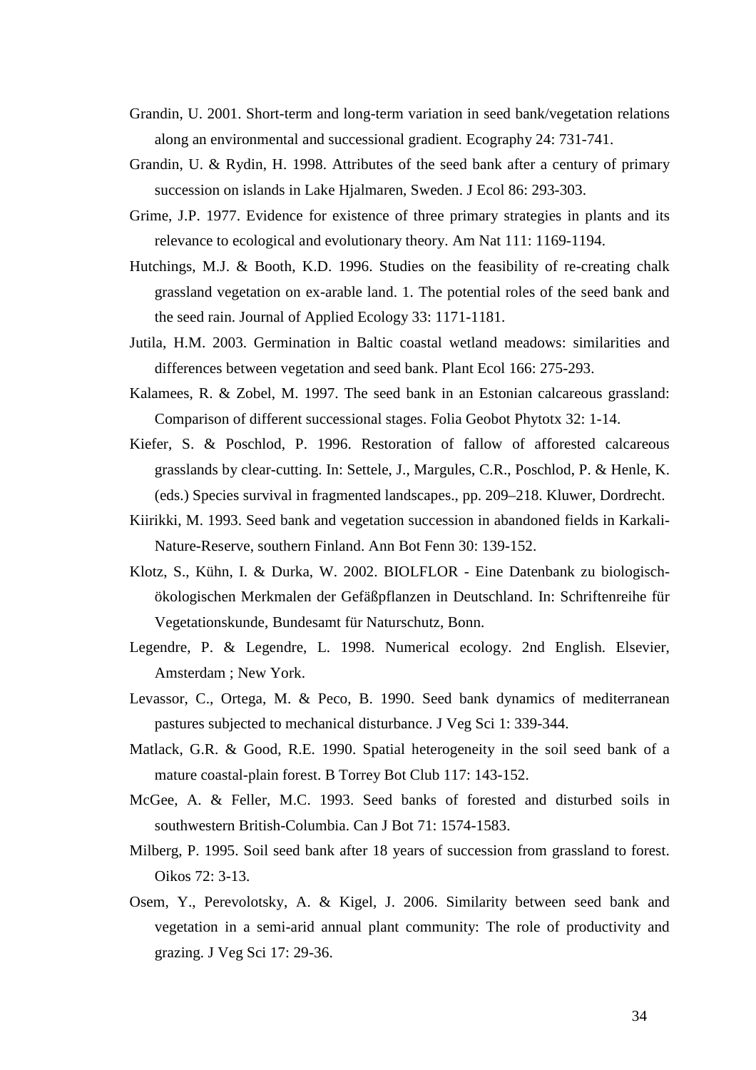- Grandin, U. 2001. Short-term and long-term variation in seed bank/vegetation relations along an environmental and successional gradient. Ecography 24: 731-741.
- Grandin, U. & Rydin, H. 1998. Attributes of the seed bank after a century of primary succession on islands in Lake Hjalmaren, Sweden. J Ecol 86: 293-303.
- Grime, J.P. 1977. Evidence for existence of three primary strategies in plants and its relevance to ecological and evolutionary theory. Am Nat 111: 1169-1194.
- Hutchings, M.J. & Booth, K.D. 1996. Studies on the feasibility of re-creating chalk grassland vegetation on ex-arable land. 1. The potential roles of the seed bank and the seed rain. Journal of Applied Ecology 33: 1171-1181.
- Jutila, H.M. 2003. Germination in Baltic coastal wetland meadows: similarities and differences between vegetation and seed bank. Plant Ecol 166: 275-293.
- Kalamees, R. & Zobel, M. 1997. The seed bank in an Estonian calcareous grassland: Comparison of different successional stages. Folia Geobot Phytotx 32: 1-14.
- Kiefer, S. & Poschlod, P. 1996. Restoration of fallow of afforested calcareous grasslands by clear-cutting. In: Settele, J., Margules, C.R., Poschlod, P. & Henle, K. (eds.) Species survival in fragmented landscapes., pp. 209–218. Kluwer, Dordrecht.
- Kiirikki, M. 1993. Seed bank and vegetation succession in abandoned fields in Karkali-Nature-Reserve, southern Finland. Ann Bot Fenn 30: 139-152.
- Klotz, S., Kühn, I. & Durka, W. 2002. BIOLFLOR Eine Datenbank zu biologischökologischen Merkmalen der Gefäßpflanzen in Deutschland. In: Schriftenreihe für Vegetationskunde, Bundesamt für Naturschutz, Bonn.
- Legendre, P. & Legendre, L. 1998. Numerical ecology. 2nd English. Elsevier, Amsterdam ; New York.
- Levassor, C., Ortega, M. & Peco, B. 1990. Seed bank dynamics of mediterranean pastures subjected to mechanical disturbance. J Veg Sci 1: 339-344.
- Matlack, G.R. & Good, R.E. 1990. Spatial heterogeneity in the soil seed bank of a mature coastal-plain forest. B Torrey Bot Club 117: 143-152.
- McGee, A. & Feller, M.C. 1993. Seed banks of forested and disturbed soils in southwestern British-Columbia. Can J Bot 71: 1574-1583.
- Milberg, P. 1995. Soil seed bank after 18 years of succession from grassland to forest. Oikos 72: 3-13.
- Osem, Y., Perevolotsky, A. & Kigel, J. 2006. Similarity between seed bank and vegetation in a semi-arid annual plant community: The role of productivity and grazing. J Veg Sci 17: 29-36.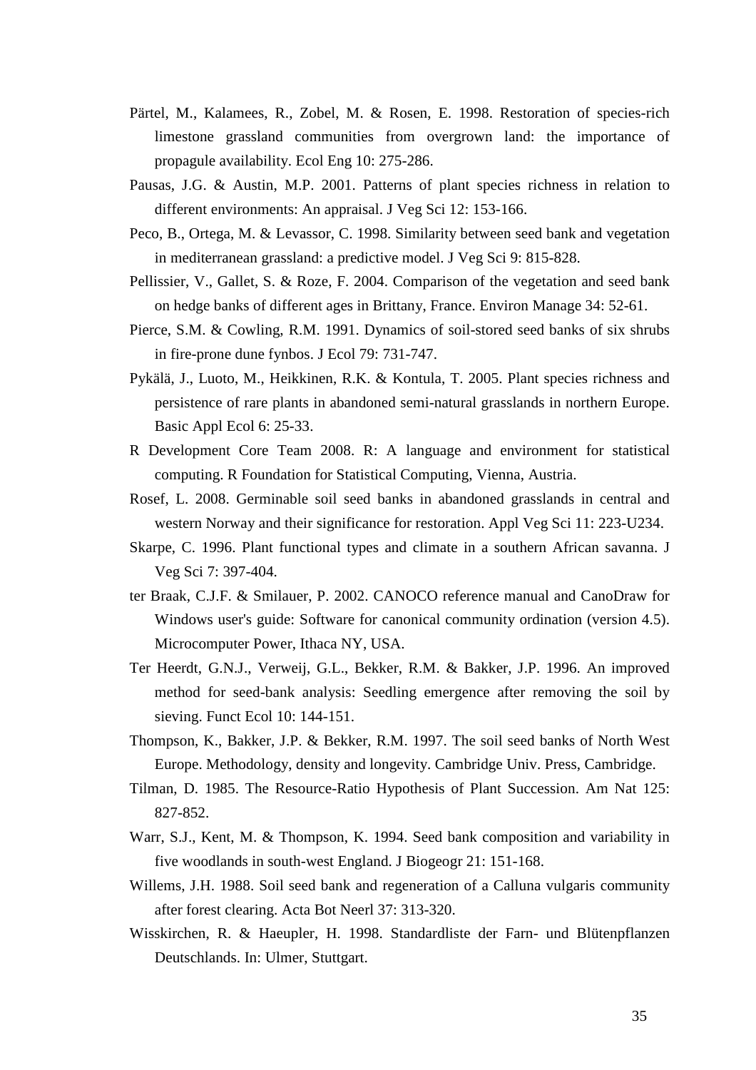- Pärtel, M., Kalamees, R., Zobel, M. & Rosen, E. 1998. Restoration of species-rich limestone grassland communities from overgrown land: the importance of propagule availability. Ecol Eng 10: 275-286.
- Pausas, J.G. & Austin, M.P. 2001. Patterns of plant species richness in relation to different environments: An appraisal. J Veg Sci 12: 153-166.
- Peco, B., Ortega, M. & Levassor, C. 1998. Similarity between seed bank and vegetation in mediterranean grassland: a predictive model. J Veg Sci 9: 815-828.
- Pellissier, V., Gallet, S. & Roze, F. 2004. Comparison of the vegetation and seed bank on hedge banks of different ages in Brittany, France. Environ Manage 34: 52-61.
- Pierce, S.M. & Cowling, R.M. 1991. Dynamics of soil-stored seed banks of six shrubs in fire-prone dune fynbos. J Ecol 79: 731-747.
- Pykälä, J., Luoto, M., Heikkinen, R.K. & Kontula, T. 2005. Plant species richness and persistence of rare plants in abandoned semi-natural grasslands in northern Europe. Basic Appl Ecol 6: 25-33.
- R Development Core Team 2008. R: A language and environment for statistical computing. R Foundation for Statistical Computing, Vienna, Austria.
- Rosef, L. 2008. Germinable soil seed banks in abandoned grasslands in central and western Norway and their significance for restoration. Appl Veg Sci 11: 223-U234.
- Skarpe, C. 1996. Plant functional types and climate in a southern African savanna. J Veg Sci 7: 397-404.
- ter Braak, C.J.F. & Smilauer, P. 2002. CANOCO reference manual and CanoDraw for Windows user's guide: Software for canonical community ordination (version 4.5). Microcomputer Power, Ithaca NY, USA.
- Ter Heerdt, G.N.J., Verweij, G.L., Bekker, R.M. & Bakker, J.P. 1996. An improved method for seed-bank analysis: Seedling emergence after removing the soil by sieving. Funct Ecol 10: 144-151.
- Thompson, K., Bakker, J.P. & Bekker, R.M. 1997. The soil seed banks of North West Europe. Methodology, density and longevity. Cambridge Univ. Press, Cambridge.
- Tilman, D. 1985. The Resource-Ratio Hypothesis of Plant Succession. Am Nat 125: 827-852.
- Warr, S.J., Kent, M. & Thompson, K. 1994. Seed bank composition and variability in five woodlands in south-west England. J Biogeogr 21: 151-168.
- Willems, J.H. 1988. Soil seed bank and regeneration of a Calluna vulgaris community after forest clearing. Acta Bot Neerl 37: 313-320.
- Wisskirchen, R. & Haeupler, H. 1998. Standardliste der Farn- und Blütenpflanzen Deutschlands. In: Ulmer, Stuttgart.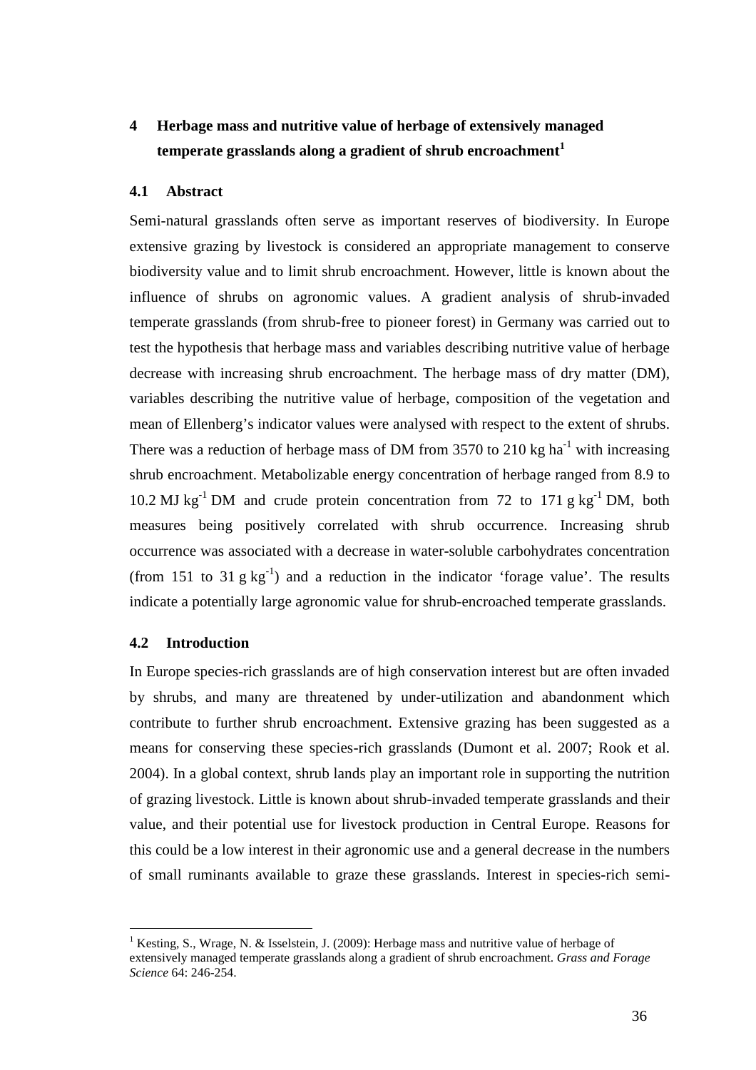# **4 Herbage mass and nutritive value of herbage of extensively managed temperate grasslands along a gradient of shrub encroachment<sup>1</sup>**

# **4.1 Abstract**

Semi-natural grasslands often serve as important reserves of biodiversity. In Europe extensive grazing by livestock is considered an appropriate management to conserve biodiversity value and to limit shrub encroachment. However, little is known about the influence of shrubs on agronomic values. A gradient analysis of shrub-invaded temperate grasslands (from shrub-free to pioneer forest) in Germany was carried out to test the hypothesis that herbage mass and variables describing nutritive value of herbage decrease with increasing shrub encroachment. The herbage mass of dry matter (DM), variables describing the nutritive value of herbage, composition of the vegetation and mean of Ellenberg's indicator values were analysed with respect to the extent of shrubs. There was a reduction of herbage mass of DM from 3570 to 210 kg ha<sup>-1</sup> with increasing shrub encroachment. Metabolizable energy concentration of herbage ranged from 8.9 to 10.2 MJ  $\text{kg}^{-1}$  DM and crude protein concentration from 72 to 171 g  $\text{kg}^{-1}$  DM, both measures being positively correlated with shrub occurrence. Increasing shrub occurrence was associated with a decrease in water-soluble carbohydrates concentration (from 151 to 31 g  $kg^{-1}$ ) and a reduction in the indicator 'forage value'. The results indicate a potentially large agronomic value for shrub-encroached temperate grasslands.

#### **4.2 Introduction**

 $\overline{a}$ 

In Europe species-rich grasslands are of high conservation interest but are often invaded by shrubs, and many are threatened by under-utilization and abandonment which contribute to further shrub encroachment. Extensive grazing has been suggested as a means for conserving these species-rich grasslands (Dumont et al. 2007; Rook et al. 2004). In a global context, shrub lands play an important role in supporting the nutrition of grazing livestock. Little is known about shrub-invaded temperate grasslands and their value, and their potential use for livestock production in Central Europe. Reasons for this could be a low interest in their agronomic use and a general decrease in the numbers of small ruminants available to graze these grasslands. Interest in species-rich semi-

<sup>&</sup>lt;sup>1</sup> Kesting, S., Wrage, N. & Isselstein, J. (2009): Herbage mass and nutritive value of herbage of extensively managed temperate grasslands along a gradient of shrub encroachment. *Grass and Forage Science* 64: 246-254.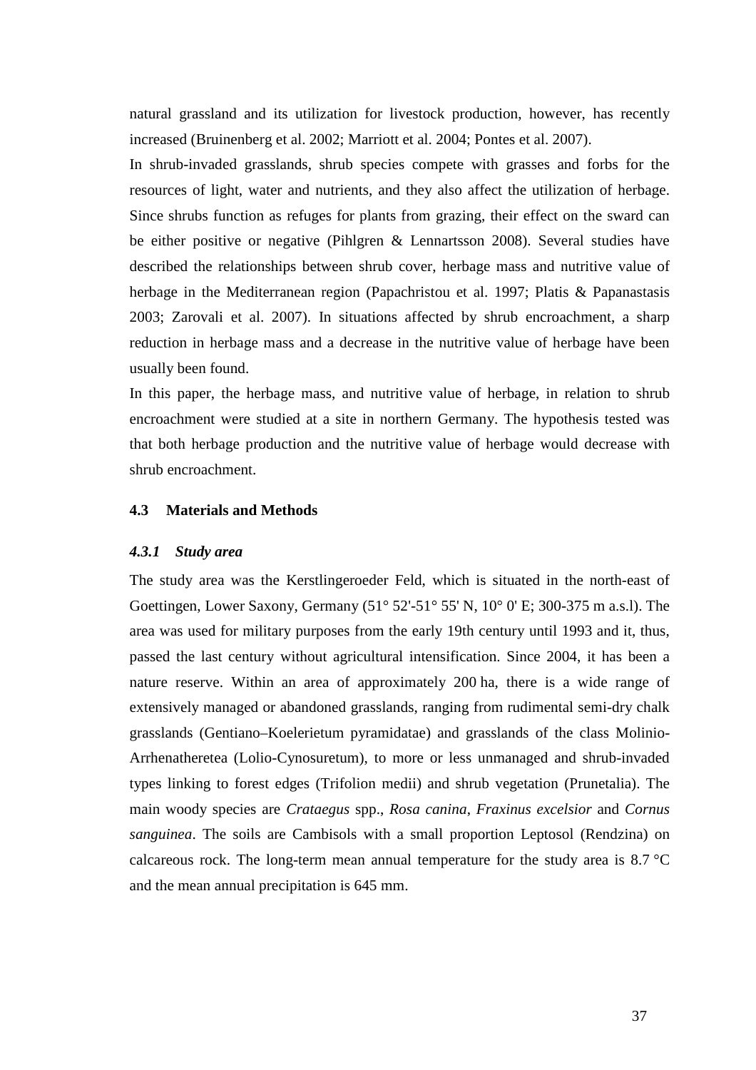natural grassland and its utilization for livestock production, however, has recently increased (Bruinenberg et al. 2002; Marriott et al. 2004; Pontes et al. 2007).

In shrub-invaded grasslands, shrub species compete with grasses and forbs for the resources of light, water and nutrients, and they also affect the utilization of herbage. Since shrubs function as refuges for plants from grazing, their effect on the sward can be either positive or negative (Pihlgren & Lennartsson 2008). Several studies have described the relationships between shrub cover, herbage mass and nutritive value of herbage in the Mediterranean region (Papachristou et al. 1997; Platis & Papanastasis 2003; Zarovali et al. 2007). In situations affected by shrub encroachment, a sharp reduction in herbage mass and a decrease in the nutritive value of herbage have been usually been found.

In this paper, the herbage mass, and nutritive value of herbage, in relation to shrub encroachment were studied at a site in northern Germany. The hypothesis tested was that both herbage production and the nutritive value of herbage would decrease with shrub encroachment.

# **4.3 Materials and Methods**

#### *4.3.1 Study area*

The study area was the Kerstlingeroeder Feld, which is situated in the north-east of Goettingen, Lower Saxony, Germany (51° 52'-51° 55' N, 10° 0' E; 300-375 m a.s.l). The area was used for military purposes from the early 19th century until 1993 and it, thus, passed the last century without agricultural intensification. Since 2004, it has been a nature reserve. Within an area of approximately 200 ha, there is a wide range of extensively managed or abandoned grasslands, ranging from rudimental semi-dry chalk grasslands (Gentiano–Koelerietum pyramidatae) and grasslands of the class Molinio-Arrhenatheretea (Lolio-Cynosuretum), to more or less unmanaged and shrub-invaded types linking to forest edges (Trifolion medii) and shrub vegetation (Prunetalia). The main woody species are *Crataegus* spp., *Rosa canina*, *Fraxinus excelsior* and *Cornus sanguinea*. The soils are Cambisols with a small proportion Leptosol (Rendzina) on calcareous rock. The long-term mean annual temperature for the study area is  $8.7 \text{ }^{\circ}\text{C}$ and the mean annual precipitation is 645 mm.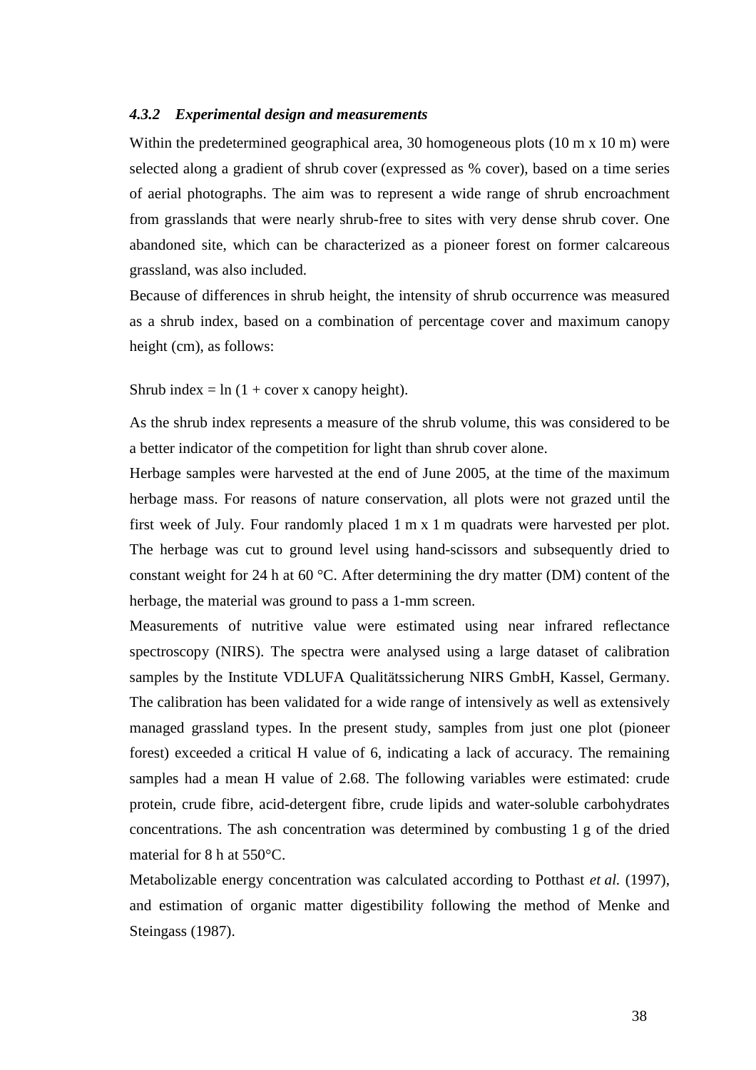#### *4.3.2 Experimental design and measurements*

Within the predetermined geographical area, 30 homogeneous plots (10 m x 10 m) were selected along a gradient of shrub cover (expressed as % cover), based on a time series of aerial photographs. The aim was to represent a wide range of shrub encroachment from grasslands that were nearly shrub-free to sites with very dense shrub cover. One abandoned site, which can be characterized as a pioneer forest on former calcareous grassland, was also included.

Because of differences in shrub height, the intensity of shrub occurrence was measured as a shrub index, based on a combination of percentage cover and maximum canopy height (cm), as follows:

Shrub index =  $\ln(1 + \text{cover} \times \text{canopy height})$ .

As the shrub index represents a measure of the shrub volume, this was considered to be a better indicator of the competition for light than shrub cover alone.

Herbage samples were harvested at the end of June 2005, at the time of the maximum herbage mass. For reasons of nature conservation, all plots were not grazed until the first week of July. Four randomly placed 1 m x 1 m quadrats were harvested per plot. The herbage was cut to ground level using hand-scissors and subsequently dried to constant weight for 24 h at 60 °C. After determining the dry matter (DM) content of the herbage, the material was ground to pass a 1-mm screen.

Measurements of nutritive value were estimated using near infrared reflectance spectroscopy (NIRS). The spectra were analysed using a large dataset of calibration samples by the Institute VDLUFA Qualitätssicherung NIRS GmbH, Kassel, Germany. The calibration has been validated for a wide range of intensively as well as extensively managed grassland types. In the present study, samples from just one plot (pioneer forest) exceeded a critical H value of 6, indicating a lack of accuracy. The remaining samples had a mean H value of 2.68. The following variables were estimated: crude protein, crude fibre, acid-detergent fibre, crude lipids and water-soluble carbohydrates concentrations. The ash concentration was determined by combusting 1 g of the dried material for 8 h at 550°C.

Metabolizable energy concentration was calculated according to Potthast *et al.* (1997), and estimation of organic matter digestibility following the method of Menke and Steingass (1987).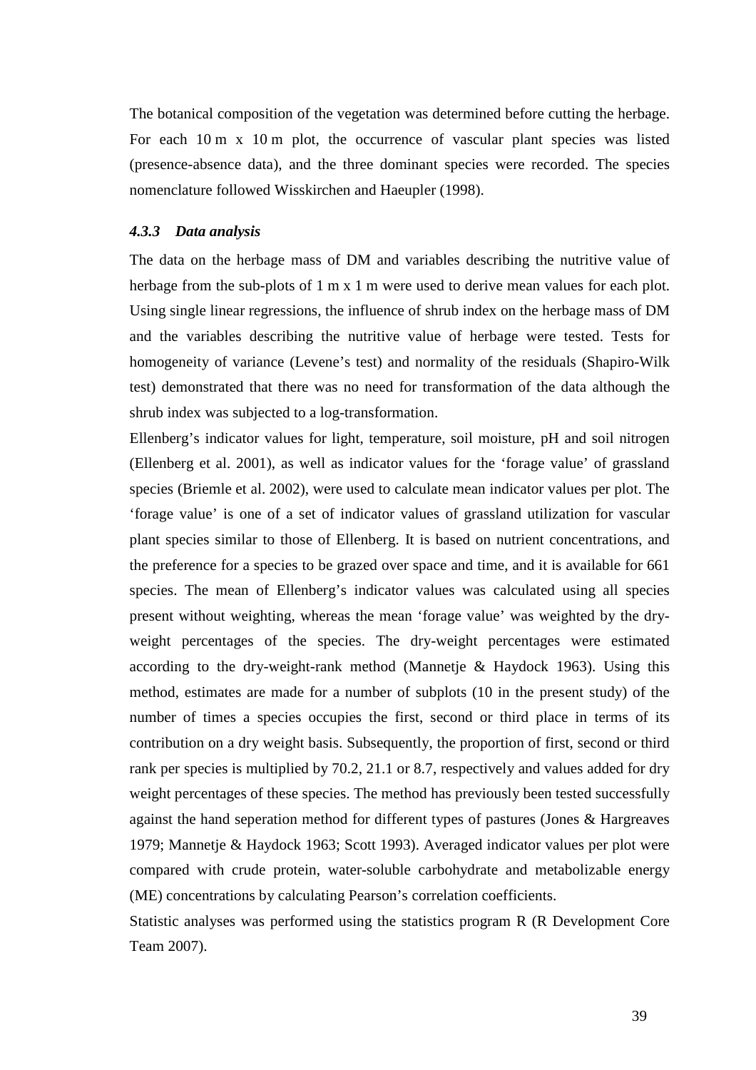The botanical composition of the vegetation was determined before cutting the herbage. For each 10 m x 10 m plot, the occurrence of vascular plant species was listed (presence-absence data), and the three dominant species were recorded. The species nomenclature followed Wisskirchen and Haeupler (1998).

## *4.3.3 Data analysis*

The data on the herbage mass of DM and variables describing the nutritive value of herbage from the sub-plots of 1 m x 1 m were used to derive mean values for each plot. Using single linear regressions, the influence of shrub index on the herbage mass of DM and the variables describing the nutritive value of herbage were tested. Tests for homogeneity of variance (Levene's test) and normality of the residuals (Shapiro-Wilk test) demonstrated that there was no need for transformation of the data although the shrub index was subjected to a log-transformation.

Ellenberg's indicator values for light, temperature, soil moisture, pH and soil nitrogen (Ellenberg et al. 2001), as well as indicator values for the 'forage value' of grassland species (Briemle et al. 2002), were used to calculate mean indicator values per plot. The 'forage value' is one of a set of indicator values of grassland utilization for vascular plant species similar to those of Ellenberg. It is based on nutrient concentrations, and the preference for a species to be grazed over space and time, and it is available for 661 species. The mean of Ellenberg's indicator values was calculated using all species present without weighting, whereas the mean 'forage value' was weighted by the dryweight percentages of the species. The dry-weight percentages were estimated according to the dry-weight-rank method (Mannetje & Haydock 1963). Using this method, estimates are made for a number of subplots (10 in the present study) of the number of times a species occupies the first, second or third place in terms of its contribution on a dry weight basis. Subsequently, the proportion of first, second or third rank per species is multiplied by 70.2, 21.1 or 8.7, respectively and values added for dry weight percentages of these species. The method has previously been tested successfully against the hand seperation method for different types of pastures (Jones & Hargreaves 1979; Mannetje & Haydock 1963; Scott 1993). Averaged indicator values per plot were compared with crude protein, water-soluble carbohydrate and metabolizable energy (ME) concentrations by calculating Pearson's correlation coefficients.

Statistic analyses was performed using the statistics program R (R Development Core Team 2007).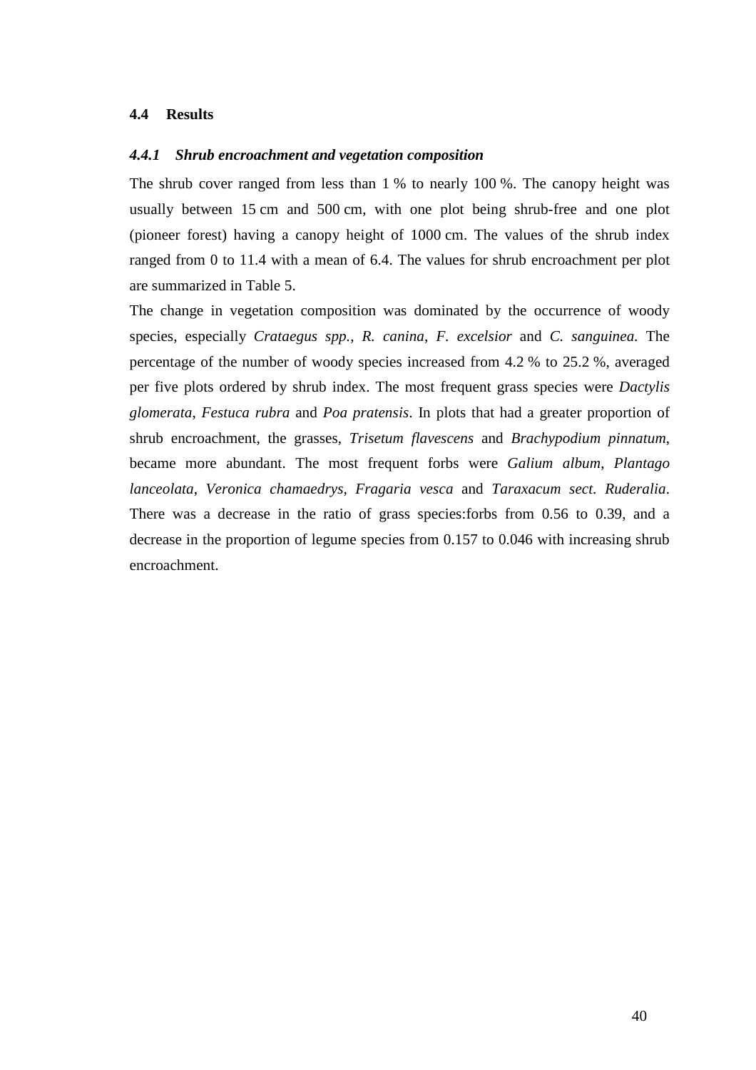# **4.4 Results**

# *4.4.1 Shrub encroachment and vegetation composition*

The shrub cover ranged from less than 1 % to nearly 100 %. The canopy height was usually between 15 cm and 500 cm, with one plot being shrub-free and one plot (pioneer forest) having a canopy height of 1000 cm. The values of the shrub index ranged from 0 to 11.4 with a mean of 6.4. The values for shrub encroachment per plot are summarized in Table 5.

The change in vegetation composition was dominated by the occurrence of woody species, especially *Crataegus spp.*, *R. canina*, *F. excelsior* and *C. sanguinea.* The percentage of the number of woody species increased from 4.2 % to 25.2 %, averaged per five plots ordered by shrub index. The most frequent grass species were *Dactylis glomerata*, *Festuca rubra* and *Poa pratensis*. In plots that had a greater proportion of shrub encroachment, the grasses, *Trisetum flavescens* and *Brachypodium pinnatum*, became more abundant. The most frequent forbs were *Galium album*, *Plantago lanceolata*, *Veronica chamaedrys*, *Fragaria vesca* and *Taraxacum sect. Ruderalia*. There was a decrease in the ratio of grass species:forbs from 0.56 to 0.39, and a decrease in the proportion of legume species from 0.157 to 0.046 with increasing shrub encroachment.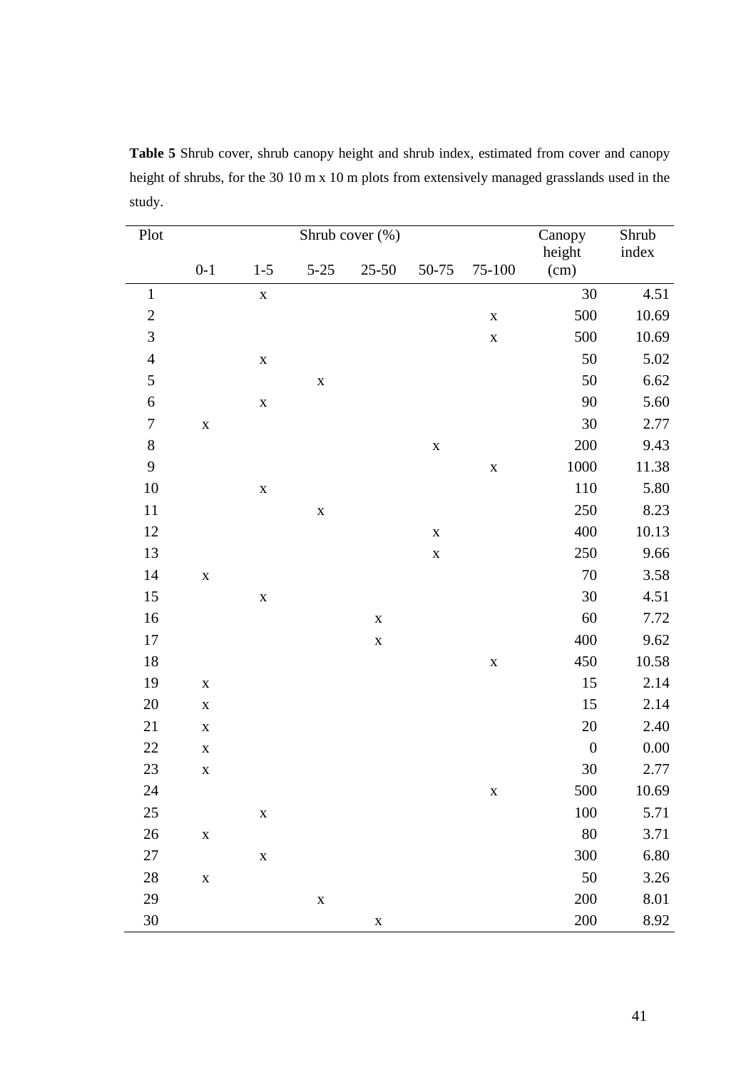| Plot             | Shrub cover (%) |             |             |             |             |             | Canopy<br>height | Shrub<br>index |
|------------------|-----------------|-------------|-------------|-------------|-------------|-------------|------------------|----------------|
|                  | $0 - 1$         | $1-5$       | $5 - 25$    | $25 - 50$   | 50-75       | 75-100      | (cm)             |                |
| $\mathbf{1}$     |                 | $\mathbf X$ |             |             |             |             | $30\,$           | 4.51           |
| $\sqrt{2}$       |                 |             |             |             |             | $\mathbf X$ | 500              | 10.69          |
| $\mathfrak{Z}$   |                 |             |             |             |             | $\mathbf X$ | 500              | 10.69          |
| $\overline{4}$   |                 | $\mathbf X$ |             |             |             |             | 50               | 5.02           |
| $\sqrt{5}$       |                 |             | $\mathbf X$ |             |             |             | 50               | 6.62           |
| $\boldsymbol{6}$ |                 | $\mathbf X$ |             |             |             |             | 90               | 5.60           |
| $\boldsymbol{7}$ | $\mathbf X$     |             |             |             |             |             | 30               | 2.77           |
| $8\,$            |                 |             |             |             | $\mathbf X$ |             | 200              | 9.43           |
| 9                |                 |             |             |             |             | $\mathbf X$ | 1000             | 11.38          |
| 10               |                 | $\mathbf X$ |             |             |             |             | 110              | 5.80           |
| 11               |                 |             | $\mathbf X$ |             |             |             | 250              | 8.23           |
| 12               |                 |             |             |             | $\mathbf X$ |             | 400              | 10.13          |
| 13               |                 |             |             |             | $\mathbf X$ |             | 250              | 9.66           |
| 14               | $\mathbf X$     |             |             |             |             |             | 70               | 3.58           |
| 15               |                 | $\mathbf X$ |             |             |             |             | 30               | 4.51           |
| 16               |                 |             |             | $\mathbf X$ |             |             | 60               | 7.72           |
| 17               |                 |             |             | $\mathbf X$ |             |             | 400              | 9.62           |
| 18               |                 |             |             |             |             | $\mathbf X$ | 450              | 10.58          |
| 19               | $\mathbf X$     |             |             |             |             |             | 15               | 2.14           |
| $20\,$           | $\mathbf X$     |             |             |             |             |             | 15               | 2.14           |
| 21               | $\mathbf X$     |             |             |             |             |             | 20               | 2.40           |
| 22               | $\mathbf X$     |             |             |             |             |             | $\boldsymbol{0}$ | $0.00\,$       |
| 23               | $\mathbf X$     |             |             |             |             |             | 30               | 2.77           |
| $24\,$           |                 |             |             |             |             | X           | 500              | 10.69          |
| $25\,$           |                 | $\mathbf X$ |             |             |             |             | 100              | 5.71           |
| $26\,$           | $\mathbf X$     |             |             |             |             |             | $80\,$           | 3.71           |
| $27\,$           |                 | $\mathbf X$ |             |             |             |             | 300              | 6.80           |
| 28               | $\mathbf X$     |             |             |             |             |             | 50               | 3.26           |
| 29               |                 |             | $\mathbf X$ |             |             |             | 200              | 8.01           |
| $30\,$           |                 |             |             | $\mathbf X$ |             |             | $200\,$          | 8.92           |

**Table 5** Shrub cover, shrub canopy height and shrub index, estimated from cover and canopy height of shrubs, for the 30 10 m x 10 m plots from extensively managed grasslands used in the study.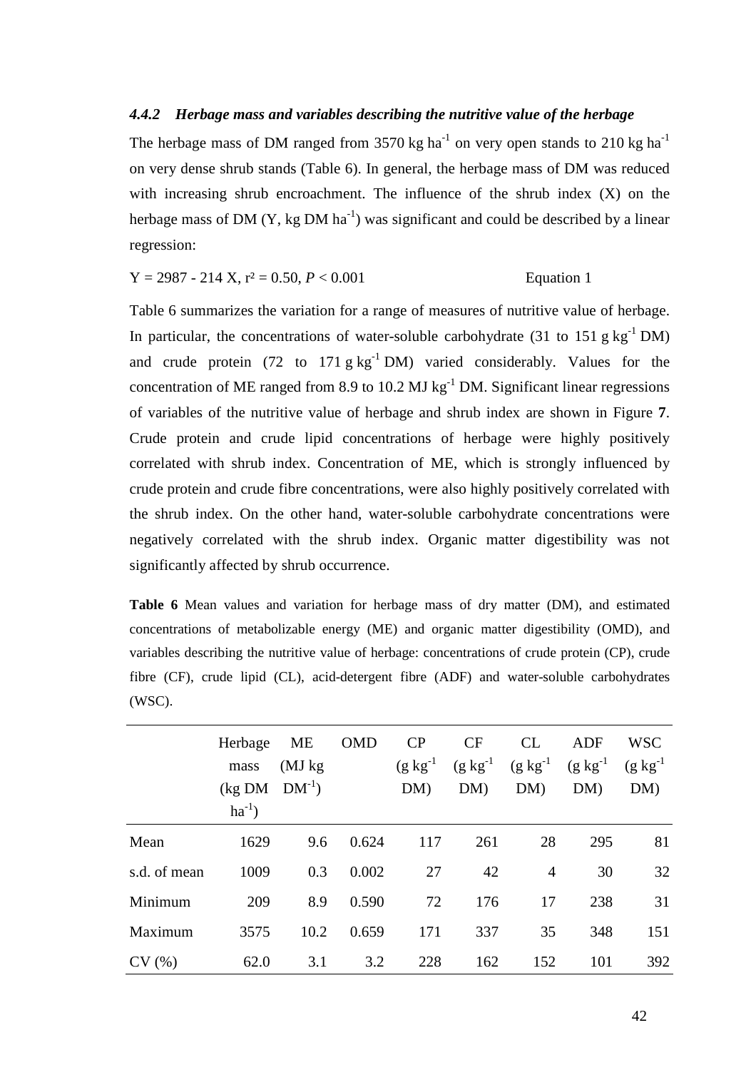### *4.4.2 Herbage mass and variables describing the nutritive value of the herbage*

The herbage mass of DM ranged from 3570 kg ha<sup>-1</sup> on very open stands to 210 kg ha<sup>-1</sup> on very dense shrub stands (Table 6). In general, the herbage mass of DM was reduced with increasing shrub encroachment. The influence of the shrub index (X) on the herbage mass of DM  $(Y, kg DM ha<sup>-1</sup>)$  was significant and could be described by a linear regression:

# $Y = 2987 - 214$  X,  $r^2 = 0.50$ ,  $P < 0.001$  Equation 1

Table 6 summarizes the variation for a range of measures of nutritive value of herbage. In particular, the concentrations of water-soluble carbohydrate (31 to 151 g kg<sup>-1</sup> DM) and crude protein (72 to 171 g  $kg^{-1}$  DM) varied considerably. Values for the concentration of ME ranged from 8.9 to 10.2 MJ  $kg^{-1}$  DM. Significant linear regressions of variables of the nutritive value of herbage and shrub index are shown in Figure **7**. Crude protein and crude lipid concentrations of herbage were highly positively correlated with shrub index. Concentration of ME, which is strongly influenced by crude protein and crude fibre concentrations, were also highly positively correlated with the shrub index. On the other hand, water-soluble carbohydrate concentrations were negatively correlated with the shrub index. Organic matter digestibility was not significantly affected by shrub occurrence.

**Table 6** Mean values and variation for herbage mass of dry matter (DM), and estimated concentrations of metabolizable energy (ME) and organic matter digestibility (OMD), and variables describing the nutritive value of herbage: concentrations of crude protein (CP), crude fibre (CF), crude lipid (CL), acid-detergent fibre (ADF) and water-soluble carbohydrates (WSC).

|              | Herbage<br>mass<br>(kg DM)<br>$ha^{-1}$ ) | ME<br>(MJ kg)<br>$DM^{-1}$ ) | <b>OMD</b> | CP<br>$(g kg^{-1})$<br>DM) | CF<br>$(g kg^{-1})$<br>DM) | CL<br>$(g \text{ kg}^{-1})$<br>DM) | ADF<br>$(g kg^{-1})$<br>DM) | <b>WSC</b><br>$(g kg^{-1})$<br>DM) |
|--------------|-------------------------------------------|------------------------------|------------|----------------------------|----------------------------|------------------------------------|-----------------------------|------------------------------------|
| Mean         | 1629                                      | 9.6                          | 0.624      | 117                        | 261                        | 28                                 | 295                         | 81                                 |
| s.d. of mean | 1009                                      | 0.3                          | 0.002      | 27                         | 42                         | $\overline{4}$                     | 30                          | 32                                 |
| Minimum      | 209                                       | 8.9                          | 0.590      | 72                         | 176                        | 17                                 | 238                         | 31                                 |
| Maximum      | 3575                                      | 10.2                         | 0.659      | 171                        | 337                        | 35                                 | 348                         | 151                                |
| CV(%)        | 62.0                                      | 3.1                          | 3.2        | 228                        | 162                        | 152                                | 101                         | 392                                |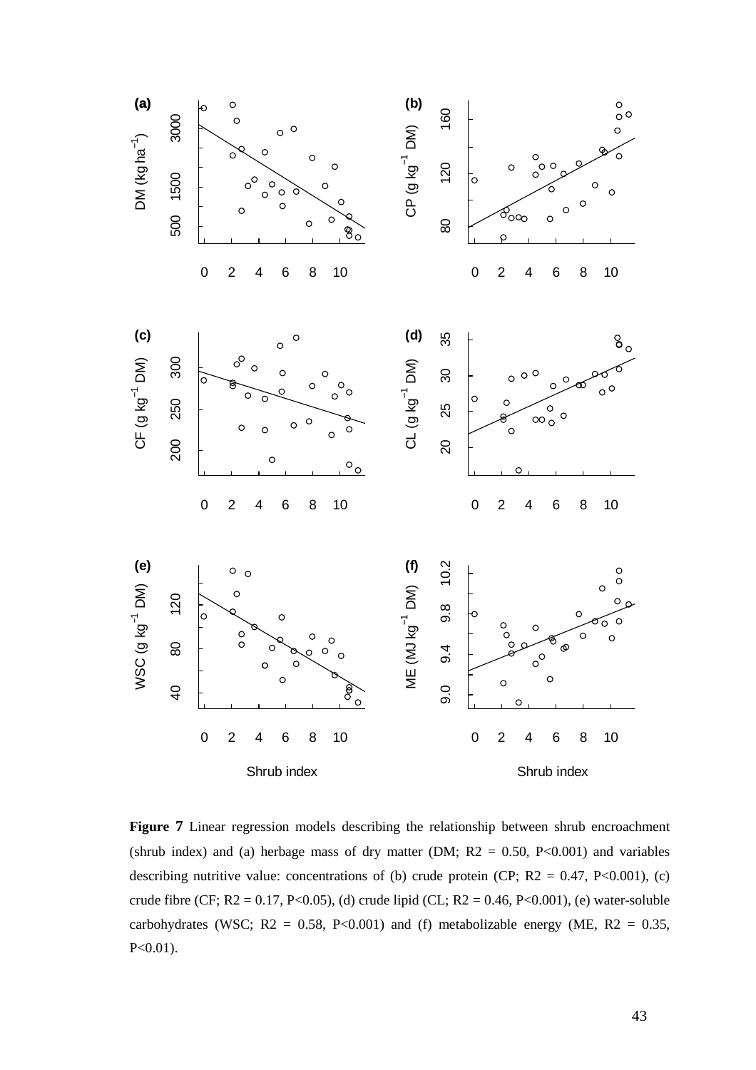

**Figure 7** Linear regression models describing the relationship between shrub encroachment (shrub index) and (a) herbage mass of dry matter (DM;  $R2 = 0.50$ ,  $P < 0.001$ ) and variables describing nutritive value: concentrations of (b) crude protein (CP;  $R2 = 0.47$ ,  $P < 0.001$ ), (c) crude fibre (CF;  $R2 = 0.17$ , P<0.05), (d) crude lipid (CL;  $R2 = 0.46$ , P<0.001), (e) water-soluble carbohydrates (WSC;  $R2 = 0.58$ , P<0.001) and (f) metabolizable energy (ME,  $R2 = 0.35$ , P<0.01).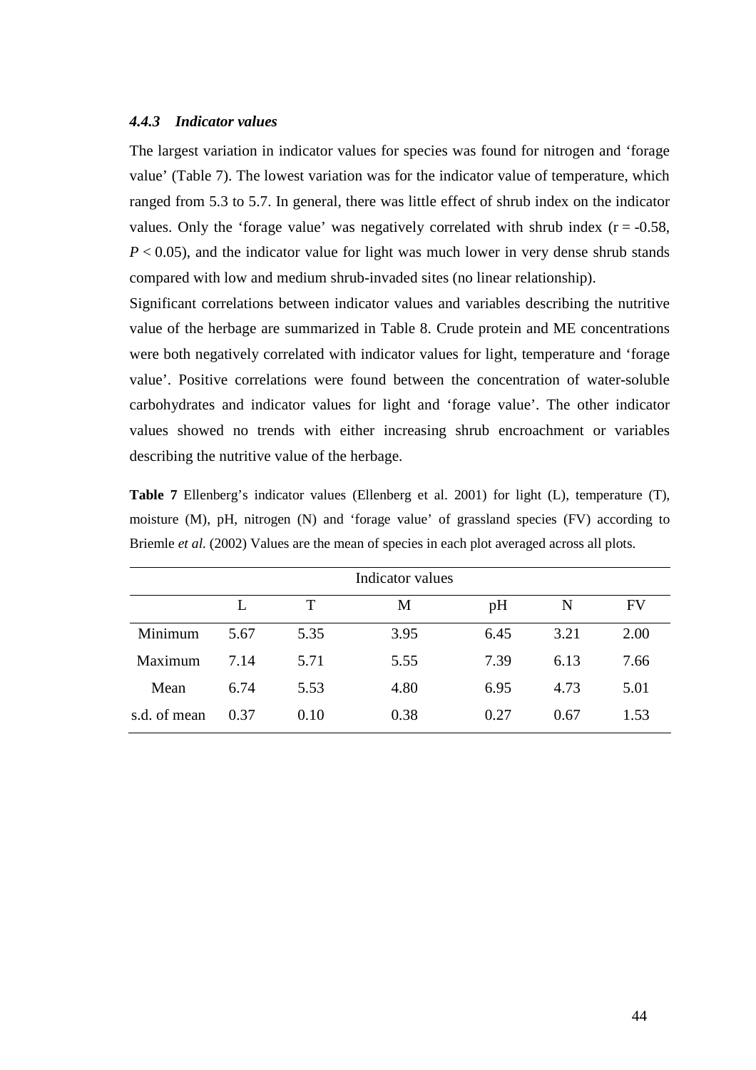#### *4.4.3 Indicator values*

The largest variation in indicator values for species was found for nitrogen and 'forage value' (Table 7). The lowest variation was for the indicator value of temperature, which ranged from 5.3 to 5.7. In general, there was little effect of shrub index on the indicator values. Only the 'forage value' was negatively correlated with shrub index  $(r = -0.58,$  $P < 0.05$ ), and the indicator value for light was much lower in very dense shrub stands compared with low and medium shrub-invaded sites (no linear relationship).

Significant correlations between indicator values and variables describing the nutritive value of the herbage are summarized in Table 8. Crude protein and ME concentrations were both negatively correlated with indicator values for light, temperature and 'forage value'. Positive correlations were found between the concentration of water-soluble carbohydrates and indicator values for light and 'forage value'. The other indicator values showed no trends with either increasing shrub encroachment or variables describing the nutritive value of the herbage.

**Table 7** Ellenberg's indicator values (Ellenberg et al. 2001) for light (L), temperature (T), moisture (M), pH, nitrogen (N) and 'forage value' of grassland species (FV) according to Briemle *et al.* (2002) Values are the mean of species in each plot averaged across all plots.

|              |      |      | Indicator values |      |      |           |
|--------------|------|------|------------------|------|------|-----------|
|              |      | Т    | M                | pH   | N    | <b>FV</b> |
| Minimum      | 5.67 | 5.35 | 3.95             | 6.45 | 3.21 | 2.00      |
| Maximum      | 7.14 | 5.71 | 5.55             | 7.39 | 6.13 | 7.66      |
| Mean         | 6.74 | 5.53 | 4.80             | 6.95 | 4.73 | 5.01      |
| s.d. of mean | 0.37 | 0.10 | 0.38             | 0.27 | 0.67 | 1.53      |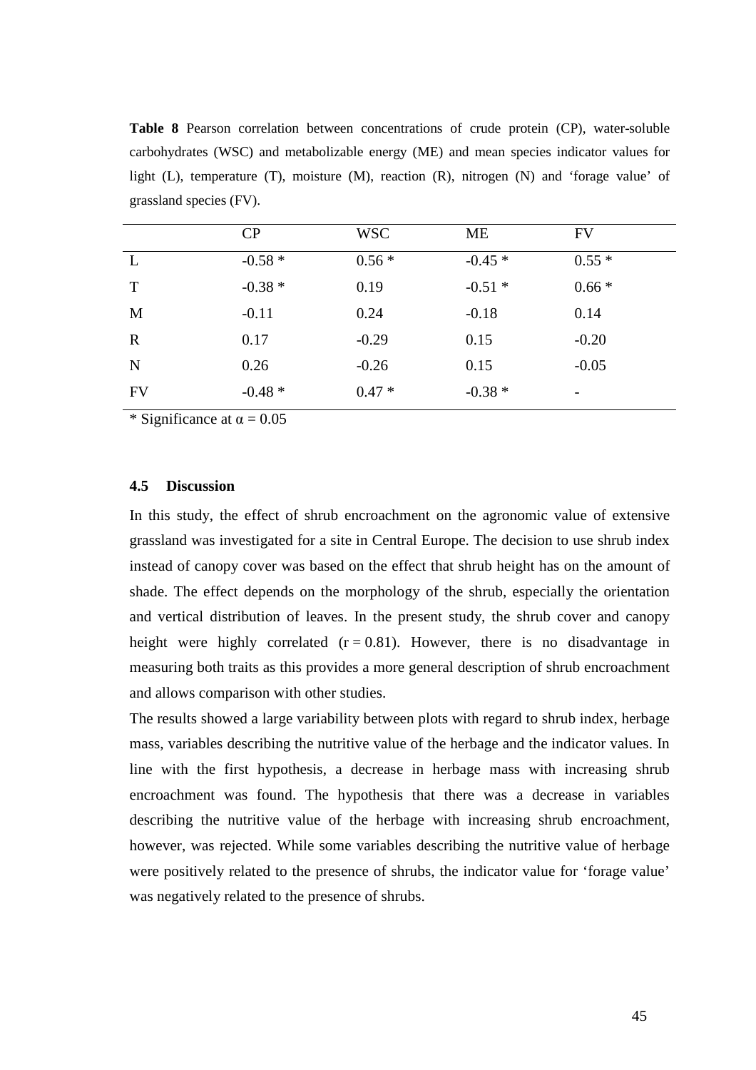**Table 8** Pearson correlation between concentrations of crude protein (CP), water-soluble carbohydrates (WSC) and metabolizable energy (ME) and mean species indicator values for light (L), temperature (T), moisture (M), reaction (R), nitrogen (N) and 'forage value' of grassland species (FV).

|             | CP       | <b>WSC</b> | МE       | FV      |
|-------------|----------|------------|----------|---------|
| L           | $-0.58*$ | $0.56*$    | $-0.45*$ | $0.55*$ |
| T           | $-0.38*$ | 0.19       | $-0.51*$ | $0.66*$ |
| M           | $-0.11$  | 0.24       | $-0.18$  | 0.14    |
| $\mathbf R$ | 0.17     | $-0.29$    | 0.15     | $-0.20$ |
| N           | 0.26     | $-0.26$    | 0.15     | $-0.05$ |
| <b>FV</b>   | $-0.48*$ | $0.47*$    | $-0.38*$ | -       |

\* Significance at  $\alpha = 0.05$ 

### **4.5 Discussion**

In this study, the effect of shrub encroachment on the agronomic value of extensive grassland was investigated for a site in Central Europe. The decision to use shrub index instead of canopy cover was based on the effect that shrub height has on the amount of shade. The effect depends on the morphology of the shrub, especially the orientation and vertical distribution of leaves. In the present study, the shrub cover and canopy height were highly correlated  $(r = 0.81)$ . However, there is no disadvantage in measuring both traits as this provides a more general description of shrub encroachment and allows comparison with other studies.

The results showed a large variability between plots with regard to shrub index, herbage mass, variables describing the nutritive value of the herbage and the indicator values. In line with the first hypothesis, a decrease in herbage mass with increasing shrub encroachment was found. The hypothesis that there was a decrease in variables describing the nutritive value of the herbage with increasing shrub encroachment, however, was rejected. While some variables describing the nutritive value of herbage were positively related to the presence of shrubs, the indicator value for 'forage value' was negatively related to the presence of shrubs.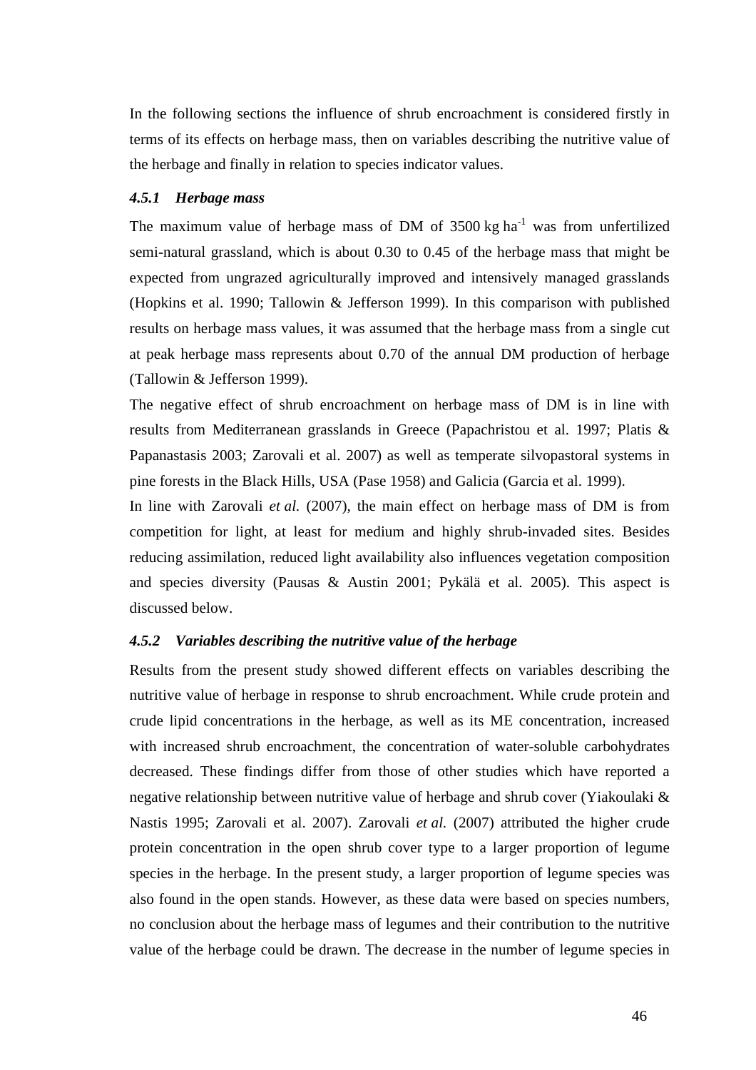In the following sections the influence of shrub encroachment is considered firstly in terms of its effects on herbage mass, then on variables describing the nutritive value of the herbage and finally in relation to species indicator values.

## *4.5.1 Herbage mass*

The maximum value of herbage mass of DM of  $3500 \text{ kg ha}^{-1}$  was from unfertilized semi-natural grassland, which is about 0.30 to 0.45 of the herbage mass that might be expected from ungrazed agriculturally improved and intensively managed grasslands (Hopkins et al. 1990; Tallowin & Jefferson 1999). In this comparison with published results on herbage mass values, it was assumed that the herbage mass from a single cut at peak herbage mass represents about 0.70 of the annual DM production of herbage (Tallowin & Jefferson 1999).

The negative effect of shrub encroachment on herbage mass of DM is in line with results from Mediterranean grasslands in Greece (Papachristou et al. 1997; Platis & Papanastasis 2003; Zarovali et al. 2007) as well as temperate silvopastoral systems in pine forests in the Black Hills, USA (Pase 1958) and Galicia (Garcia et al. 1999).

In line with Zarovali *et al.* (2007), the main effect on herbage mass of DM is from competition for light, at least for medium and highly shrub-invaded sites. Besides reducing assimilation, reduced light availability also influences vegetation composition and species diversity (Pausas & Austin 2001; Pykälä et al. 2005). This aspect is discussed below.

# *4.5.2 Variables describing the nutritive value of the herbage*

Results from the present study showed different effects on variables describing the nutritive value of herbage in response to shrub encroachment. While crude protein and crude lipid concentrations in the herbage, as well as its ME concentration, increased with increased shrub encroachment, the concentration of water-soluble carbohydrates decreased. These findings differ from those of other studies which have reported a negative relationship between nutritive value of herbage and shrub cover (Yiakoulaki & Nastis 1995; Zarovali et al. 2007). Zarovali *et al.* (2007) attributed the higher crude protein concentration in the open shrub cover type to a larger proportion of legume species in the herbage. In the present study, a larger proportion of legume species was also found in the open stands. However, as these data were based on species numbers, no conclusion about the herbage mass of legumes and their contribution to the nutritive value of the herbage could be drawn. The decrease in the number of legume species in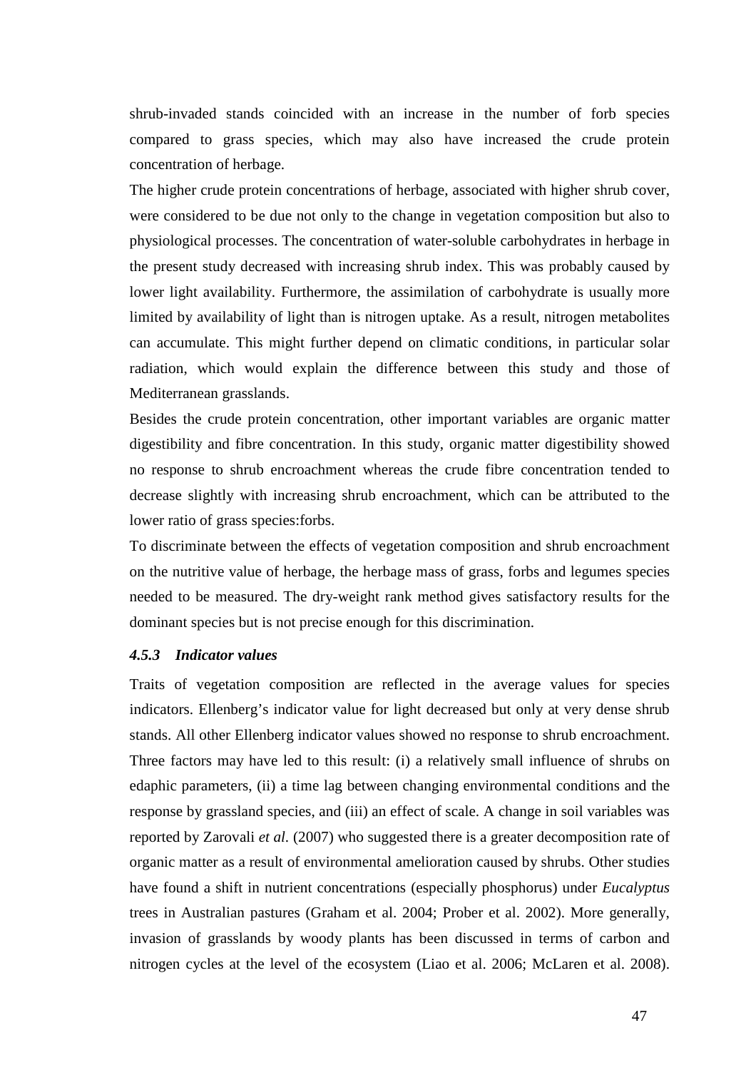shrub-invaded stands coincided with an increase in the number of forb species compared to grass species, which may also have increased the crude protein concentration of herbage.

The higher crude protein concentrations of herbage, associated with higher shrub cover, were considered to be due not only to the change in vegetation composition but also to physiological processes. The concentration of water-soluble carbohydrates in herbage in the present study decreased with increasing shrub index. This was probably caused by lower light availability. Furthermore, the assimilation of carbohydrate is usually more limited by availability of light than is nitrogen uptake. As a result, nitrogen metabolites can accumulate. This might further depend on climatic conditions, in particular solar radiation, which would explain the difference between this study and those of Mediterranean grasslands.

Besides the crude protein concentration, other important variables are organic matter digestibility and fibre concentration. In this study, organic matter digestibility showed no response to shrub encroachment whereas the crude fibre concentration tended to decrease slightly with increasing shrub encroachment, which can be attributed to the lower ratio of grass species:forbs.

To discriminate between the effects of vegetation composition and shrub encroachment on the nutritive value of herbage, the herbage mass of grass, forbs and legumes species needed to be measured. The dry-weight rank method gives satisfactory results for the dominant species but is not precise enough for this discrimination.

#### *4.5.3 Indicator values*

Traits of vegetation composition are reflected in the average values for species indicators. Ellenberg's indicator value for light decreased but only at very dense shrub stands. All other Ellenberg indicator values showed no response to shrub encroachment. Three factors may have led to this result: (i) a relatively small influence of shrubs on edaphic parameters, (ii) a time lag between changing environmental conditions and the response by grassland species, and (iii) an effect of scale. A change in soil variables was reported by Zarovali *et al.* (2007) who suggested there is a greater decomposition rate of organic matter as a result of environmental amelioration caused by shrubs. Other studies have found a shift in nutrient concentrations (especially phosphorus) under *Eucalyptus* trees in Australian pastures (Graham et al. 2004; Prober et al. 2002). More generally, invasion of grasslands by woody plants has been discussed in terms of carbon and nitrogen cycles at the level of the ecosystem (Liao et al. 2006; McLaren et al. 2008).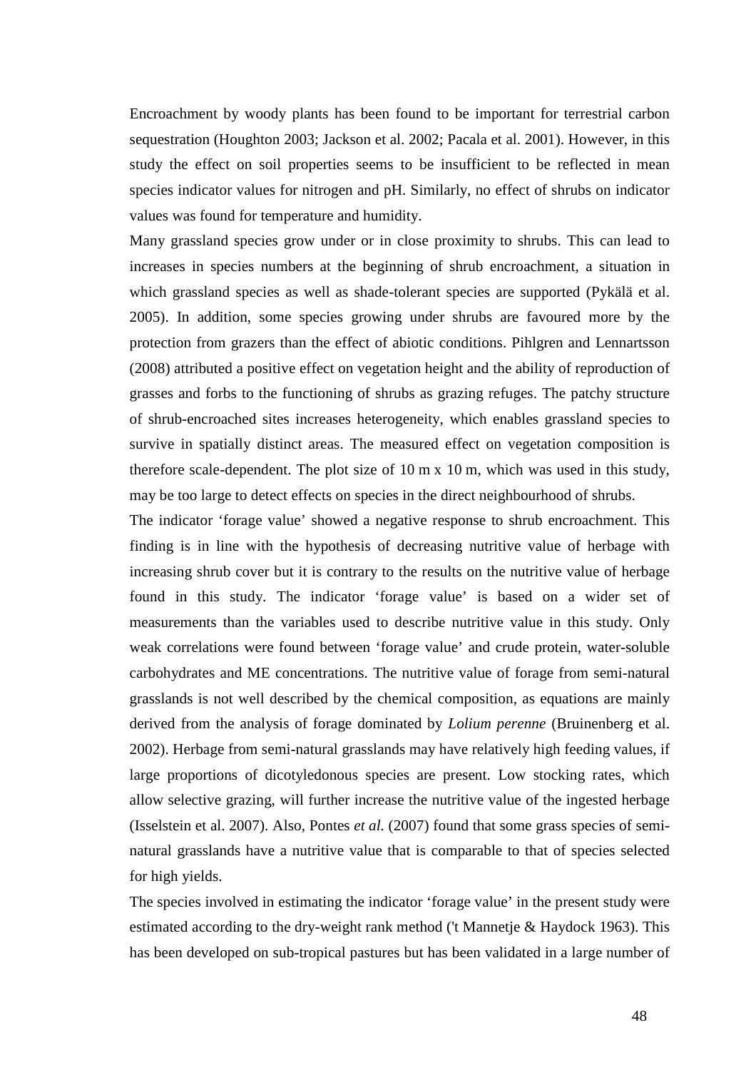Encroachment by woody plants has been found to be important for terrestrial carbon sequestration (Houghton 2003; Jackson et al. 2002; Pacala et al. 2001). However, in this study the effect on soil properties seems to be insufficient to be reflected in mean species indicator values for nitrogen and pH. Similarly, no effect of shrubs on indicator values was found for temperature and humidity.

Many grassland species grow under or in close proximity to shrubs. This can lead to increases in species numbers at the beginning of shrub encroachment, a situation in which grassland species as well as shade-tolerant species are supported (Pykälä et al. 2005). In addition, some species growing under shrubs are favoured more by the protection from grazers than the effect of abiotic conditions. Pihlgren and Lennartsson (2008) attributed a positive effect on vegetation height and the ability of reproduction of grasses and forbs to the functioning of shrubs as grazing refuges. The patchy structure of shrub-encroached sites increases heterogeneity, which enables grassland species to survive in spatially distinct areas. The measured effect on vegetation composition is therefore scale-dependent. The plot size of 10 m x 10 m, which was used in this study, may be too large to detect effects on species in the direct neighbourhood of shrubs.

The indicator 'forage value' showed a negative response to shrub encroachment. This finding is in line with the hypothesis of decreasing nutritive value of herbage with increasing shrub cover but it is contrary to the results on the nutritive value of herbage found in this study. The indicator 'forage value' is based on a wider set of measurements than the variables used to describe nutritive value in this study. Only weak correlations were found between 'forage value' and crude protein, water-soluble carbohydrates and ME concentrations. The nutritive value of forage from semi-natural grasslands is not well described by the chemical composition, as equations are mainly derived from the analysis of forage dominated by *Lolium perenne* (Bruinenberg et al. 2002). Herbage from semi-natural grasslands may have relatively high feeding values, if large proportions of dicotyledonous species are present. Low stocking rates, which allow selective grazing, will further increase the nutritive value of the ingested herbage (Isselstein et al. 2007). Also, Pontes *et al.* (2007) found that some grass species of seminatural grasslands have a nutritive value that is comparable to that of species selected for high yields.

The species involved in estimating the indicator 'forage value' in the present study were estimated according to the dry-weight rank method ('t Mannetje & Haydock 1963). This has been developed on sub-tropical pastures but has been validated in a large number of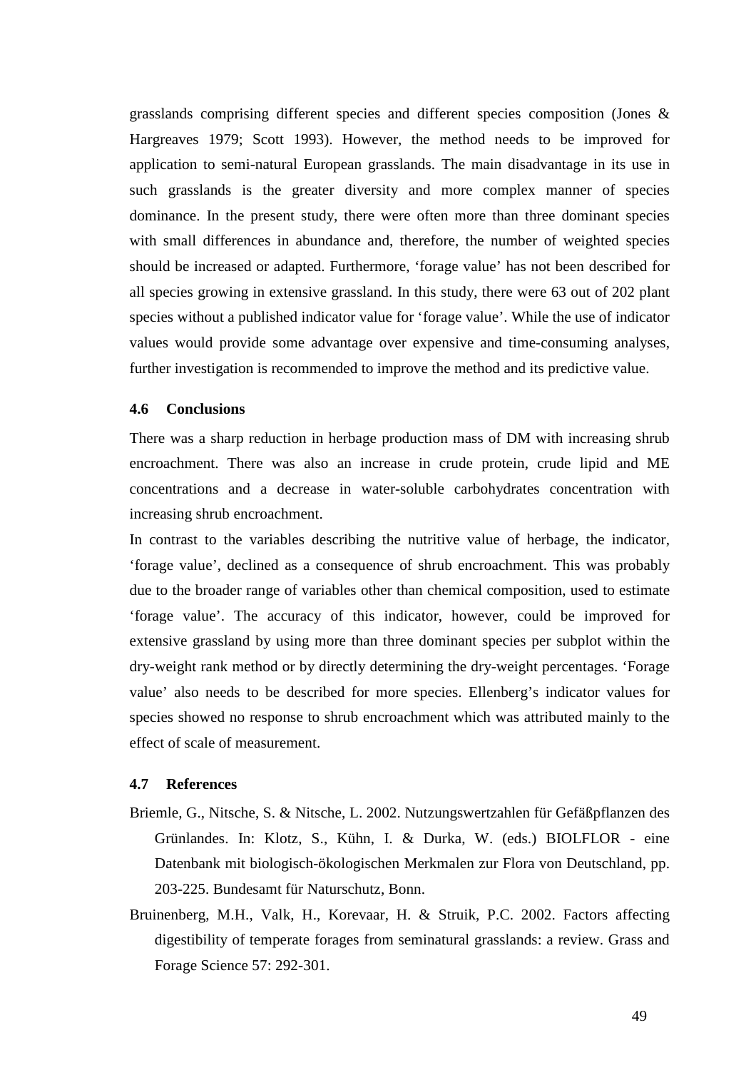grasslands comprising different species and different species composition (Jones & Hargreaves 1979; Scott 1993). However, the method needs to be improved for application to semi-natural European grasslands. The main disadvantage in its use in such grasslands is the greater diversity and more complex manner of species dominance. In the present study, there were often more than three dominant species with small differences in abundance and, therefore, the number of weighted species should be increased or adapted. Furthermore, 'forage value' has not been described for all species growing in extensive grassland. In this study, there were 63 out of 202 plant species without a published indicator value for 'forage value'. While the use of indicator values would provide some advantage over expensive and time-consuming analyses, further investigation is recommended to improve the method and its predictive value.

# **4.6 Conclusions**

There was a sharp reduction in herbage production mass of DM with increasing shrub encroachment. There was also an increase in crude protein, crude lipid and ME concentrations and a decrease in water-soluble carbohydrates concentration with increasing shrub encroachment.

In contrast to the variables describing the nutritive value of herbage, the indicator, 'forage value', declined as a consequence of shrub encroachment. This was probably due to the broader range of variables other than chemical composition, used to estimate 'forage value'. The accuracy of this indicator, however, could be improved for extensive grassland by using more than three dominant species per subplot within the dry-weight rank method or by directly determining the dry-weight percentages. 'Forage value' also needs to be described for more species. Ellenberg's indicator values for species showed no response to shrub encroachment which was attributed mainly to the effect of scale of measurement.

## **4.7 References**

- Briemle, G., Nitsche, S. & Nitsche, L. 2002. Nutzungswertzahlen für Gefäßpflanzen des Grünlandes. In: Klotz, S., Kühn, I. & Durka, W. (eds.) BIOLFLOR - eine Datenbank mit biologisch-ökologischen Merkmalen zur Flora von Deutschland, pp. 203-225. Bundesamt für Naturschutz, Bonn.
- Bruinenberg, M.H., Valk, H., Korevaar, H. & Struik, P.C. 2002. Factors affecting digestibility of temperate forages from seminatural grasslands: a review. Grass and Forage Science 57: 292-301.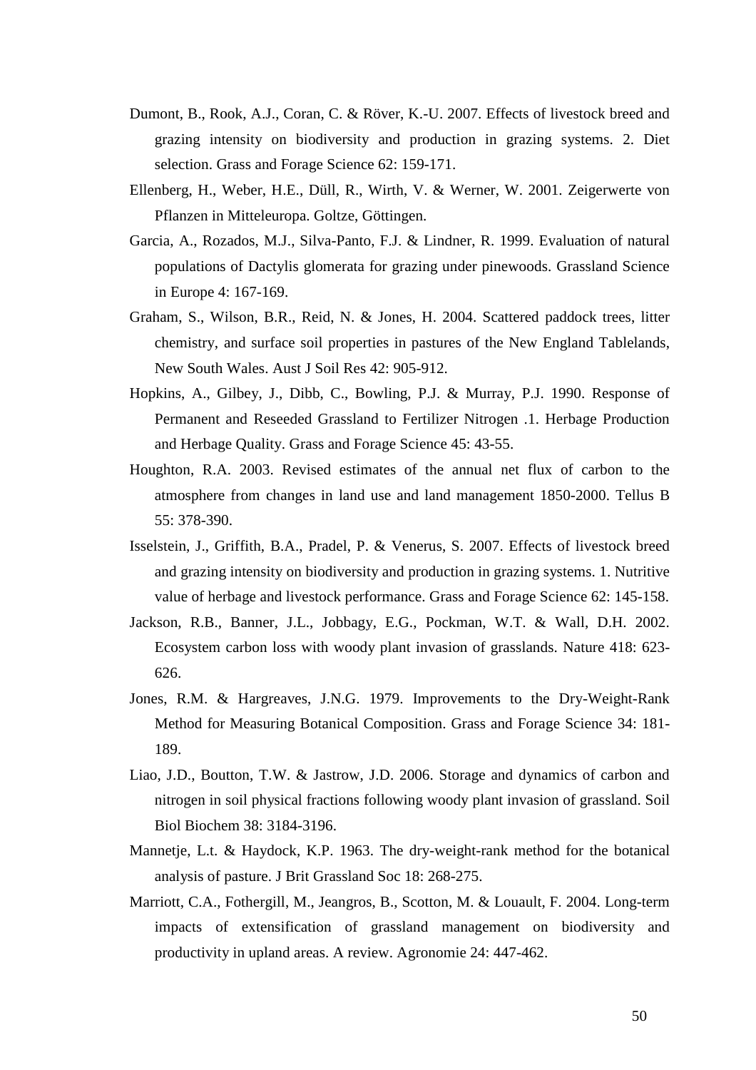- Dumont, B., Rook, A.J., Coran, C. & Röver, K.-U. 2007. Effects of livestock breed and grazing intensity on biodiversity and production in grazing systems. 2. Diet selection. Grass and Forage Science 62: 159-171.
- Ellenberg, H., Weber, H.E., Düll, R., Wirth, V. & Werner, W. 2001. Zeigerwerte von Pflanzen in Mitteleuropa. Goltze, Göttingen.
- Garcia, A., Rozados, M.J., Silva-Panto, F.J. & Lindner, R. 1999. Evaluation of natural populations of Dactylis glomerata for grazing under pinewoods. Grassland Science in Europe 4: 167-169.
- Graham, S., Wilson, B.R., Reid, N. & Jones, H. 2004. Scattered paddock trees, litter chemistry, and surface soil properties in pastures of the New England Tablelands, New South Wales. Aust J Soil Res 42: 905-912.
- Hopkins, A., Gilbey, J., Dibb, C., Bowling, P.J. & Murray, P.J. 1990. Response of Permanent and Reseeded Grassland to Fertilizer Nitrogen .1. Herbage Production and Herbage Quality. Grass and Forage Science 45: 43-55.
- Houghton, R.A. 2003. Revised estimates of the annual net flux of carbon to the atmosphere from changes in land use and land management 1850-2000. Tellus B 55: 378-390.
- Isselstein, J., Griffith, B.A., Pradel, P. & Venerus, S. 2007. Effects of livestock breed and grazing intensity on biodiversity and production in grazing systems. 1. Nutritive value of herbage and livestock performance. Grass and Forage Science 62: 145-158.
- Jackson, R.B., Banner, J.L., Jobbagy, E.G., Pockman, W.T. & Wall, D.H. 2002. Ecosystem carbon loss with woody plant invasion of grasslands. Nature 418: 623- 626.
- Jones, R.M. & Hargreaves, J.N.G. 1979. Improvements to the Dry-Weight-Rank Method for Measuring Botanical Composition. Grass and Forage Science 34: 181- 189.
- Liao, J.D., Boutton, T.W. & Jastrow, J.D. 2006. Storage and dynamics of carbon and nitrogen in soil physical fractions following woody plant invasion of grassland. Soil Biol Biochem 38: 3184-3196.
- Mannetje, L.t. & Haydock, K.P. 1963. The dry-weight-rank method for the botanical analysis of pasture. J Brit Grassland Soc 18: 268-275.
- Marriott, C.A., Fothergill, M., Jeangros, B., Scotton, M. & Louault, F. 2004. Long-term impacts of extensification of grassland management on biodiversity and productivity in upland areas. A review. Agronomie 24: 447-462.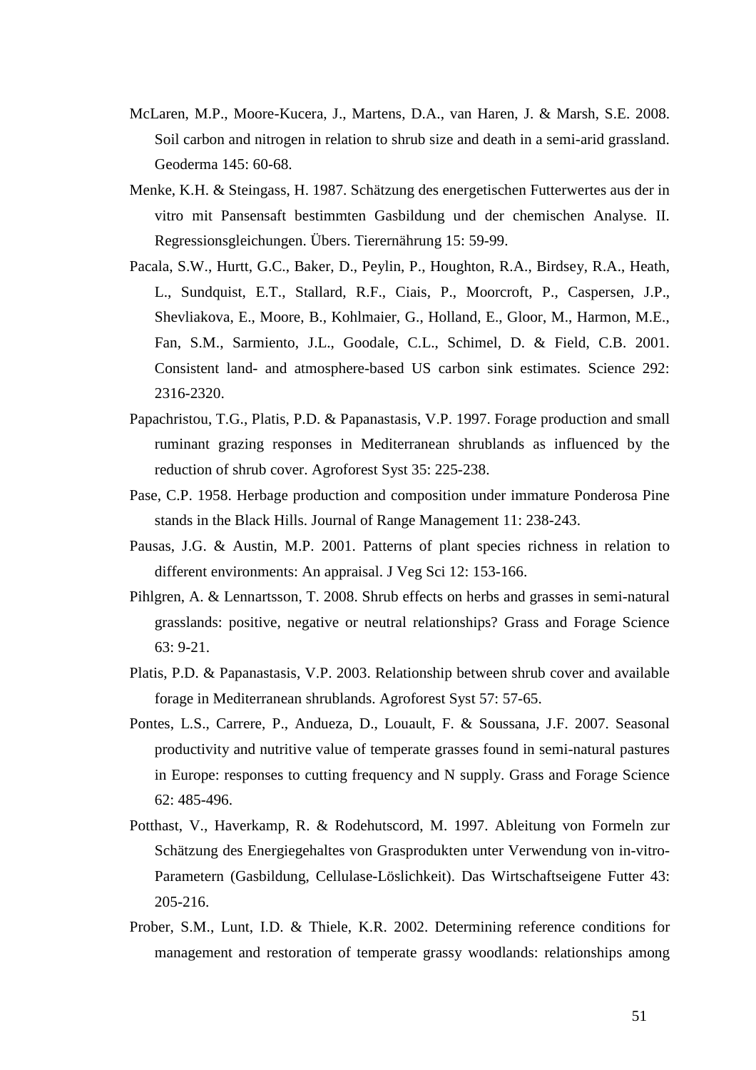- McLaren, M.P., Moore-Kucera, J., Martens, D.A., van Haren, J. & Marsh, S.E. 2008. Soil carbon and nitrogen in relation to shrub size and death in a semi-arid grassland. Geoderma 145: 60-68.
- Menke, K.H. & Steingass, H. 1987. Schätzung des energetischen Futterwertes aus der in vitro mit Pansensaft bestimmten Gasbildung und der chemischen Analyse. II. Regressionsgleichungen. Übers. Tierernährung 15: 59-99.
- Pacala, S.W., Hurtt, G.C., Baker, D., Peylin, P., Houghton, R.A., Birdsey, R.A., Heath, L., Sundquist, E.T., Stallard, R.F., Ciais, P., Moorcroft, P., Caspersen, J.P., Shevliakova, E., Moore, B., Kohlmaier, G., Holland, E., Gloor, M., Harmon, M.E., Fan, S.M., Sarmiento, J.L., Goodale, C.L., Schimel, D. & Field, C.B. 2001. Consistent land- and atmosphere-based US carbon sink estimates. Science 292: 2316-2320.
- Papachristou, T.G., Platis, P.D. & Papanastasis, V.P. 1997. Forage production and small ruminant grazing responses in Mediterranean shrublands as influenced by the reduction of shrub cover. Agroforest Syst 35: 225-238.
- Pase, C.P. 1958. Herbage production and composition under immature Ponderosa Pine stands in the Black Hills. Journal of Range Management 11: 238-243.
- Pausas, J.G. & Austin, M.P. 2001. Patterns of plant species richness in relation to different environments: An appraisal. J Veg Sci 12: 153-166.
- Pihlgren, A. & Lennartsson, T. 2008. Shrub effects on herbs and grasses in semi-natural grasslands: positive, negative or neutral relationships? Grass and Forage Science 63: 9-21.
- Platis, P.D. & Papanastasis, V.P. 2003. Relationship between shrub cover and available forage in Mediterranean shrublands. Agroforest Syst 57: 57-65.
- Pontes, L.S., Carrere, P., Andueza, D., Louault, F. & Soussana, J.F. 2007. Seasonal productivity and nutritive value of temperate grasses found in semi-natural pastures in Europe: responses to cutting frequency and N supply. Grass and Forage Science 62: 485-496.
- Potthast, V., Haverkamp, R. & Rodehutscord, M. 1997. Ableitung von Formeln zur Schätzung des Energiegehaltes von Grasprodukten unter Verwendung von in-vitro-Parametern (Gasbildung, Cellulase-Löslichkeit). Das Wirtschaftseigene Futter 43: 205-216.
- Prober, S.M., Lunt, I.D. & Thiele, K.R. 2002. Determining reference conditions for management and restoration of temperate grassy woodlands: relationships among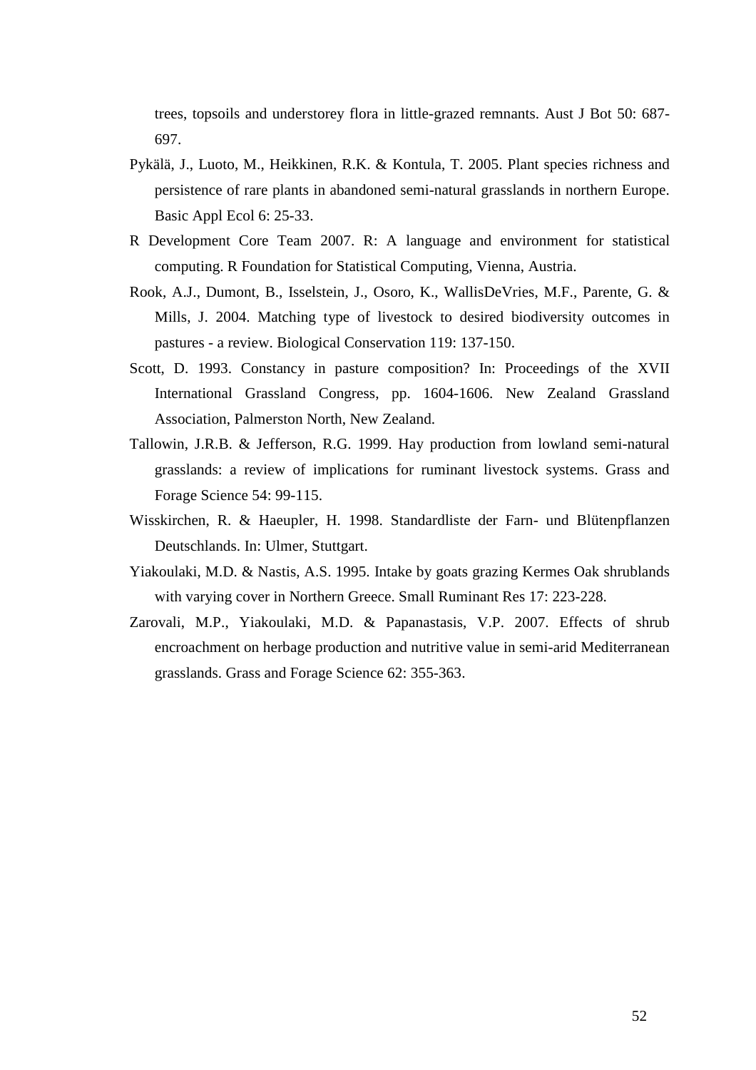trees, topsoils and understorey flora in little-grazed remnants. Aust J Bot 50: 687- 697.

- Pykälä, J., Luoto, M., Heikkinen, R.K. & Kontula, T. 2005. Plant species richness and persistence of rare plants in abandoned semi-natural grasslands in northern Europe. Basic Appl Ecol 6: 25-33.
- R Development Core Team 2007. R: A language and environment for statistical computing. R Foundation for Statistical Computing, Vienna, Austria.
- Rook, A.J., Dumont, B., Isselstein, J., Osoro, K., WallisDeVries, M.F., Parente, G. & Mills, J. 2004. Matching type of livestock to desired biodiversity outcomes in pastures - a review. Biological Conservation 119: 137-150.
- Scott, D. 1993. Constancy in pasture composition? In: Proceedings of the XVII International Grassland Congress, pp. 1604-1606. New Zealand Grassland Association, Palmerston North, New Zealand.
- Tallowin, J.R.B. & Jefferson, R.G. 1999. Hay production from lowland semi-natural grasslands: a review of implications for ruminant livestock systems. Grass and Forage Science 54: 99-115.
- Wisskirchen, R. & Haeupler, H. 1998. Standardliste der Farn- und Blütenpflanzen Deutschlands. In: Ulmer, Stuttgart.
- Yiakoulaki, M.D. & Nastis, A.S. 1995. Intake by goats grazing Kermes Oak shrublands with varying cover in Northern Greece. Small Ruminant Res 17: 223-228.
- Zarovali, M.P., Yiakoulaki, M.D. & Papanastasis, V.P. 2007. Effects of shrub encroachment on herbage production and nutritive value in semi-arid Mediterranean grasslands. Grass and Forage Science 62: 355-363.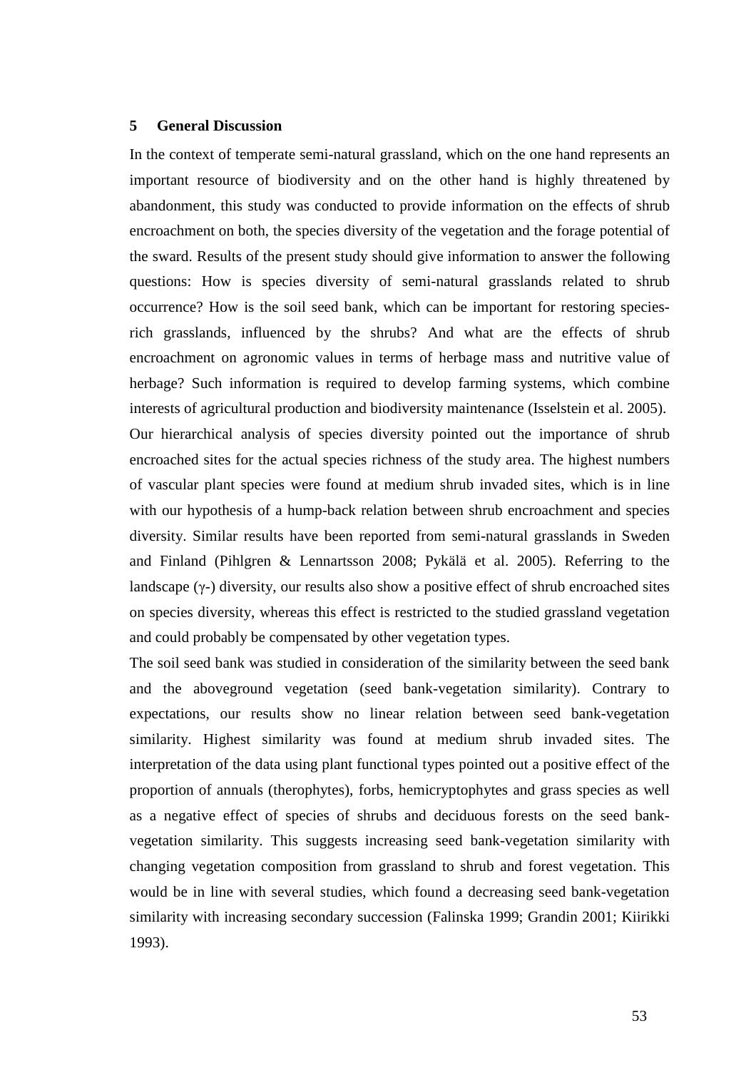### **5 General Discussion**

In the context of temperate semi-natural grassland, which on the one hand represents an important resource of biodiversity and on the other hand is highly threatened by abandonment, this study was conducted to provide information on the effects of shrub encroachment on both, the species diversity of the vegetation and the forage potential of the sward. Results of the present study should give information to answer the following questions: How is species diversity of semi-natural grasslands related to shrub occurrence? How is the soil seed bank, which can be important for restoring speciesrich grasslands, influenced by the shrubs? And what are the effects of shrub encroachment on agronomic values in terms of herbage mass and nutritive value of herbage? Such information is required to develop farming systems, which combine interests of agricultural production and biodiversity maintenance (Isselstein et al. 2005). Our hierarchical analysis of species diversity pointed out the importance of shrub encroached sites for the actual species richness of the study area. The highest numbers of vascular plant species were found at medium shrub invaded sites, which is in line with our hypothesis of a hump-back relation between shrub encroachment and species diversity. Similar results have been reported from semi-natural grasslands in Sweden and Finland (Pihlgren & Lennartsson 2008; Pykälä et al. 2005). Referring to the landscape (γ-) diversity, our results also show a positive effect of shrub encroached sites on species diversity, whereas this effect is restricted to the studied grassland vegetation and could probably be compensated by other vegetation types.

The soil seed bank was studied in consideration of the similarity between the seed bank and the aboveground vegetation (seed bank-vegetation similarity). Contrary to expectations, our results show no linear relation between seed bank-vegetation similarity. Highest similarity was found at medium shrub invaded sites. The interpretation of the data using plant functional types pointed out a positive effect of the proportion of annuals (therophytes), forbs, hemicryptophytes and grass species as well as a negative effect of species of shrubs and deciduous forests on the seed bankvegetation similarity. This suggests increasing seed bank-vegetation similarity with changing vegetation composition from grassland to shrub and forest vegetation. This would be in line with several studies, which found a decreasing seed bank-vegetation similarity with increasing secondary succession (Falinska 1999; Grandin 2001; Kiirikki 1993).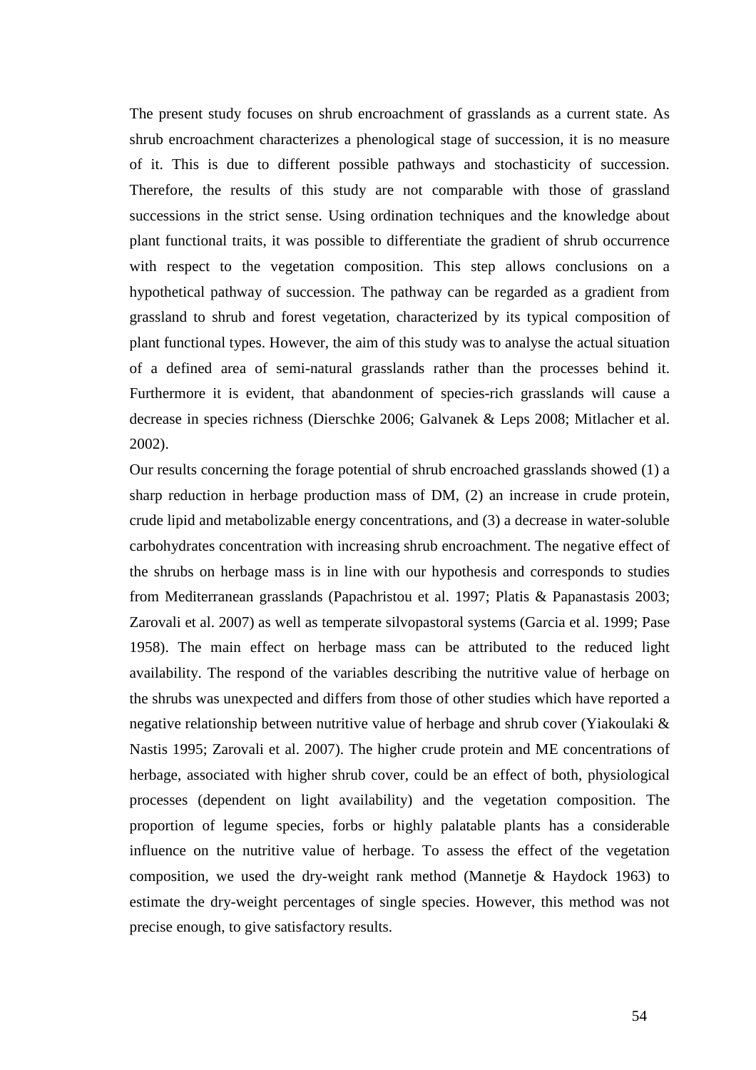The present study focuses on shrub encroachment of grasslands as a current state. As shrub encroachment characterizes a phenological stage of succession, it is no measure of it. This is due to different possible pathways and stochasticity of succession. Therefore, the results of this study are not comparable with those of grassland successions in the strict sense. Using ordination techniques and the knowledge about plant functional traits, it was possible to differentiate the gradient of shrub occurrence with respect to the vegetation composition. This step allows conclusions on a hypothetical pathway of succession. The pathway can be regarded as a gradient from grassland to shrub and forest vegetation, characterized by its typical composition of plant functional types. However, the aim of this study was to analyse the actual situation of a defined area of semi-natural grasslands rather than the processes behind it. Furthermore it is evident, that abandonment of species-rich grasslands will cause a decrease in species richness (Dierschke 2006; Galvanek & Leps 2008; Mitlacher et al. 2002).

Our results concerning the forage potential of shrub encroached grasslands showed (1) a sharp reduction in herbage production mass of DM, (2) an increase in crude protein, crude lipid and metabolizable energy concentrations, and (3) a decrease in water-soluble carbohydrates concentration with increasing shrub encroachment. The negative effect of the shrubs on herbage mass is in line with our hypothesis and corresponds to studies from Mediterranean grasslands (Papachristou et al. 1997; Platis & Papanastasis 2003; Zarovali et al. 2007) as well as temperate silvopastoral systems (Garcia et al. 1999; Pase 1958). The main effect on herbage mass can be attributed to the reduced light availability. The respond of the variables describing the nutritive value of herbage on the shrubs was unexpected and differs from those of other studies which have reported a negative relationship between nutritive value of herbage and shrub cover (Yiakoulaki & Nastis 1995; Zarovali et al. 2007). The higher crude protein and ME concentrations of herbage, associated with higher shrub cover, could be an effect of both, physiological processes (dependent on light availability) and the vegetation composition. The proportion of legume species, forbs or highly palatable plants has a considerable influence on the nutritive value of herbage. To assess the effect of the vegetation composition, we used the dry-weight rank method (Mannetje & Haydock 1963) to estimate the dry-weight percentages of single species. However, this method was not precise enough, to give satisfactory results.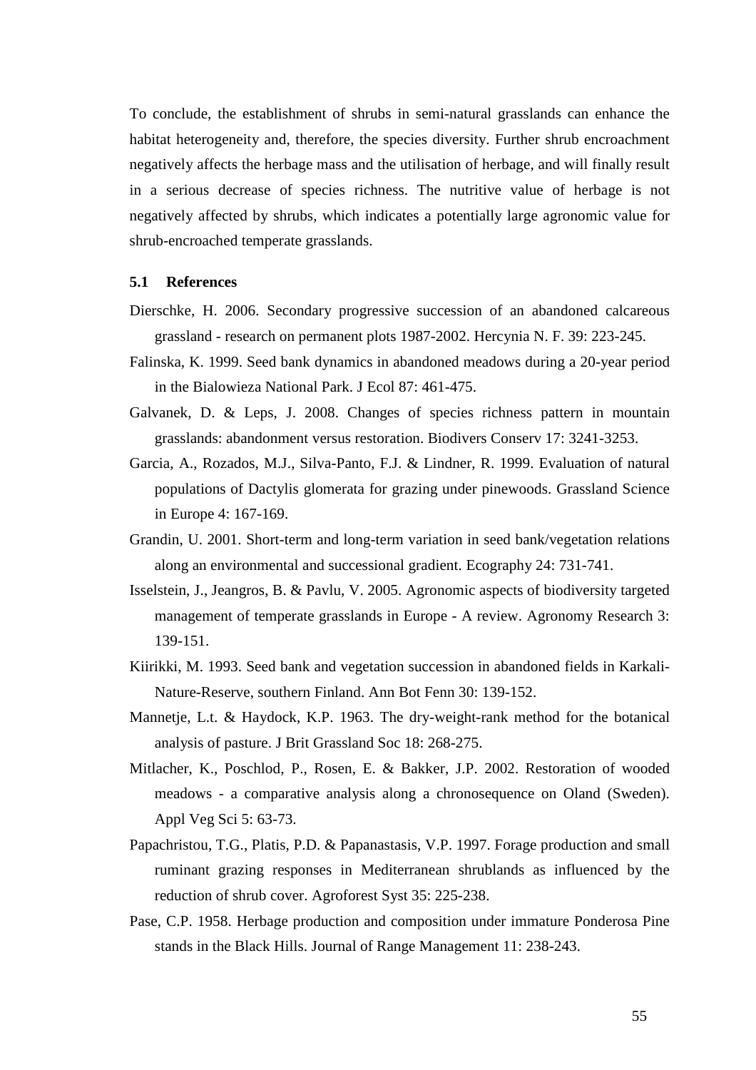To conclude, the establishment of shrubs in semi-natural grasslands can enhance the habitat heterogeneity and, therefore, the species diversity. Further shrub encroachment negatively affects the herbage mass and the utilisation of herbage, and will finally result in a serious decrease of species richness. The nutritive value of herbage is not negatively affected by shrubs, which indicates a potentially large agronomic value for shrub-encroached temperate grasslands.

#### **5.1 References**

- Dierschke, H. 2006. Secondary progressive succession of an abandoned calcareous grassland - research on permanent plots 1987-2002. Hercynia N. F. 39: 223-245.
- Falinska, K. 1999. Seed bank dynamics in abandoned meadows during a 20-year period in the Bialowieza National Park. J Ecol 87: 461-475.
- Galvanek, D. & Leps, J. 2008. Changes of species richness pattern in mountain grasslands: abandonment versus restoration. Biodivers Conserv 17: 3241-3253.
- Garcia, A., Rozados, M.J., Silva-Panto, F.J. & Lindner, R. 1999. Evaluation of natural populations of Dactylis glomerata for grazing under pinewoods. Grassland Science in Europe 4: 167-169.
- Grandin, U. 2001. Short-term and long-term variation in seed bank/vegetation relations along an environmental and successional gradient. Ecography 24: 731-741.
- Isselstein, J., Jeangros, B. & Pavlu, V. 2005. Agronomic aspects of biodiversity targeted management of temperate grasslands in Europe - A review. Agronomy Research 3: 139-151.
- Kiirikki, M. 1993. Seed bank and vegetation succession in abandoned fields in Karkali-Nature-Reserve, southern Finland. Ann Bot Fenn 30: 139-152.
- Mannetje, L.t. & Haydock, K.P. 1963. The dry-weight-rank method for the botanical analysis of pasture. J Brit Grassland Soc 18: 268-275.
- Mitlacher, K., Poschlod, P., Rosen, E. & Bakker, J.P. 2002. Restoration of wooded meadows - a comparative analysis along a chronosequence on Oland (Sweden). Appl Veg Sci 5: 63-73.
- Papachristou, T.G., Platis, P.D. & Papanastasis, V.P. 1997. Forage production and small ruminant grazing responses in Mediterranean shrublands as influenced by the reduction of shrub cover. Agroforest Syst 35: 225-238.
- Pase, C.P. 1958. Herbage production and composition under immature Ponderosa Pine stands in the Black Hills. Journal of Range Management 11: 238-243.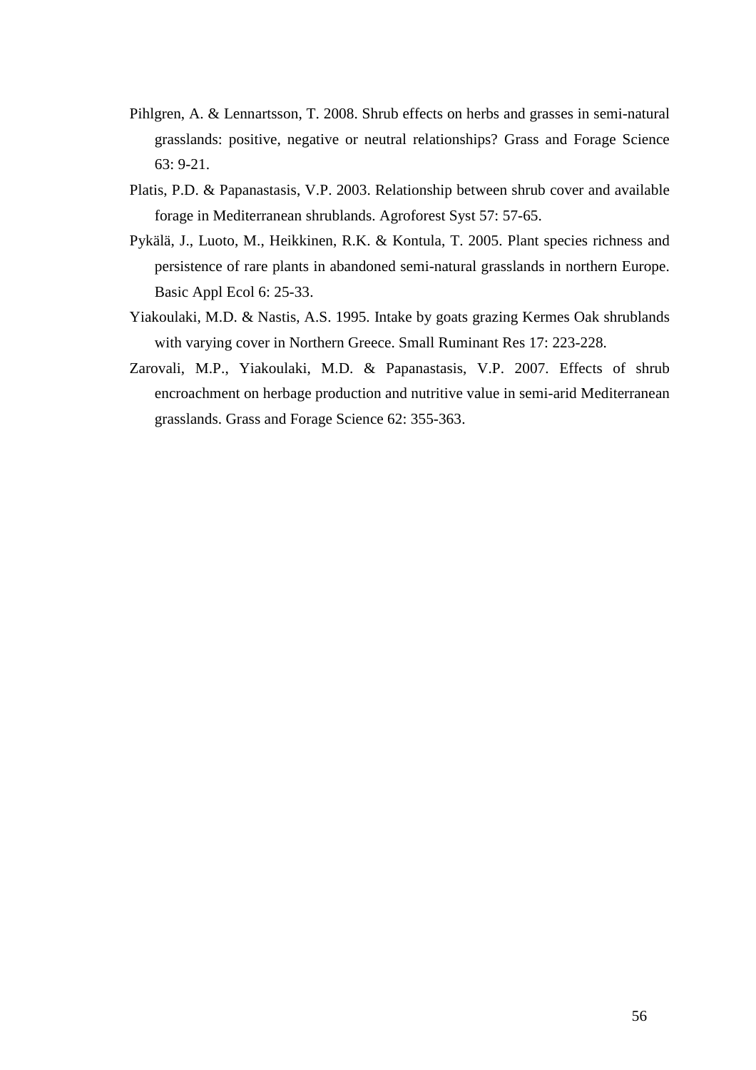- Pihlgren, A. & Lennartsson, T. 2008. Shrub effects on herbs and grasses in semi-natural grasslands: positive, negative or neutral relationships? Grass and Forage Science 63: 9-21.
- Platis, P.D. & Papanastasis, V.P. 2003. Relationship between shrub cover and available forage in Mediterranean shrublands. Agroforest Syst 57: 57-65.
- Pykälä, J., Luoto, M., Heikkinen, R.K. & Kontula, T. 2005. Plant species richness and persistence of rare plants in abandoned semi-natural grasslands in northern Europe. Basic Appl Ecol 6: 25-33.
- Yiakoulaki, M.D. & Nastis, A.S. 1995. Intake by goats grazing Kermes Oak shrublands with varying cover in Northern Greece. Small Ruminant Res 17: 223-228.
- Zarovali, M.P., Yiakoulaki, M.D. & Papanastasis, V.P. 2007. Effects of shrub encroachment on herbage production and nutritive value in semi-arid Mediterranean grasslands. Grass and Forage Science 62: 355-363.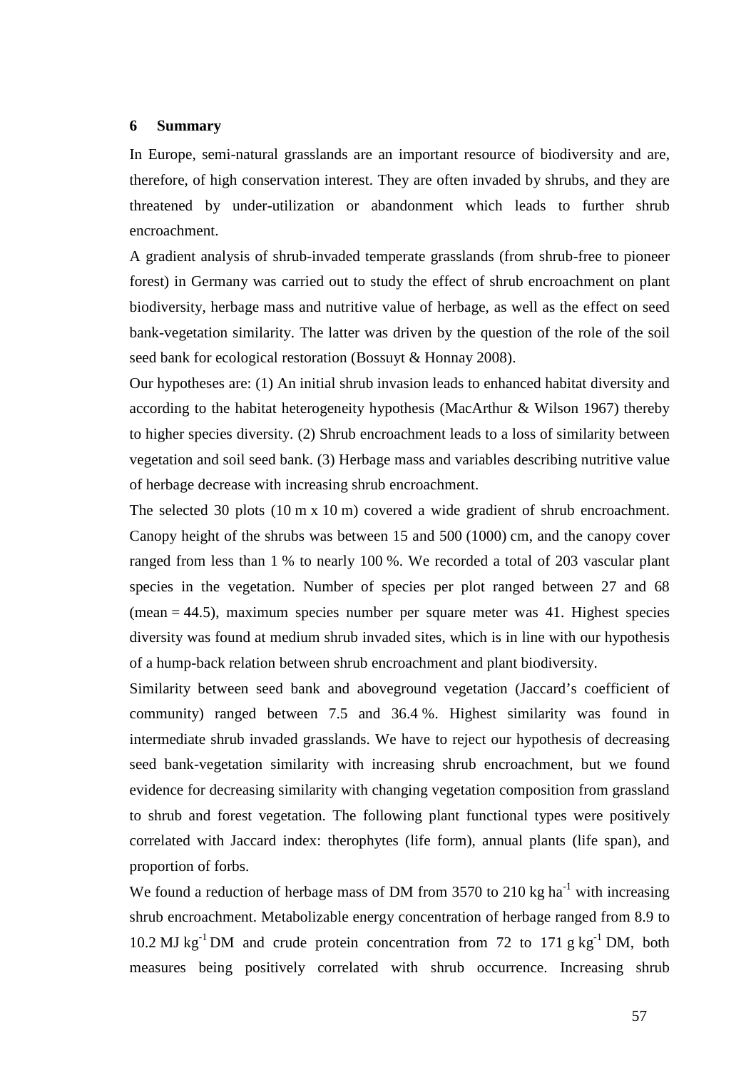#### **6 Summary**

In Europe, semi-natural grasslands are an important resource of biodiversity and are, therefore, of high conservation interest. They are often invaded by shrubs, and they are threatened by under-utilization or abandonment which leads to further shrub encroachment.

A gradient analysis of shrub-invaded temperate grasslands (from shrub-free to pioneer forest) in Germany was carried out to study the effect of shrub encroachment on plant biodiversity, herbage mass and nutritive value of herbage, as well as the effect on seed bank-vegetation similarity. The latter was driven by the question of the role of the soil seed bank for ecological restoration (Bossuyt & Honnay 2008).

Our hypotheses are: (1) An initial shrub invasion leads to enhanced habitat diversity and according to the habitat heterogeneity hypothesis (MacArthur & Wilson 1967) thereby to higher species diversity. (2) Shrub encroachment leads to a loss of similarity between vegetation and soil seed bank. (3) Herbage mass and variables describing nutritive value of herbage decrease with increasing shrub encroachment.

The selected 30 plots (10 m x 10 m) covered a wide gradient of shrub encroachment. Canopy height of the shrubs was between 15 and 500 (1000) cm, and the canopy cover ranged from less than 1 % to nearly 100 %. We recorded a total of 203 vascular plant species in the vegetation. Number of species per plot ranged between 27 and 68 (mean = 44.5), maximum species number per square meter was 41. Highest species diversity was found at medium shrub invaded sites, which is in line with our hypothesis of a hump-back relation between shrub encroachment and plant biodiversity.

Similarity between seed bank and aboveground vegetation (Jaccard's coefficient of community) ranged between 7.5 and 36.4 %. Highest similarity was found in intermediate shrub invaded grasslands. We have to reject our hypothesis of decreasing seed bank-vegetation similarity with increasing shrub encroachment, but we found evidence for decreasing similarity with changing vegetation composition from grassland to shrub and forest vegetation. The following plant functional types were positively correlated with Jaccard index: therophytes (life form), annual plants (life span), and proportion of forbs.

We found a reduction of herbage mass of DM from 3570 to 210 kg ha<sup>-1</sup> with increasing shrub encroachment. Metabolizable energy concentration of herbage ranged from 8.9 to 10.2 MJ kg<sup>-1</sup> DM and crude protein concentration from 72 to 171 g kg<sup>-1</sup> DM, both measures being positively correlated with shrub occurrence. Increasing shrub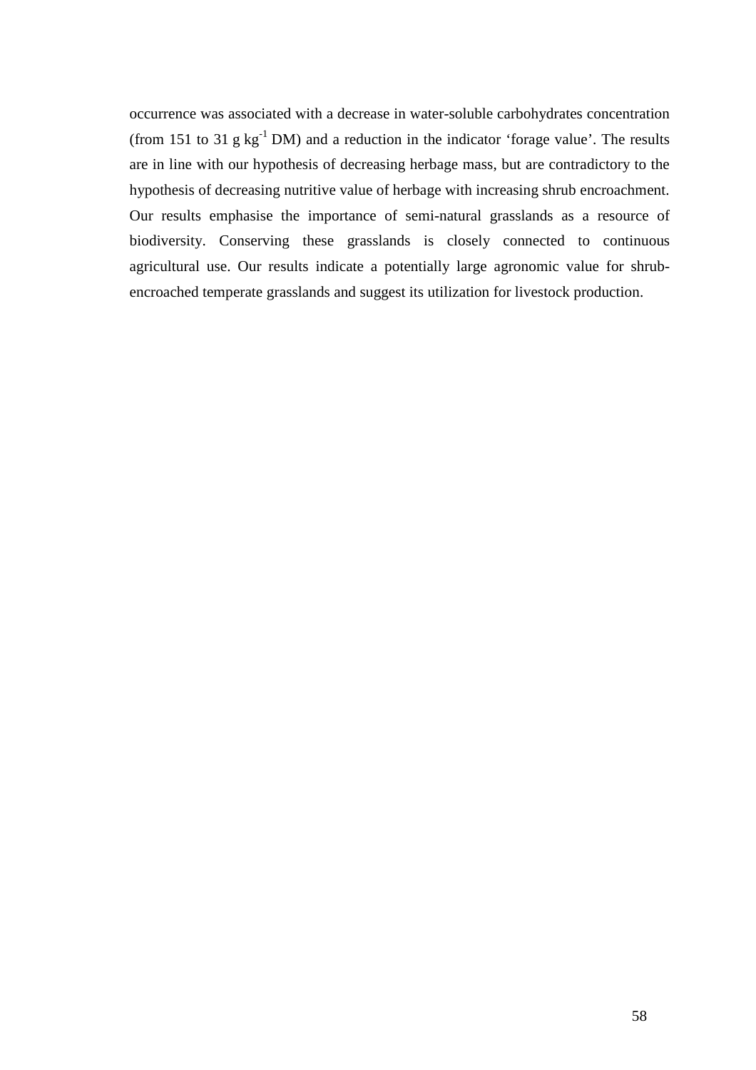occurrence was associated with a decrease in water-soluble carbohydrates concentration (from 151 to 31 g  $kg^{-1}$  DM) and a reduction in the indicator 'forage value'. The results are in line with our hypothesis of decreasing herbage mass, but are contradictory to the hypothesis of decreasing nutritive value of herbage with increasing shrub encroachment. Our results emphasise the importance of semi-natural grasslands as a resource of biodiversity. Conserving these grasslands is closely connected to continuous agricultural use. Our results indicate a potentially large agronomic value for shrubencroached temperate grasslands and suggest its utilization for livestock production.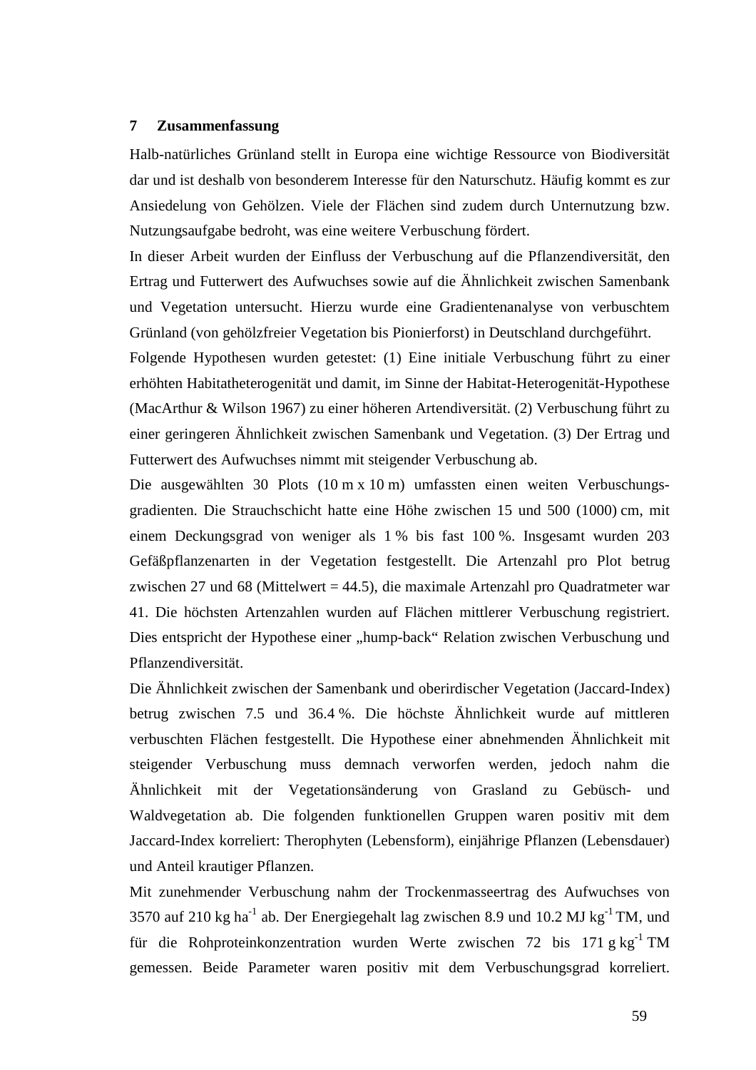## **7 Zusammenfassung**

Halb-natürliches Grünland stellt in Europa eine wichtige Ressource von Biodiversität dar und ist deshalb von besonderem Interesse für den Naturschutz. Häufig kommt es zur Ansiedelung von Gehölzen. Viele der Flächen sind zudem durch Unternutzung bzw. Nutzungsaufgabe bedroht, was eine weitere Verbuschung fördert.

In dieser Arbeit wurden der Einfluss der Verbuschung auf die Pflanzendiversität, den Ertrag und Futterwert des Aufwuchses sowie auf die Ähnlichkeit zwischen Samenbank und Vegetation untersucht. Hierzu wurde eine Gradientenanalyse von verbuschtem Grünland (von gehölzfreier Vegetation bis Pionierforst) in Deutschland durchgeführt.

Folgende Hypothesen wurden getestet: (1) Eine initiale Verbuschung führt zu einer erhöhten Habitatheterogenität und damit, im Sinne der Habitat-Heterogenität-Hypothese (MacArthur & Wilson 1967) zu einer höheren Artendiversität. (2) Verbuschung führt zu einer geringeren Ähnlichkeit zwischen Samenbank und Vegetation. (3) Der Ertrag und Futterwert des Aufwuchses nimmt mit steigender Verbuschung ab.

Die ausgewählten 30 Plots (10 m x 10 m) umfassten einen weiten Verbuschungsgradienten. Die Strauchschicht hatte eine Höhe zwischen 15 und 500 (1000) cm, mit einem Deckungsgrad von weniger als 1 % bis fast 100 %. Insgesamt wurden 203 Gefäßpflanzenarten in der Vegetation festgestellt. Die Artenzahl pro Plot betrug zwischen 27 und 68 (Mittelwert = 44.5), die maximale Artenzahl pro Quadratmeter war 41. Die höchsten Artenzahlen wurden auf Flächen mittlerer Verbuschung registriert. Dies entspricht der Hypothese einer "hump-back" Relation zwischen Verbuschung und Pflanzendiversität.

Die Ähnlichkeit zwischen der Samenbank und oberirdischer Vegetation (Jaccard-Index) betrug zwischen 7.5 und 36.4 %. Die höchste Ähnlichkeit wurde auf mittleren verbuschten Flächen festgestellt. Die Hypothese einer abnehmenden Ähnlichkeit mit steigender Verbuschung muss demnach verworfen werden, jedoch nahm die Ähnlichkeit mit der Vegetationsänderung von Grasland zu Gebüsch- und Waldvegetation ab. Die folgenden funktionellen Gruppen waren positiv mit dem Jaccard-Index korreliert: Therophyten (Lebensform), einjährige Pflanzen (Lebensdauer) und Anteil krautiger Pflanzen.

Mit zunehmender Verbuschung nahm der Trockenmasseertrag des Aufwuchses von 3570 auf 210 kg ha<sup>-1</sup> ab. Der Energiegehalt lag zwischen 8.9 und 10.2 MJ kg<sup>-1</sup> TM, und für die Rohproteinkonzentration wurden Werte zwischen 72 bis 171 g kg-1 TM gemessen. Beide Parameter waren positiv mit dem Verbuschungsgrad korreliert.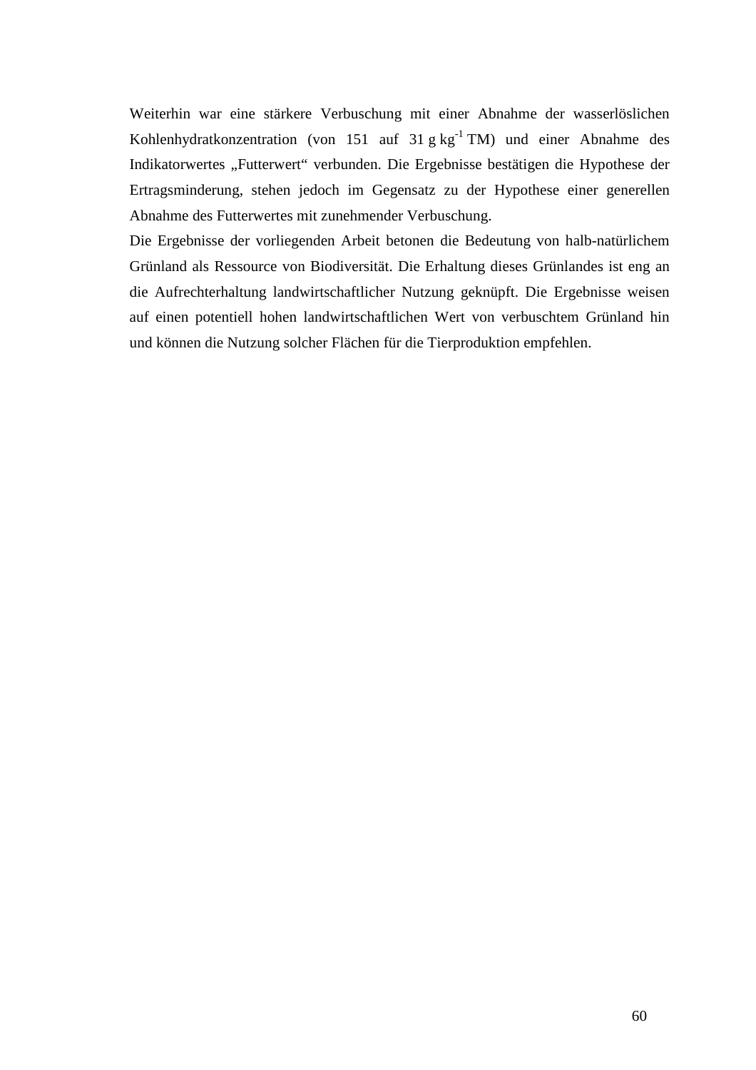Weiterhin war eine stärkere Verbuschung mit einer Abnahme der wasserlöslichen Kohlenhydratkonzentration (von 151 auf 31 g kg<sup>-1</sup> TM) und einer Abnahme des Indikatorwertes "Futterwert" verbunden. Die Ergebnisse bestätigen die Hypothese der Ertragsminderung, stehen jedoch im Gegensatz zu der Hypothese einer generellen Abnahme des Futterwertes mit zunehmender Verbuschung.

Die Ergebnisse der vorliegenden Arbeit betonen die Bedeutung von halb-natürlichem Grünland als Ressource von Biodiversität. Die Erhaltung dieses Grünlandes ist eng an die Aufrechterhaltung landwirtschaftlicher Nutzung geknüpft. Die Ergebnisse weisen auf einen potentiell hohen landwirtschaftlichen Wert von verbuschtem Grünland hin und können die Nutzung solcher Flächen für die Tierproduktion empfehlen.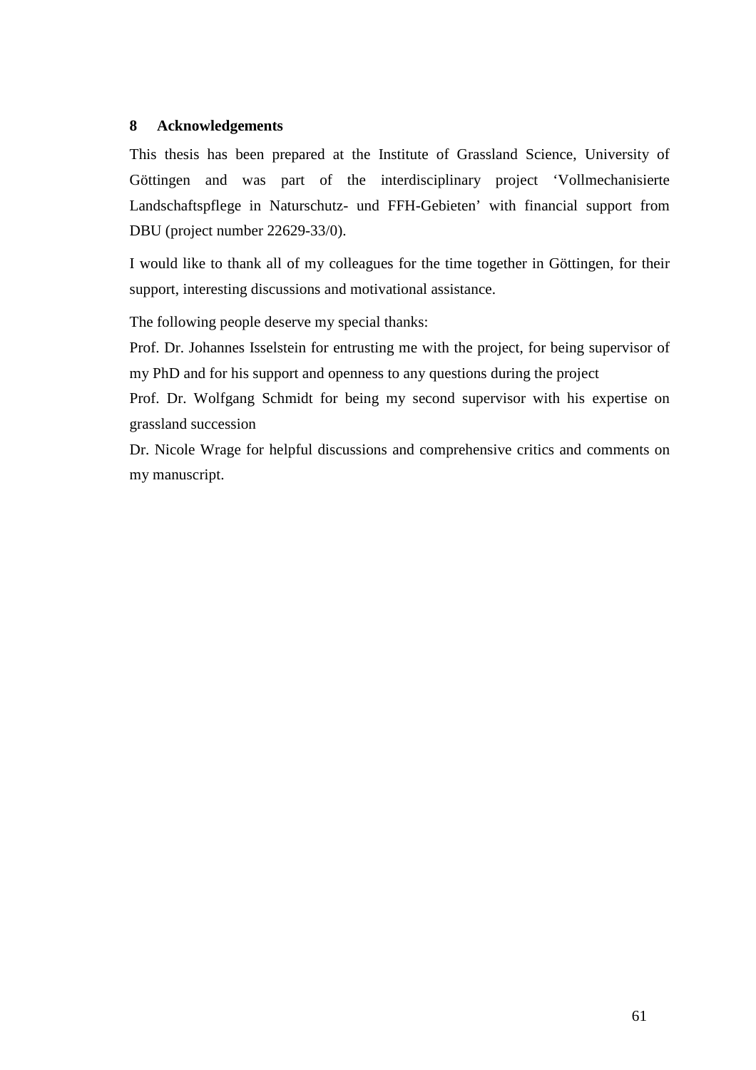# **8 Acknowledgements**

This thesis has been prepared at the Institute of Grassland Science, University of Göttingen and was part of the interdisciplinary project 'Vollmechanisierte Landschaftspflege in Naturschutz- und FFH-Gebieten' with financial support from DBU (project number 22629-33/0).

I would like to thank all of my colleagues for the time together in Göttingen, for their support, interesting discussions and motivational assistance.

The following people deserve my special thanks:

Prof. Dr. Johannes Isselstein for entrusting me with the project, for being supervisor of my PhD and for his support and openness to any questions during the project

Prof. Dr. Wolfgang Schmidt for being my second supervisor with his expertise on grassland succession

Dr. Nicole Wrage for helpful discussions and comprehensive critics and comments on my manuscript.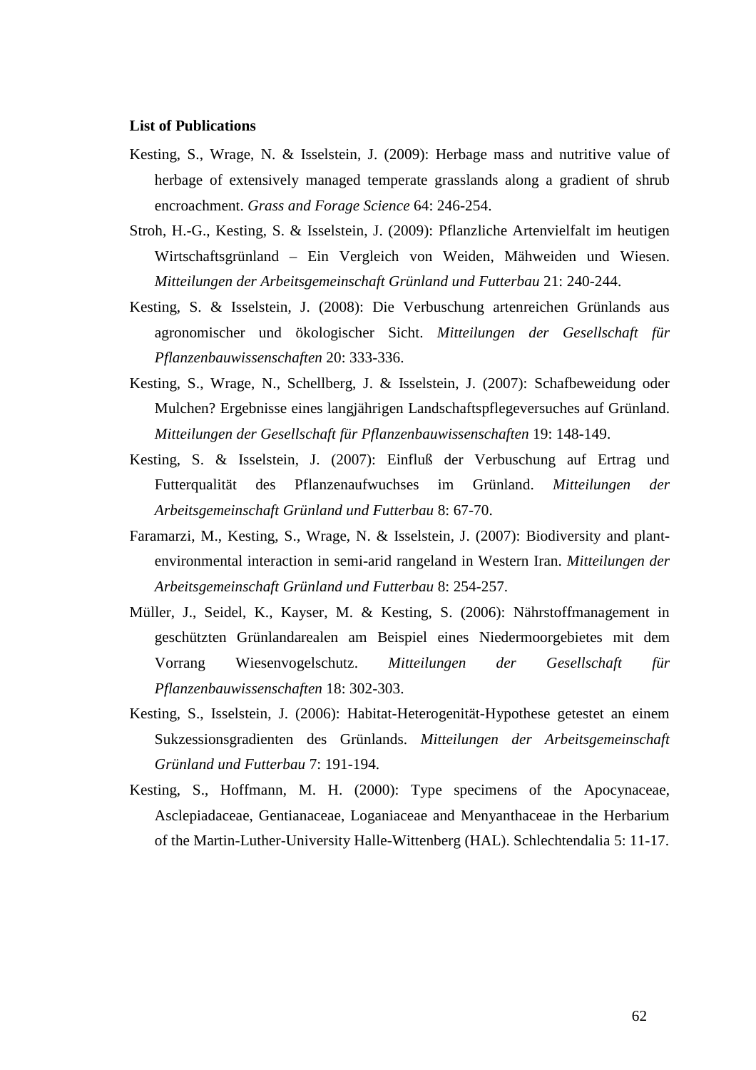#### **List of Publications**

- Kesting, S., Wrage, N. & Isselstein, J. (2009): Herbage mass and nutritive value of herbage of extensively managed temperate grasslands along a gradient of shrub encroachment. *Grass and Forage Science* 64: 246-254.
- Stroh, H.-G., Kesting, S. & Isselstein, J. (2009): Pflanzliche Artenvielfalt im heutigen Wirtschaftsgrünland – Ein Vergleich von Weiden, Mähweiden und Wiesen. *Mitteilungen der Arbeitsgemeinschaft Grünland und Futterbau* 21: 240-244.
- Kesting, S. & Isselstein, J. (2008): Die Verbuschung artenreichen Grünlands aus agronomischer und ökologischer Sicht. *Mitteilungen der Gesellschaft für Pflanzenbauwissenschaften* 20: 333-336.
- Kesting, S., Wrage, N., Schellberg, J. & Isselstein, J. (2007): Schafbeweidung oder Mulchen? Ergebnisse eines langjährigen Landschaftspflegeversuches auf Grünland. *Mitteilungen der Gesellschaft für Pflanzenbauwissenschaften* 19: 148-149.
- Kesting, S. & Isselstein, J. (2007): Einfluß der Verbuschung auf Ertrag und Futterqualität des Pflanzenaufwuchses im Grünland. *Mitteilungen der Arbeitsgemeinschaft Grünland und Futterbau* 8: 67-70.
- Faramarzi, M., Kesting, S., Wrage, N. & Isselstein, J. (2007): Biodiversity and plantenvironmental interaction in semi-arid rangeland in Western Iran. *Mitteilungen der Arbeitsgemeinschaft Grünland und Futterbau* 8: 254-257.
- Müller, J., Seidel, K., Kayser, M. & Kesting, S. (2006): Nährstoffmanagement in geschützten Grünlandarealen am Beispiel eines Niedermoorgebietes mit dem Vorrang Wiesenvogelschutz. *Mitteilungen der Gesellschaft für Pflanzenbauwissenschaften* 18: 302-303.
- Kesting, S., Isselstein, J. (2006): Habitat-Heterogenität-Hypothese getestet an einem Sukzessionsgradienten des Grünlands. *Mitteilungen der Arbeitsgemeinschaft Grünland und Futterbau* 7: 191-194.
- Kesting, S., Hoffmann, M. H. (2000): Type specimens of the Apocynaceae, Asclepiadaceae, Gentianaceae, Loganiaceae and Menyanthaceae in the Herbarium of the Martin-Luther-University Halle-Wittenberg (HAL). Schlechtendalia 5: 11-17.